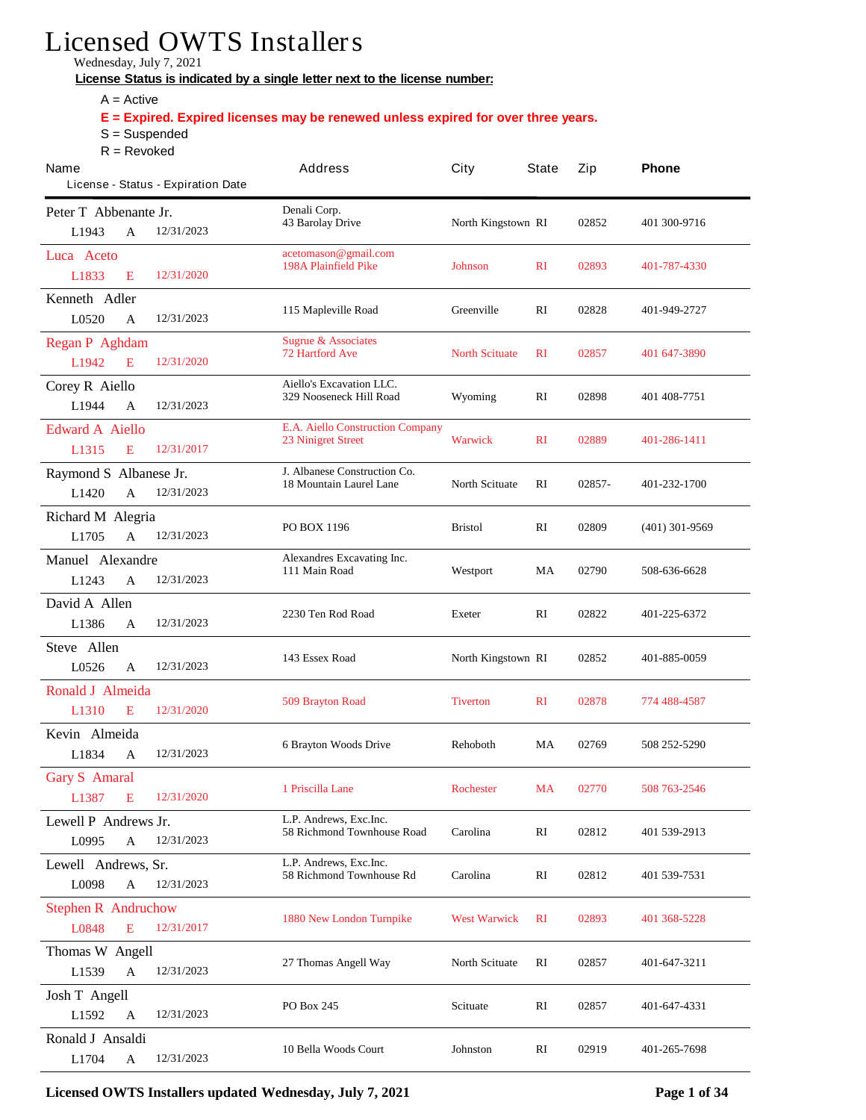## **Licensed OWTS Installers**

**Wednesday, July 7, 2021**

License Status is indicated by a single letter next to the license number:

- $A = Active$
- E = Expired. Expired licenses may be renewed unless expired for over three years.
- S = Suspended
- R = Revoked

| Name<br>License - Status - Expiration Date                      | Address                                                               | City                  | <b>State</b> | Zip    | Phone            |
|-----------------------------------------------------------------|-----------------------------------------------------------------------|-----------------------|--------------|--------|------------------|
| Peter T Abbenante Jr.<br>12/31/2023<br>L1943<br>A               | Denali Corp.<br><b>43 Barolay Drive</b>                               | North Kingstown RI    |              | 02852  | 401 300-9716     |
| Luca Aceto<br>L1833<br>12/31/2020<br>E                          | acetomason@gmail.com<br><b>198A Plainfield Pike</b>                   | <b>Johnson</b>        | $\mathbf{R}$ | 02893  | 401-787-4330     |
| Kenneth Adler<br>12/31/2023<br>L0520<br>A                       | 115 Mapleville Road                                                   | <b>Greenville</b>     | RI           | 02828  | 401-949-2727     |
| <b>Regan P Aghdam</b><br>12/31/2020<br>L1942<br>E               | <b>Sugrue &amp; Associates</b><br><b>72 Hartford Ave</b>              | <b>North Scituate</b> | $\mathbf{R}$ | 02857  | 401 647-3890     |
| <b>Corey R Aiello</b><br>L1944<br>12/31/2023<br>A               | <b>Aiello's Excavation LLC.</b><br>329 Nooseneck Hill Road            | Wyoming               | RI           | 02898  | 401 408 7751     |
| <b>Edward A Aiello</b><br>12/31/2017<br>L1315<br>E              | <b>E.A. Aiello Construction Company</b><br><b>23 Ninigret Street</b>  | <b>Warwick</b>        | $\mathbf{R}$ | 02889  | 401-286-1411     |
| Raymond S Albanese Jr.<br>$\mathbf{A}$<br>12/31/2023<br>L1420   | <b>J.</b> Albanese Construction Co.<br><b>18 Mountain Laurel Lane</b> | <b>North Scituate</b> | RI           | 02857- | 401-232-1700     |
| <b>Richard M Alegria</b><br>12/31/2023<br>L1705<br>A            | <b>PO BOX 1196</b>                                                    | <b>Bristol</b>        | RI           | 02809  | $(401)$ 301-9569 |
| <b>Manuel Alexandre</b><br>12/31/2023<br>L <sub>1243</sub><br>A | Alexandres Excavating Inc.<br>111 Main Road                           | Westport              | MA           | 02790  | 508-636-6628     |
| David A Allen<br>12/31/2023<br>L1386<br>A                       | 2230 Ten Rod Road                                                     | <b>Exeter</b>         | RI           | 02822  | 401-225-6372     |
| <b>Steve Allen</b><br>L0526<br>12/31/2023<br>A                  | 143 Essex Road                                                        | North Kingstown RI    |              | 02852  | 401-885-0059     |
| <b>Ronald J Almeida</b><br>L1310<br>12/31/2020<br>E             | <b>509 Brayton Road</b>                                               | <b>Tiverton</b>       | $\mathbf{R}$ | 02878  | 774 488-4587     |
| Kevin Almeida<br>L1834<br>12/31/2023<br>A                       | <b>6 Brayton Woods Drive</b>                                          | <b>Rehoboth</b>       | MA           | 02769  | 508 252-5290     |
| <b>Gary S Amaral</b><br>12/31/2020<br>L1387<br>E                | 1 Priscilla Lane                                                      | <b>Rochester</b>      | MA           | 02770  | 508 763-2546     |
| Lewell P Andrews Jr.<br>12/31/2023<br>L0995<br>$\mathbf A$      | L.P. Andrews, Exc.Inc.<br><b>58 Richmond Townhouse Road</b>           | Carolina              | RI           | 02812  | 401 539-2913     |
| Lewell Andrews, Sr.<br>L0098<br>12/31/2023<br>$\mathbf A$       | L.P. Andrews, Exc.Inc.<br>58 Richmond Townhouse Rd                    | Carolina              | RI           | 02812  | 401 539-7531     |
| <b>Stephen R Andruchow</b><br>L0848<br>E<br>12/31/2017          | <b>1880 New London Turnpike</b>                                       | <b>West Warwick</b>   | $\mathbf{R}$ | 02893  | 401 368-5228     |
| <b>Thomas W Angell</b><br>12/31/2023<br>L1539<br>A              | 27 Thomas Angell Way                                                  | <b>North Scituate</b> | RI           | 02857  | 401-647-3211     |
| <b>Josh T Angell</b><br>L1592<br>12/31/2023<br>$\mathbf A$      | PO Box 245                                                            | <b>Scituate</b>       | RI           | 02857  | 401-647-4331     |
| Ronald J Ansaldi<br>12/31/2023<br>L1704<br>$\mathbf A$          | <b>10 Bella Woods Court</b>                                           | Johnston              | RI           | 02919  | 401-265-7698     |

**Licensed OWTS Installers updated Wednesday, July 7, 2021 Page 1 of 34**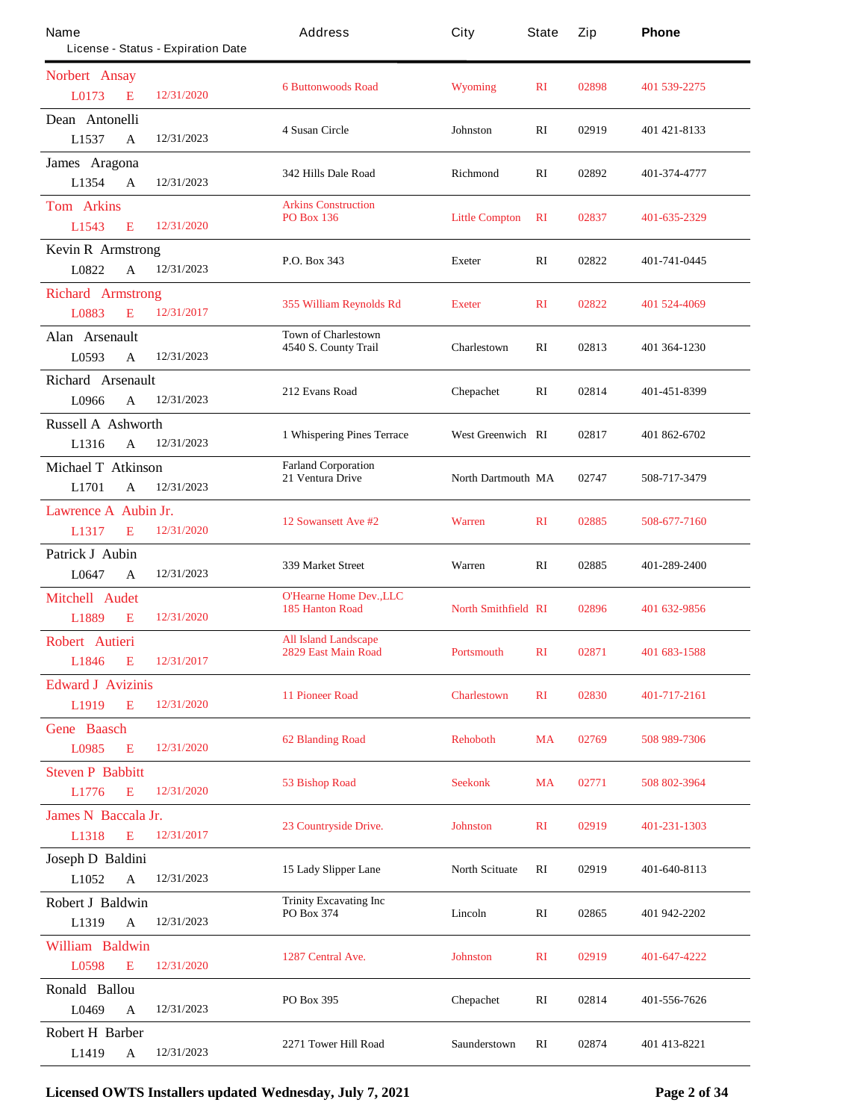| Name                              |              | License - Status - Expiration Date | Address                                                  | City                       | State        | Zip   | Phone        |
|-----------------------------------|--------------|------------------------------------|----------------------------------------------------------|----------------------------|--------------|-------|--------------|
| Norbert Ansay                     |              |                                    |                                                          |                            |              |       |              |
| L0173                             | E            | 12/31/2020                         | <b>6 Buttonwoods Road</b>                                | <b>Wyoming</b>             | $\mathbf{R}$ | 02898 | 401 539-2275 |
| Dean Antonelli                    |              |                                    | 4 Susan Circle                                           | Johnston                   | RI           | 02919 | 401 421 8133 |
| L1537                             | A            | 12/31/2023                         |                                                          |                            |              |       |              |
| James Aragona                     |              |                                    | 342 Hills Dale Road                                      | <b>Richmond</b>            | RI           | 02892 | 401-374-4777 |
| L1354                             | $\mathbf{A}$ | 12/31/2023                         |                                                          |                            |              |       |              |
| <b>Tom Arkins</b><br>L1543        | E            | 12/31/2020                         | <b>Arkins Construction</b><br><b>PO Box 136</b>          | <b>Little Compton</b>      | RI           | 02837 | 401-635-2329 |
|                                   |              |                                    |                                                          |                            |              |       |              |
| <b>Kevin R Armstrong</b><br>L0822 | A            | 12/31/2023                         | P.O. Box 343                                             | <b>Exeter</b>              | RI           | 02822 | 401-741-0445 |
|                                   |              |                                    |                                                          |                            |              |       |              |
| <b>Richard Armstrong</b>          |              | 12/31/2017                         | 355 William Reynolds Rd                                  | <b>Exeter</b>              | $\mathbf{R}$ | 02822 | 401 524-4069 |
| L0883                             | E            |                                    |                                                          |                            |              |       |              |
| Alan Arsenault                    |              |                                    | <b>Town of Charlestown</b><br>4540 S. County Trail       | Charlestown                | RI           | 02813 | 401 364-1230 |
| L0593                             | A            | 12/31/2023                         |                                                          |                            |              |       |              |
| Richard Arsenault                 |              |                                    | 212 Evans Road                                           | Chepachet                  | RI           | 02814 | 401-451-8399 |
| L0966                             | A            | 12/31/2023                         |                                                          |                            |              |       |              |
| <b>Russell A Ashworth</b>         |              |                                    | 1 Whispering Pines Terrace                               | <b>West Greenwich RI</b>   |              | 02817 | 401 862-6702 |
| L1316                             | A            | 12/31/2023                         |                                                          |                            |              |       |              |
| Michael T Atkinson                |              |                                    | <b>Farland Corporation</b><br>21 Ventura Drive           | <b>North Dartmouth MA</b>  |              | 02747 | 508-717-3479 |
| L1701                             | A            | 12/31/2023                         |                                                          |                            |              |       |              |
| <b>Lawrence A Aubin Jr.</b>       |              |                                    | 12 Sowansett Ave #2                                      | <b>Warren</b>              | $\mathbf{R}$ | 02885 | 508-677-7160 |
| L1317                             | E            | 12/31/2020                         |                                                          |                            |              |       |              |
| Patrick J Aubin                   |              |                                    | 339 Market Street                                        | Warren                     | RI           | 02885 | 401-289-2400 |
| L0647                             | A            | 12/31/2023                         |                                                          |                            |              |       |              |
| <b>Mitchell Audet</b>             |              |                                    | <b>O'Hearne Home Dev., LLC</b><br><b>185 Hanton Road</b> | <b>North Smithfield RI</b> |              | 02896 | 401 632-9856 |
| L1889                             | E            | 12/31/2020                         |                                                          |                            |              |       |              |
| Robert Autieri                    |              |                                    | <b>All Island Landscape</b>                              | <b>Portsmouth</b>          | $\mathbf{R}$ | 02871 |              |
| L1846                             | E            | 12/31/2017                         | 2829 East Main Road                                      |                            |              |       | 401 683-1588 |
| <b>Edward J Avizinis</b>          |              |                                    |                                                          |                            |              |       |              |
| L1919                             | E            | 12/31/2020                         | <b>11 Pioneer Road</b>                                   | <b>Charlestown</b>         | $\mathbf{R}$ | 02830 | 401-717-2161 |
| <b>Gene</b> Baasch                |              |                                    |                                                          |                            |              |       |              |
| L0985                             | E            | 12/31/2020                         | <b>62 Blanding Road</b>                                  | <b>Rehoboth</b>            | <b>MA</b>    | 02769 | 508 989-7306 |
| <b>Steven P Babbitt</b>           |              |                                    |                                                          |                            |              |       |              |
| L1776                             | E            | 12/31/2020                         | <b>53 Bishop Road</b>                                    | <b>Seekonk</b>             | <b>MA</b>    | 02771 | 508 802-3964 |
| <b>James N</b> Baccala Jr.        |              |                                    |                                                          |                            |              |       |              |
| L1318                             | E            | 12/31/2017                         | 23 Countryside Drive.                                    | <b>Johnston</b>            | $\mathbf{R}$ | 02919 | 401-231-1303 |
| Joseph D Baldini                  |              |                                    |                                                          |                            |              |       |              |
| L1052                             | $\mathbf{A}$ | 12/31/2023                         | 15 Lady Slipper Lane                                     | <b>North Scituate</b>      | RI           | 02919 | 401-640-8113 |
| <b>Robert J Baldwin</b>           |              |                                    | <b>Trinity Excavating Inc.</b>                           |                            |              |       |              |
| L1319                             | $\mathbf A$  | 12/31/2023                         | PO Box 374                                               | Lincoln                    | RI           | 02865 | 401 942-2202 |
| William Baldwin                   |              |                                    |                                                          |                            |              |       |              |
| L0598                             | E            | 12/31/2020                         | 1287 Central Ave.                                        | <b>Johnston</b>            | $\mathbf{R}$ | 02919 | 401-647-4222 |
| Ronald Ballou                     |              |                                    |                                                          |                            |              |       |              |
| L0469                             | A            | 12/31/2023                         | PO Box 395                                               | Chepachet                  | RI           | 02814 | 401-556-7626 |
| <b>Robert H Barber</b>            |              |                                    |                                                          |                            |              |       |              |
| L1419                             | A            | 12/31/2023                         | 2271 Tower Hill Road                                     | Saunderstown               | RI           | 02874 | 401 413-8221 |

**Licensed OWTS Installers updated Wednesday, July 7, 2021 Page 2 of 34**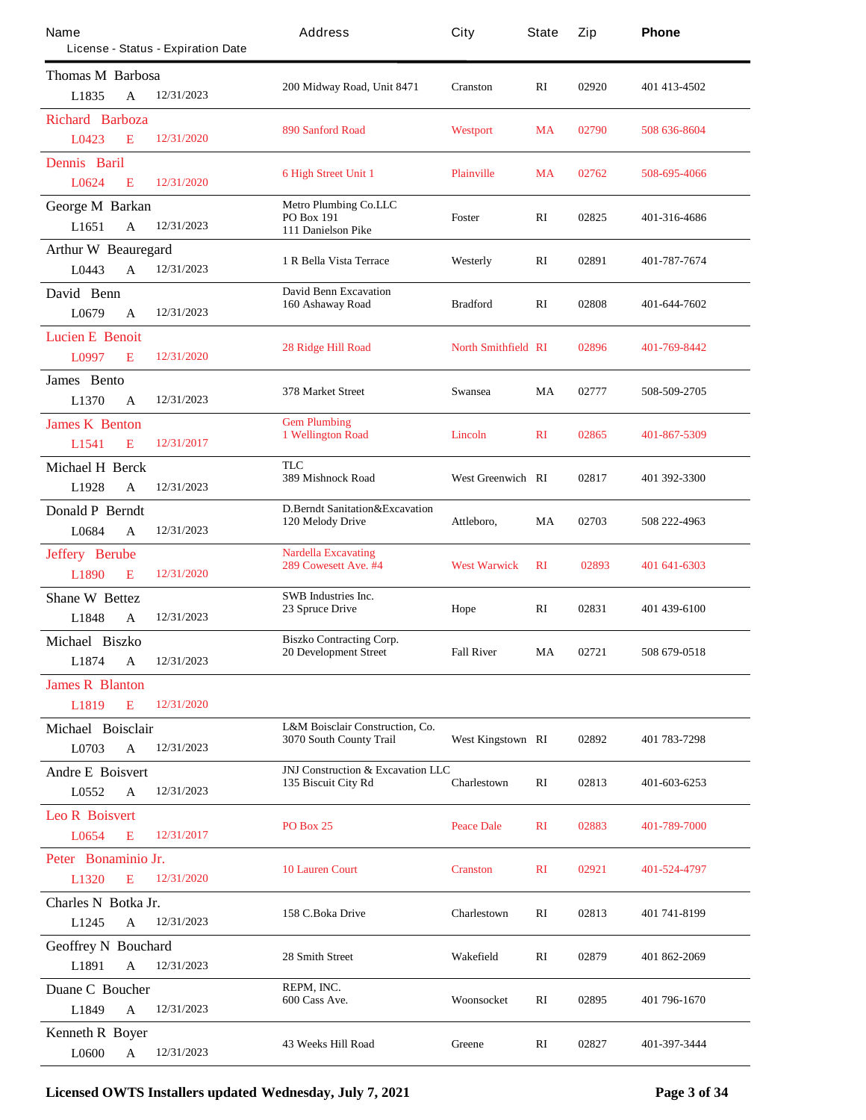| Name                           | License - Status - Expiration Date | Address                                                         | City                       | <b>State</b> | Zip   | Phone        |
|--------------------------------|------------------------------------|-----------------------------------------------------------------|----------------------------|--------------|-------|--------------|
| <b>Thomas M Barbosa</b>        |                                    |                                                                 |                            |              |       |              |
| L1835                          | 12/31/2023<br>A                    | 200 Midway Road, Unit 8471                                      | <b>Cranston</b>            | RI           | 02920 | 401 413 4502 |
| <b>Richard Barboza</b>         |                                    |                                                                 |                            |              |       |              |
| L0423                          | 12/31/2020<br>E                    | 890 Sanford Road                                                | Westport                   | <b>MA</b>    | 02790 | 508 636-8604 |
| <b>Dennis</b> Baril            |                                    |                                                                 |                            |              |       |              |
| L0624                          | 12/31/2020<br>E                    | <b>6 High Street Unit 1</b>                                     | <b>Plainville</b>          | <b>MA</b>    | 02762 | 508-695-4066 |
| <b>George M Barkan</b>         |                                    | <b>Metro Plumbing Co.LLC</b>                                    |                            |              |       |              |
| L1651                          | 12/31/2023<br>$\mathbf{A}$         | PO Box 191<br>111 Danielson Pike                                | Foster                     | RI           | 02825 | 401-316-4686 |
| <b>Arthur W Beauregard</b>     |                                    | 1 R Bella Vista Terrace                                         |                            | RI           | 02891 | 401-787-7674 |
| L0443                          | 12/31/2023<br>A                    |                                                                 | Westerly                   |              |       |              |
| David Benn                     |                                    | <b>David Benn Excavation</b><br>160 Ashaway Road                | <b>Bradford</b>            | RI           | 02808 | 401-644-7602 |
| L0679                          | 12/31/2023<br>A                    |                                                                 |                            |              |       |              |
| <b>Lucien E Benoit</b>         |                                    | <b>28 Ridge Hill Road</b>                                       | <b>North Smithfield RI</b> |              | 02896 | 401-769-8442 |
| L0997                          | E<br>12/31/2020                    |                                                                 |                            |              |       |              |
| James Bento                    |                                    | 378 Market Street                                               | Swansea                    | MA           | 02777 | 508-509-2705 |
| L1370                          | 12/31/2023<br>A                    |                                                                 |                            |              |       |              |
| <b>James K Benton</b>          |                                    | <b>Gem Plumbing</b><br>1 Wellington Road                        | Lincoln                    | $\mathbf{R}$ | 02865 | 401-867-5309 |
| L1541                          | 12/31/2017<br>E                    |                                                                 |                            |              |       |              |
| <b>Michael H Berck</b>         |                                    | TLC<br>389 Mishnock Road                                        | <b>West Greenwich RI</b>   |              | 02817 | 401 392-3300 |
| L1928                          | 12/31/2023<br>$\mathbf{A}$         |                                                                 |                            |              |       |              |
| <b>Donald P Berndt</b>         |                                    | <b>D.Bemdt Sanitation&amp;Excavation</b><br>120 Melody Drive    | Attleboro,                 | MA           | 02703 | 508 222-4963 |
| L0684                          | 12/31/2023<br>A                    |                                                                 |                            |              |       |              |
| <b>Jeffery Berube</b>          |                                    | <b>Nardella Excavating</b><br>289 Cowesett Ave. #4              | <b>West Warwick</b>        | $\mathbf{R}$ | 02893 | 401 641-6303 |
| L1890                          | 12/31/2020<br>E                    |                                                                 |                            |              |       |              |
| <b>Shane W Bettez</b><br>L1848 | 12/31/2023                         | <b>SWB</b> Industries Inc.<br>23 Spruce Drive                   | Hope                       | RI           | 02831 | 401 439-6100 |
|                                | A                                  |                                                                 |                            |              |       |              |
| Michael Biszko<br>L1874        | $\mathbf A$<br>12/31/2023          | <b>Biszko Contracting Corp.</b><br><b>20 Development Street</b> | <b>Fall River</b>          | MA           | 02721 | 508 679-0518 |
| <b>James R Blanton</b>         |                                    |                                                                 |                            |              |       |              |
| L1819                          | E<br>12/31/2020                    |                                                                 |                            |              |       |              |
| Michael Boisclair              |                                    | <b>L&amp;M Boisclair Construction, Co.</b>                      |                            |              |       |              |
| L0703                          | 12/31/2023<br>A                    | 3070 South County Trail                                         | West Kingstown RI          |              | 02892 | 401 783-7298 |
| <b>Andre E Boisvert</b>        |                                    | JNJ Construction & Excavation LLC                               |                            |              |       |              |
| L0552                          | 12/31/2023<br>A                    | 135 Biscuit City Rd                                             | <b>Charlestown</b>         | RI           | 02813 | 401-603-6253 |
| <b>Leo R Boisvert</b>          |                                    |                                                                 |                            |              |       |              |
| L0654                          | 12/31/2017<br>E                    | <b>PO Box 25</b>                                                | <b>Peace Dale</b>          | $\mathbf{R}$ | 02883 | 401-789-7000 |
| Peter Bonaminio Jr.            |                                    |                                                                 |                            |              |       |              |
| L1320                          | 12/31/2020<br>E                    | <b>10 Lauren Court</b>                                          | <b>Cranston</b>            | $\mathbf{R}$ | 02921 | 401-524-4797 |
| Charles N Botka Jr.            |                                    |                                                                 |                            |              |       |              |
| L1245                          | 12/31/2023<br>A                    | 158 C.Boka Drive                                                | Charlestown                | RI           | 02813 | 401 741 8199 |
| <b>Geoffrey N Bouchard</b>     |                                    |                                                                 |                            |              |       |              |
| L1891                          | 12/31/2023<br>A                    | 28 Smith Street                                                 | Wakefield                  | RI           | 02879 | 401 862-2069 |
| Duane C Boucher                |                                    | REPM, INC.                                                      |                            |              |       |              |
| L1849                          | 12/31/2023<br>A                    | 600 Cass Ave.                                                   | Woonsocket                 | RI           | 02895 | 401 796-1670 |
| <b>Kenneth R Boyer</b>         |                                    |                                                                 |                            |              |       |              |
| L0600                          | 12/31/2023<br>A                    | <b>43 Weeks Hill Road</b>                                       | Greene                     | RI           | 02827 | 401-397-3444 |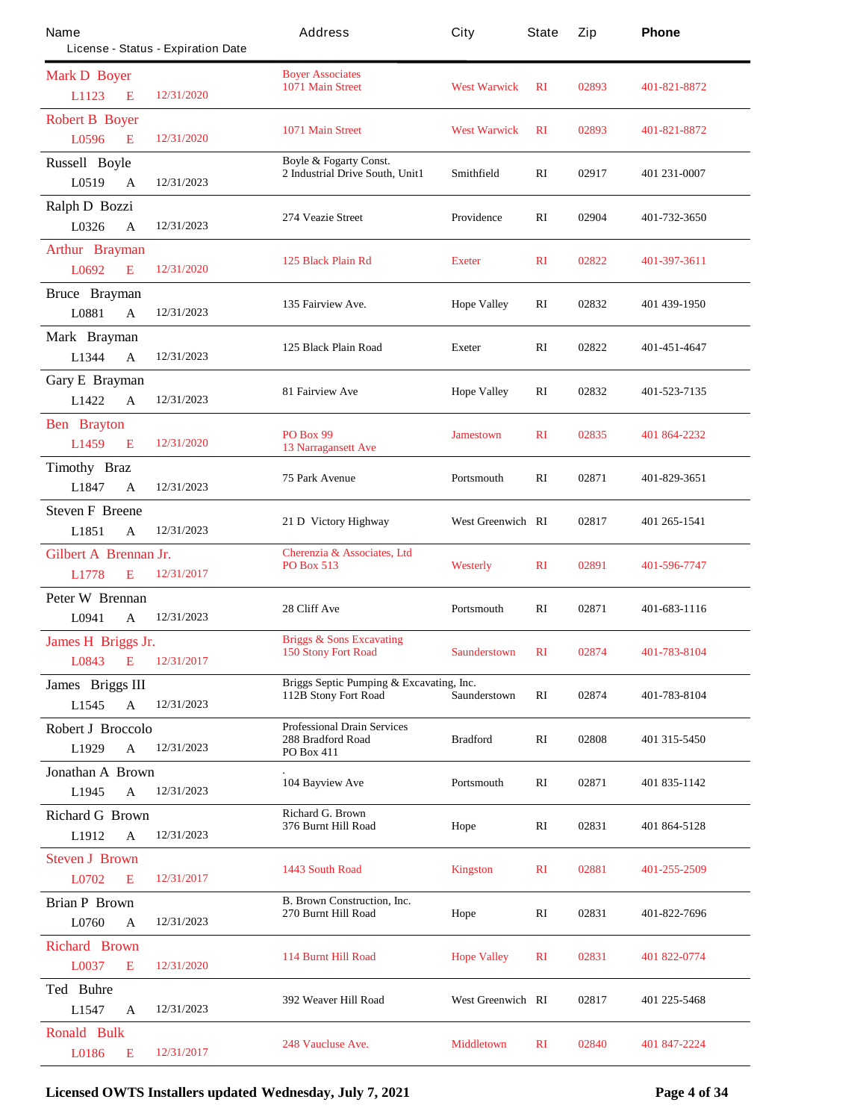| Name                         | License - Status - Expiration Date | Address                                                                 | City                     | <b>State</b> | Zip   | Phone        |
|------------------------------|------------------------------------|-------------------------------------------------------------------------|--------------------------|--------------|-------|--------------|
| <b>Mark D Boyer</b>          |                                    | <b>Boyer Associates</b>                                                 |                          |              |       |              |
| L1123<br>E                   | 12/31/2020                         | 1071 Main Street                                                        | <b>West Warwick</b>      | RI           | 02893 | 401-821-8872 |
| <b>Robert B Boyer</b>        |                                    | 1071 Main Street                                                        | <b>West Warwick</b>      | $\mathbf{R}$ | 02893 | 401-821-8872 |
| L0596<br>E                   | 12/31/2020                         |                                                                         |                          |              |       |              |
| <b>Russell Boyle</b>         |                                    | <b>Boyle &amp; Fogarty Const.</b><br>2 Industrial Drive South, Unit1    | Smithfield               | RI           | 02917 | 401 231-0007 |
| L0519<br>$\mathbf A$         | 12/31/2023                         |                                                                         |                          |              |       |              |
| Ralph D Bozzi                |                                    | 274 Veazie Street                                                       | Providence               | RI           | 02904 | 401-732-3650 |
| L0326<br>A                   | 12/31/2023                         |                                                                         |                          |              |       |              |
| <b>Arthur Brayman</b>        |                                    | 125 Black Plain Rd                                                      | <b>Exeter</b>            | $\mathbf{R}$ | 02822 | 401-397-3611 |
| L0692<br>E                   | 12/31/2020                         |                                                                         |                          |              |       |              |
| <b>Bruce Brayman</b>         |                                    | 135 Fairview Ave.                                                       | <b>Hope Valley</b>       | RI           | 02832 | 401 439-1950 |
| L0881<br>A                   | 12/31/2023                         |                                                                         |                          |              |       |              |
| Mark Brayman                 |                                    | 125 Black Plain Road                                                    | <b>Exeter</b>            | RI           | 02822 | 401-451-4647 |
| L1344<br>$\mathbf{A}$        | 12/31/2023                         |                                                                         |                          |              |       |              |
| Gary E Brayman               |                                    | 81 Fairview Ave                                                         | <b>Hope Valley</b>       | RI           | 02832 | 401-523-7135 |
| L1422<br>A                   | 12/31/2023                         |                                                                         |                          |              |       |              |
| <b>Ben</b> Brayton           |                                    | <b>PO Box 99</b>                                                        | <b>Jamestown</b>         | $\mathbf{R}$ | 02835 | 401 864-2232 |
| L1459<br>E                   | 12/31/2020                         | <b>13 Narragansett Ave</b>                                              |                          |              |       |              |
| Timothy Braz                 |                                    | <b>75 Park Avenue</b>                                                   | Portsmouth               | RI           | 02871 | 401-829-3651 |
| L1847<br>A                   | 12/31/2023                         |                                                                         |                          |              |       |              |
| <b>Steven F Breene</b>       |                                    | 21 D Victory Highway                                                    | <b>West Greenwich RI</b> |              | 02817 | 401 265-1541 |
| L1851<br>$\mathbf A$         | 12/31/2023                         |                                                                         |                          |              |       |              |
| <b>Gilbert A</b> Brennan Jr. |                                    | Cherenzia & Associates, Ltd<br><b>PO Box 513</b>                        | <b>Westerly</b>          | $\mathbf{R}$ | 02891 | 401-596-7747 |
| L1778<br>E                   | 12/31/2017                         |                                                                         |                          |              |       |              |
| <b>Peter W Brennan</b>       |                                    | 28 Cliff Ave                                                            | Portsmouth               | RI           | 02871 | 401-683-1116 |
| L0941<br>A                   | 12/31/2023                         |                                                                         |                          |              |       |              |
| James H Briggs Jr.           |                                    | <b>Briggs &amp; Sons Excavating</b>                                     | <b>Saunderstown</b>      | $\mathbf{R}$ |       | 401-783-8104 |
| <b>L0843</b><br>E            | 12/31/2017                         | <b>150 Stony Fort Road</b>                                              |                          |              | 02874 |              |
| James Briggs III             |                                    | Briggs Septic Pumping & Excavating, Inc.<br><b>112B Stony Fort Road</b> | Saunderstown             | RI           | 02874 | 401-783-8104 |
| L1545<br>$\mathbf{A}$        | 12/31/2023                         |                                                                         |                          |              |       |              |
| <b>Robert J Broccolo</b>     |                                    | <b>Professional Drain Services</b><br>288 Bradford Road                 | <b>Bradford</b>          | RI           | 02808 | 401 315-5450 |
| L1929<br>A                   | 12/31/2023                         | <b>PO Box 411</b>                                                       |                          |              |       |              |
| <b>Jonathan A Brown</b>      |                                    | <b>104 Bayview Ave</b>                                                  | Portsmouth               | RI           | 02871 | 401 835-1142 |
| L1945<br>A                   | 12/31/2023                         |                                                                         |                          |              |       |              |
| <b>Richard G Brown</b>       |                                    | <b>Richard G. Brown</b><br>376 Burnt Hill Road                          | Hope                     | RI           | 02831 | 401 864-5128 |
| L1912<br>A                   | 12/31/2023                         |                                                                         |                          |              |       |              |
| <b>Steven J Brown</b>        |                                    | 1443 South Road                                                         | <b>Kingston</b>          | $\mathbf{R}$ | 02881 | 401-255-2509 |
| L0702<br>E                   | 12/31/2017                         |                                                                         |                          |              |       |              |
| <b>Brian P Brown</b>         |                                    | <b>B. Brown Construction, Inc.</b><br>270 Burnt Hill Road               | Hope                     | RI           | 02831 | 401-822-7696 |
| L0760<br>A                   | 12/31/2023                         |                                                                         |                          |              |       |              |
| <b>Richard Brown</b>         |                                    | <b>114 Burnt Hill Road</b>                                              | <b>Hope Valley</b>       | $\mathbf{R}$ | 02831 | 401 822-0774 |
| L0037<br>E                   | 12/31/2020                         |                                                                         |                          |              |       |              |
| <b>Ted Buhre</b>             |                                    | 392 Weaver Hill Road                                                    | <b>West Greenwich RI</b> |              | 02817 | 401 225-5468 |
| L1547<br>A                   | 12/31/2023                         |                                                                         |                          |              |       |              |
| <b>Ronald Bulk</b>           |                                    | <b>248 Vaucluse Ave.</b>                                                | <b>Middletown</b>        | $\mathbf{R}$ | 02840 | 401 847-2224 |
| L0186<br>Е                   | 12/31/2017                         |                                                                         |                          |              |       |              |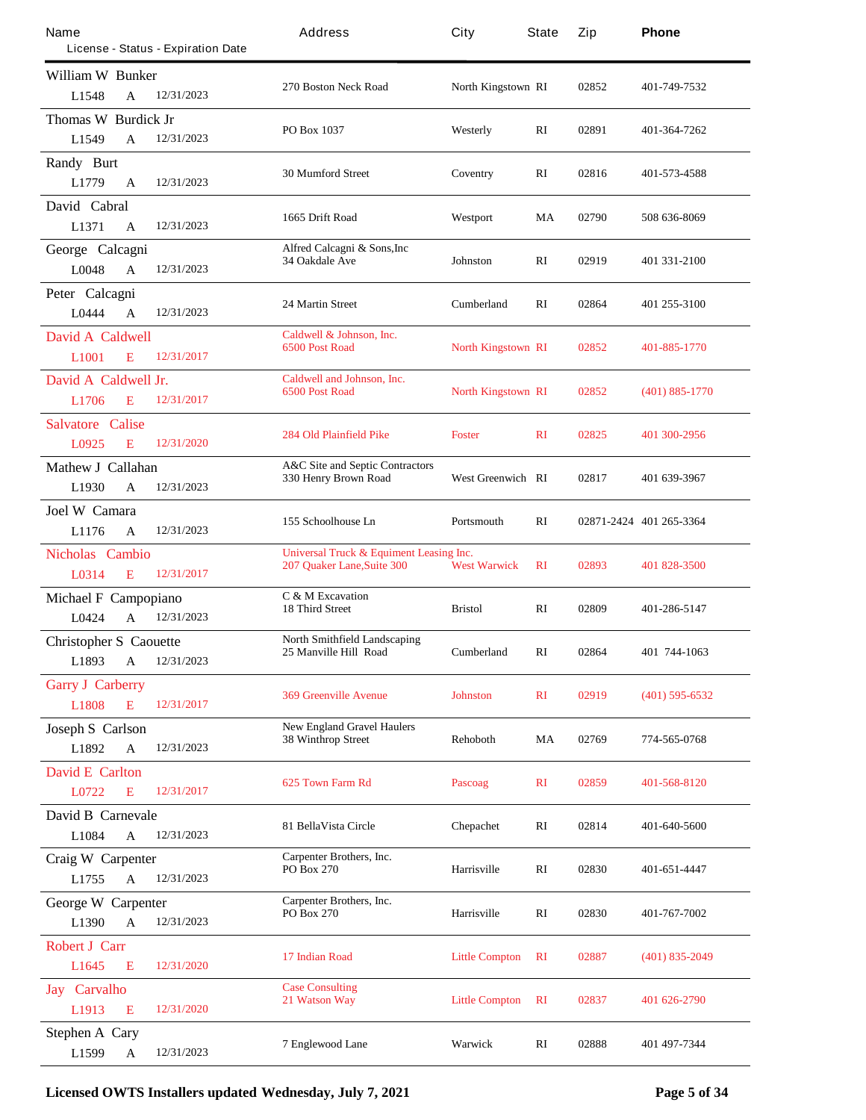| Name                          |               |                                    | Address                                        | City                      | <b>State</b> | Zip   | Phone                   |
|-------------------------------|---------------|------------------------------------|------------------------------------------------|---------------------------|--------------|-------|-------------------------|
|                               |               | License - Status - Expiration Date |                                                |                           |              |       |                         |
| <b>William W Bunker</b>       |               |                                    | 270 Boston Neck Road                           | North Kingstown RI        |              | 02852 | 401-749-7532            |
| L1548                         | A             | 12/31/2023                         |                                                |                           |              |       |                         |
| Thomas W Burdick Jr           |               |                                    | PO Box 1037                                    | Westerly                  | RI           | 02891 | 401-364-7262            |
| L1549                         | $\mathbf{A}$  | 12/31/2023                         |                                                |                           |              |       |                         |
| Randy Burt                    |               |                                    | <b>30 Mumford Street</b>                       | Coventry                  | RI           | 02816 | 401-573-4588            |
| L1779                         | A             | 12/31/2023                         |                                                |                           |              |       |                         |
| David Cabral                  |               |                                    | 1665 Drift Road                                | Westport                  | MA           | 02790 | 508 636-8069            |
| L1371                         | $\mathbf{A}$  | 12/31/2023                         |                                                |                           |              |       |                         |
| George Calcagni               |               |                                    | Alfred Calcagni & Sons, Inc.<br>34 Oakdale Ave | <b>Johnston</b>           | RI           | 02919 | 401 331 2100            |
| L0048                         | $\mathbf{A}$  | 12/31/2023                         |                                                |                           |              |       |                         |
| Peter Calcagni                |               |                                    | <b>24 Martin Street</b>                        | <b>Cumberland</b>         | RI           | 02864 | 401 255-3100            |
| L0444                         | A             | 12/31/2023                         |                                                |                           |              |       |                         |
| David A Caldwell              |               |                                    | Caldwell & Johnson, Inc.                       |                           |              |       |                         |
| L <sub>1001</sub>             | E             | 12/31/2017                         | <b>6500 Post Road</b>                          | <b>North Kingstown RI</b> |              | 02852 | 401-885-1770            |
| David A Caldwell Jr.          |               |                                    | Caldwell and Johnson, Inc.                     |                           |              |       |                         |
| L1706                         | Е             | 12/31/2017                         | <b>6500 Post Road</b>                          | <b>North Kingstown RI</b> |              | 02852 | $(401) 885 - 1770$      |
| Salvatore                     | <b>Calise</b> |                                    |                                                |                           |              |       |                         |
| L0925                         | E             | 12/31/2020                         | <b>284 Old Plainfield Pike</b>                 | <b>Foster</b>             | $\mathbf{R}$ | 02825 | 401 300-2956            |
| Mathew J Callahan             |               |                                    | <b>A&amp;C Site and Septic Contractors</b>     |                           |              |       |                         |
| L1930                         | A             | 12/31/2023                         | 330 Henry Brown Road                           | <b>West Greenwich RI</b>  |              | 02817 | 401 639-3967            |
| Joel W Camara                 |               |                                    |                                                |                           |              |       |                         |
| L1176                         | A             | 12/31/2023                         | 155 Schoolhouse Ln                             | Portsmouth                | $\mathbf{R}$ |       | 02871-2424 401 265-3364 |
| <b>Nicholas Cambio</b>        |               |                                    | Universal Truck & Equiment Leasing Inc.        |                           |              |       |                         |
| L0314                         | E             | 12/31/2017                         | 207 Quaker Lane, Suite 300                     | <b>West Warwick</b>       | $\mathbf{R}$ | 02893 | 401 828-3500            |
| Michael F Campopiano          |               |                                    | C & M Excavation                               |                           |              |       |                         |
| L0424                         | $\mathbf{A}$  | 12/31/2023                         | <b>18 Third Street</b>                         | <b>Bristol</b>            | RI           | 02809 | 401-286-5147            |
| <b>Christopher S</b> Caouette |               |                                    | <b>North Smithfield Landscaping</b>            |                           |              |       |                         |
| L1893                         | A             | 12/31/2023                         | 25 Manville Hill Road                          | <b>Cumberland</b>         | $\mathbf{R}$ | 02864 | 401 744-1063            |
| <b>Garry J Carberry</b>       |               |                                    |                                                |                           |              |       |                         |
| L1808                         | E             | 12/31/2017                         | <b>369 Greenville Avenue</b>                   | <b>Johnston</b>           | $\mathbf{R}$ | 02919 | $(401)$ 595-6532        |
| <b>Joseph S Carlson</b>       |               |                                    | <b>New England Gravel Haulers</b>              |                           |              |       |                         |
| L1892                         | $\mathbf A$   | 12/31/2023                         | <b>38 Winthrop Street</b>                      | <b>Rehoboth</b>           | MA           | 02769 | 774-565-0768            |
| <b>David E Carlton</b>        |               |                                    |                                                |                           |              |       |                         |
| L0722                         | E             | 12/31/2017                         | 625 Town Farm Rd                               | <b>Pascoag</b>            | $\mathbf{R}$ | 02859 | 401-568-8120            |
| David B Camevale              |               |                                    |                                                |                           |              |       |                         |
| L1084                         | $\mathbf A$   | 12/31/2023                         | 81 BellaVista Circle                           | <b>Chepachet</b>          | RI           | 02814 | 401-640-5600            |
| Craig W Carpenter             |               |                                    | Carpenter Brothers, Inc.                       |                           |              |       |                         |
| L1755                         | $\mathbf{A}$  | 12/31/2023                         | PO Box 270                                     | <b>Harrisville</b>        | RI           | 02830 | 401-651-4447            |
| <b>George W Carpenter</b>     |               |                                    | Carpenter Brothers, Inc.                       |                           |              |       |                         |
| L1390                         | A             | 12/31/2023                         | <b>PO Box 270</b>                              | <b>Harrisville</b>        | RI           | 02830 | 401-767-7002            |
| <b>Robert J Carr</b>          |               |                                    |                                                |                           |              |       |                         |
| L1645                         | E             | 12/31/2020                         | 17 Indian Road                                 | <b>Little Compton</b>     | $\mathbf{R}$ | 02887 | $(401)$ 835-2049        |
| <b>Jay</b> Carvalho           |               |                                    | <b>Case Consulting</b>                         |                           |              |       |                         |
| L1913                         | E             | 12/31/2020                         | 21 Watson Way                                  | <b>Little Compton</b>     | $\mathbf{R}$ | 02837 | 401 626-2790            |
| <b>Stephen A Cary</b>         |               |                                    |                                                |                           |              |       |                         |
| L1599                         | A             | 12/31/2023                         | <b>7 Englewood Lane</b>                        | Warwick                   | RI           | 02888 | 401 497-7344            |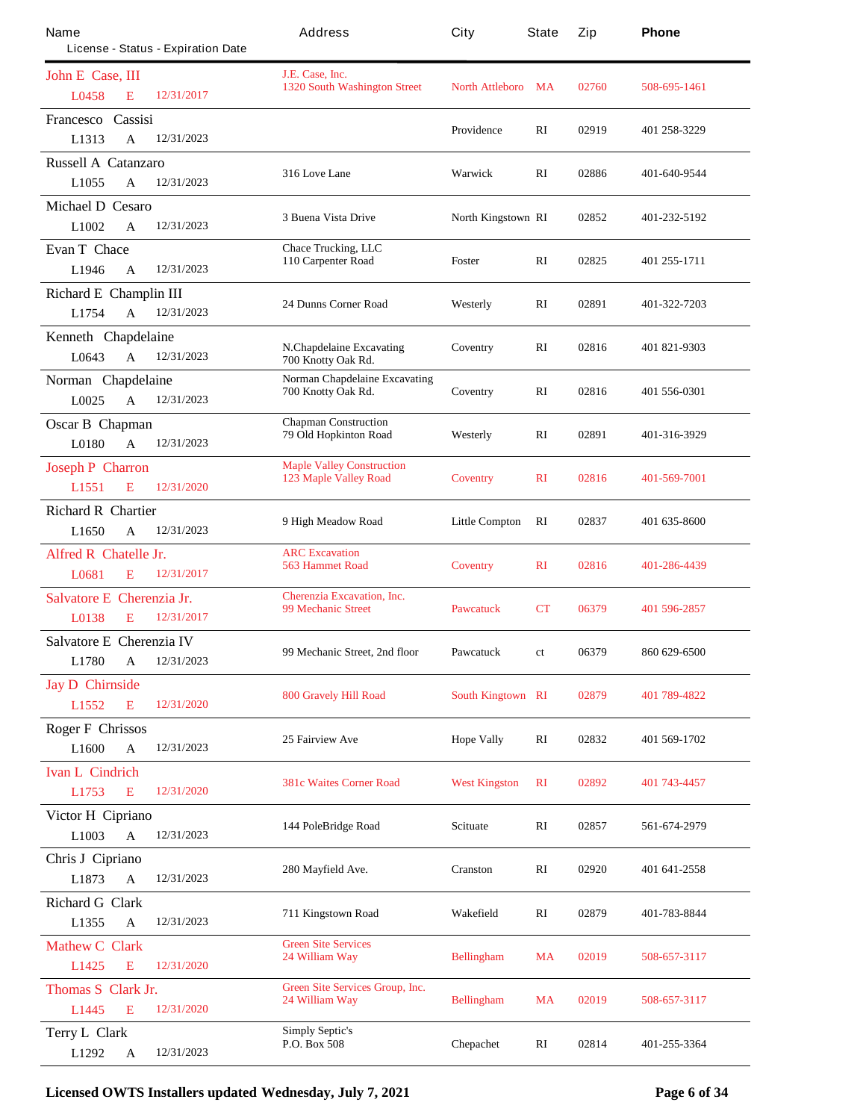| Name<br>License - Status - Expiration Date |            | Address                                                  | City                     | <b>State</b> | Zip   | Phone          |
|--------------------------------------------|------------|----------------------------------------------------------|--------------------------|--------------|-------|----------------|
| John E Case, III                           |            | J.E. Case, Inc.                                          |                          |              |       |                |
| <b>L0458</b><br>E                          | 12/31/2017 | <b>1320 South Washington Street</b>                      | <b>North Attleboro</b>   | MA           | 02760 | 508-695-1461   |
| <b>Francesco Cassisi</b>                   |            |                                                          | <b>Providence</b>        | $\mathbf{R}$ | 02919 | 401 258-3229   |
| L1313<br>$\mathbf{A}$                      | 12/31/2023 |                                                          |                          |              |       |                |
| <b>Russell A Catanzaro</b>                 |            |                                                          |                          |              |       |                |
| L1055<br>A                                 | 12/31/2023 | 316 Love Lane                                            | Warwick                  | RI           | 02886 | 401-640-9544   |
| <b>Michael D Cesaro</b>                    |            |                                                          |                          |              |       |                |
| L1002<br>A                                 | 12/31/2023 | <b>3 Buena Vista Drive</b>                               | North Kingstown RI       |              | 02852 | 401-232-5192   |
| <b>Evan T</b> Chace                        |            | <b>Chace Trucking, LLC</b>                               |                          |              |       |                |
| L1946<br>A                                 | 12/31/2023 | 110 Carpenter Road                                       | <b>Foster</b>            | RI           | 02825 | 401 255-1711   |
| Richard E Champlin III                     |            |                                                          |                          |              |       |                |
| L1754<br>A                                 | 12/31/2023 | <b>24 Dunns Corner Road</b>                              | Westerly                 | RI           | 02891 | 401-322-7203   |
| Kenneth Chapdelaine                        |            |                                                          |                          |              |       |                |
| L0643<br>$\mathbf{A}$                      | 12/31/2023 | N.Chapdelaine Excavating<br>700 Knotty Oak Rd.           | Coventry                 | RI           | 02816 | 401 821-9303   |
| Norman Chapdelaine                         |            | <b>Norman Chapdelaine Excavating</b>                     |                          |              |       |                |
| L0025<br>A                                 | 12/31/2023 | 700 Knotty Oak Rd.                                       | Coventry                 | RI           | 02816 | 401 556-0301   |
| <b>Oscar B</b> Chapman                     |            | <b>Chapman Construction</b>                              |                          |              |       |                |
| L0180<br>$\mathbf{A}$                      | 12/31/2023 | 79 Old Hopkinton Road                                    | Westerly                 | RI           | 02891 | 401-316-3929   |
| <b>Joseph P Charron</b>                    |            | <b>Maple Valley Construction</b>                         |                          |              |       |                |
| L1551<br>E                                 | 12/31/2020 | <b>123 Maple Valley Road</b>                             | <b>Coventry</b>          | $\mathbf{R}$ | 02816 | 401-569-7001   |
| <b>Richard R Chartier</b>                  |            |                                                          |                          |              |       |                |
| L1650<br>A                                 | 12/31/2023 | 9 High Meadow Road                                       | <b>Little Compton</b>    | RI           | 02837 | 401 635-8600   |
| <b>Alfred R Chatelle Jr.</b>               |            | <b>ARC</b> Excavation                                    |                          |              |       |                |
| L0681<br>E                                 | 12/31/2017 | <b>563 Hammet Road</b>                                   | <b>Coventry</b>          | $\mathbf{R}$ | 02816 | 401-286-4439   |
| <b>Salvatore E</b> Cherenzia Jr.           |            | <b>Cherenzia Excavation, Inc.</b>                        |                          |              |       |                |
| L0138<br>E                                 | 12/31/2017 | <b>99 Mechanic Street</b>                                | <b>Pawcatuck</b>         | CT           | 06379 | 401 596-2857   |
|                                            |            |                                                          |                          |              |       |                |
| Salvatore E Cherenzia IV                   | 12/31/2023 | 99 Mechanic Street, 2nd floor                            | <b>Pawcatuck</b>         | ct           | 06379 | 860 629-6500   |
| <b>L1780</b><br>A                          |            |                                                          |                          |              |       |                |
| <b>Jay D</b> Chimside<br>E                 | 12/31/2020 | <b>800 Gravely Hill Road</b>                             | <b>South Kingtown RI</b> |              | 02879 | 401 789-4822   |
| L1552                                      |            |                                                          |                          |              |       |                |
| <b>Roger F Chrissos</b>                    |            | 25 Fairview Ave                                          | <b>Hope Vally</b>        | RI           | 02832 | 401 569-1702   |
| L1600<br>A                                 | 12/31/2023 |                                                          |                          |              |       |                |
| <b>Ivan L</b> Cindrich                     |            | <b>381c Waites Corner Road</b>                           | <b>West Kingston</b>     | $\mathbf{R}$ | 02892 | 401 743-4457   |
| L1753<br>E                                 | 12/31/2020 |                                                          |                          |              |       |                |
| Victor H Cipriano                          |            | 144 PoleBridge Road                                      | <b>Scituate</b>          | RI           | 02857 | 561-674-2979   |
| L1003<br>$\mathbf A$                       | 12/31/2023 |                                                          |                          |              |       |                |
| Chris J Cipriano                           |            | 280 Mayfield Ave.                                        | Cranston                 | RI           | 02920 | 401 641 - 2558 |
| L1873<br>$\mathbf A$                       | 12/31/2023 |                                                          |                          |              |       |                |
| <b>Richard G Clark</b>                     |            | 711 Kingstown Road                                       | Wakefield                | RI           | 02879 | 401-783-8844   |
| L1355<br>A                                 | 12/31/2023 |                                                          |                          |              |       |                |
| <b>Mathew C Clark</b>                      |            | <b>Green Site Services</b><br>24 William Way             | <b>Bellingham</b>        | <b>MA</b>    | 02019 | 508-657-3117   |
| L1425<br>E                                 | 12/31/2020 |                                                          |                          |              |       |                |
| Thomas S Clark Jr.                         |            | <b>Green Site Services Group, Inc.</b><br>24 William Way | <b>Bellingham</b>        | <b>MA</b>    | 02019 | 508-657-3117   |
| L1445<br>E                                 | 12/31/2020 |                                                          |                          |              |       |                |
| Terry L Clark                              |            | <b>Simply Septic's</b><br>P.O. Box 508                   | Chepachet                | RI           | 02814 | 401-255-3364   |
| L1292<br>A                                 | 12/31/2023 |                                                          |                          |              |       |                |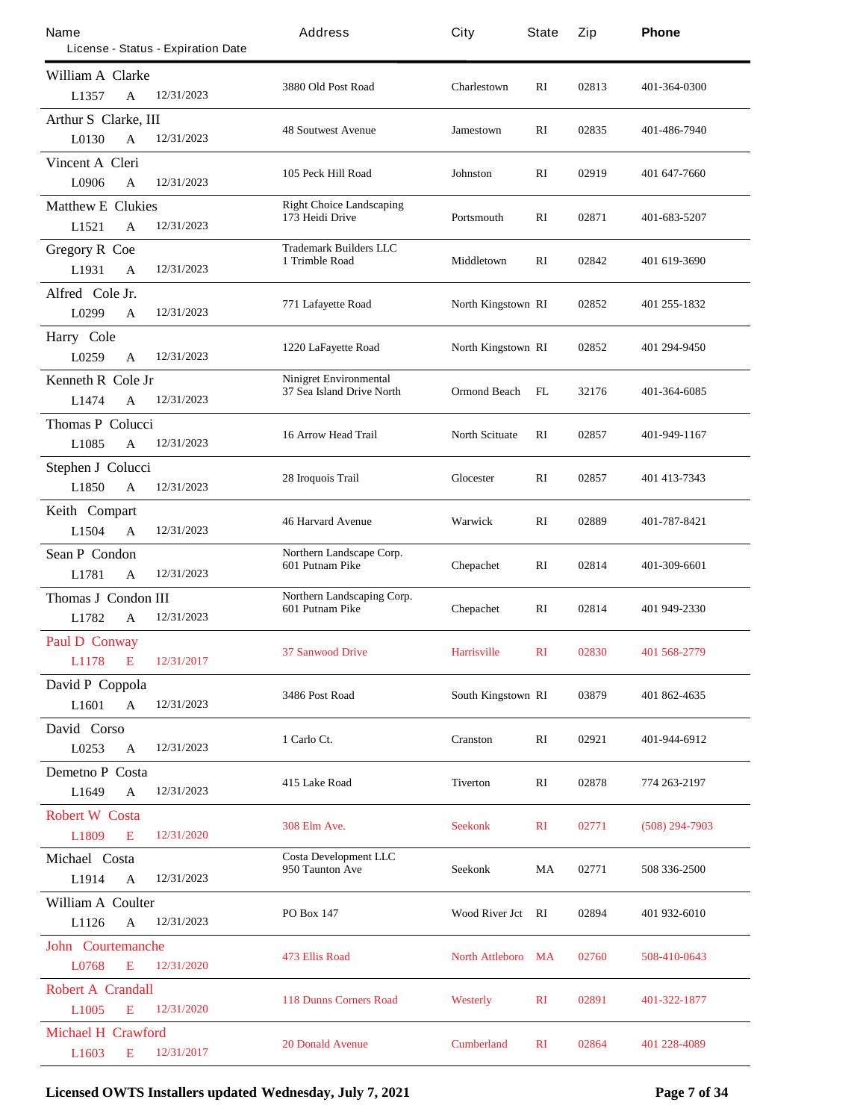| Name                      |                                    | Address                                                    | City                      | <b>State</b> | Zip   | Phone            |
|---------------------------|------------------------------------|------------------------------------------------------------|---------------------------|--------------|-------|------------------|
|                           | License - Status - Expiration Date |                                                            |                           |              |       |                  |
| William A Clarke          |                                    | 3880 Old Post Road                                         | Charlestown               | RI           | 02813 | 401-364-0300     |
| L1357<br>A                | 12/31/2023                         |                                                            |                           |              |       |                  |
| Arthur S Clarke, III      |                                    | <b>48 Soutwest Avenue</b>                                  | Jamestown                 | RI           | 02835 | 401-486-7940     |
| L0130<br>A                | 12/31/2023                         |                                                            |                           |              |       |                  |
| Vincent A Cleri           |                                    | 105 Peck Hill Road                                         | Johnston                  | RI           | 02919 | 401 647-7660     |
| L0906<br>A                | 12/31/2023                         |                                                            |                           |              |       |                  |
| <b>Matthew E Clukies</b>  |                                    | <b>Right Choice Landscaping</b><br>173 Heidi Drive         | Portsmouth                | RI           | 02871 | 401-683-5207     |
| L1521<br>A                | 12/31/2023                         |                                                            |                           |              |       |                  |
| <b>Gregory R Coe</b>      |                                    | <b>Trademark Builders LLC</b><br>1 Trimble Road            | Middletown                | RI           | 02842 | 401 619-3690     |
| L1931<br>A                | 12/31/2023                         |                                                            |                           |              |       |                  |
| Alfred Cole Jr.           |                                    | 771 Lafayette Road                                         | North Kingstown RI        |              | 02852 | 401 255-1832     |
| L0299<br>A                | 12/31/2023                         |                                                            |                           |              |       |                  |
| Harry Cole                |                                    | 1220 LaFayette Road                                        | North Kingstown RI        |              | 02852 | 401 294-9450     |
| L0259<br>$\mathbf{A}$     | 12/31/2023                         |                                                            |                           |              |       |                  |
| Kenneth R Cole Jr         |                                    | <b>Ninigret Environmental</b><br>37 Sea Island Drive North | <b>Ormond Beach</b>       | FL           | 32176 |                  |
| L1474<br>A                | 12/31/2023                         |                                                            |                           |              |       | 401-364-6085     |
| <b>Thomas P Colucci</b>   |                                    |                                                            |                           |              |       |                  |
| L1085<br>$\mathbf{A}$     | 12/31/2023                         | 16 Arrow Head Trail                                        | <b>North Scituate</b>     | $\mathbf{R}$ | 02857 | 401-949-1167     |
| Stephen J Colucci         |                                    |                                                            |                           |              |       |                  |
| L1850<br>A                | 12/31/2023                         | 28 Iroquois Trail                                          | <b>Glocester</b>          | RI           | 02857 | 401 413-7343     |
| Keith Compart             |                                    |                                                            |                           |              |       |                  |
| L1504<br>$\mathbf{A}$     | 12/31/2023                         | <b>46 Harvard Avenue</b>                                   | Warwick                   | RI           | 02889 | 401-787-8421     |
| <b>Sean P Condon</b>      |                                    | Northern Landscape Corp.                                   |                           |              |       |                  |
| L1781<br>$\mathbf{A}$     | 12/31/2023                         | 601 Putnam Pike                                            | <b>Chepachet</b>          | RI           | 02814 | 401-309-6601     |
| Thomas J Condon III       |                                    | Northern Landscaping Corp.                                 |                           |              |       |                  |
| L1782<br>A                | 12/31/2023                         | 601 Putnam Pike                                            | <b>Chepachet</b>          | RI           | 02814 | 401 949-2330     |
| <b>Paul D Conway</b>      |                                    |                                                            |                           |              |       |                  |
| L1178<br>$\mathbf{E}$     | 12/31/2017                         | <b>37 Sanwood Drive</b>                                    | <b>Harrisville</b>        | $\mathbf{R}$ | 02830 | 401 568-2779     |
| David P Coppola           |                                    |                                                            |                           |              |       |                  |
| L1601<br>$\mathbf{A}$     | 12/31/2023                         | 3486 Post Road                                             | <b>South Kingstown RI</b> |              | 03879 | 401 862-4635     |
| David Corso               |                                    |                                                            |                           |              |       |                  |
| L0253<br>$\mathbf{A}$     | 12/31/2023                         | 1 Carlo Ct.                                                | <b>Cranston</b>           | RI           | 02921 | 401-944-6912     |
| <b>Demetno P Costa</b>    |                                    |                                                            |                           |              |       |                  |
| L1649<br>$\mathbf A$      | 12/31/2023                         | 415 Lake Road                                              | <b>Tiverton</b>           | RI           | 02878 | 774 263-2197     |
| <b>Robert W</b> Costa     |                                    |                                                            |                           |              |       |                  |
| L1809<br>E                | 12/31/2020                         | <b>308 Elm Ave.</b>                                        | <b>Seekonk</b>            | $\mathbf{R}$ | 02771 | $(508)$ 294-7903 |
| Michael Costa             |                                    | <b>Costa Development LLC</b>                               |                           |              |       |                  |
| L1914<br>A                | 12/31/2023                         | 950 Taunton Ave                                            | <b>Seekonk</b>            | MA           | 02771 | 508 336-2500     |
| <b>William A Coulter</b>  |                                    |                                                            |                           |              |       |                  |
| L1126<br>$\mathbf{A}$     | 12/31/2023                         | <b>PO Box 147</b>                                          | Wood River Jct RI         |              | 02894 | 401 932-6010     |
| <b>John Courtemanche</b>  |                                    |                                                            |                           |              |       |                  |
| L0768<br>E                | 12/31/2020                         | <b>473 Ellis Road</b>                                      | <b>North Attleboro</b> MA |              | 02760 | 508-410-0643     |
| <b>Robert A Crandall</b>  |                                    |                                                            |                           |              |       |                  |
| L1005<br>E                | 12/31/2020                         | <b>118 Dunns Corners Road</b>                              | <b>Westerly</b>           | $\mathbf{R}$ | 02891 | 401-322-1877     |
| <b>Michael H Crawford</b> |                                    |                                                            |                           |              |       |                  |
| L1603<br>E                | 12/31/2017                         | <b>20 Donald Avenue</b>                                    | <b>Cumberland</b>         | $\mathbf{R}$ | 02864 | 401 228-4089     |

**Licensed OWTS Installers updated Wednesday, July 7, 2021 Page 7 of 34**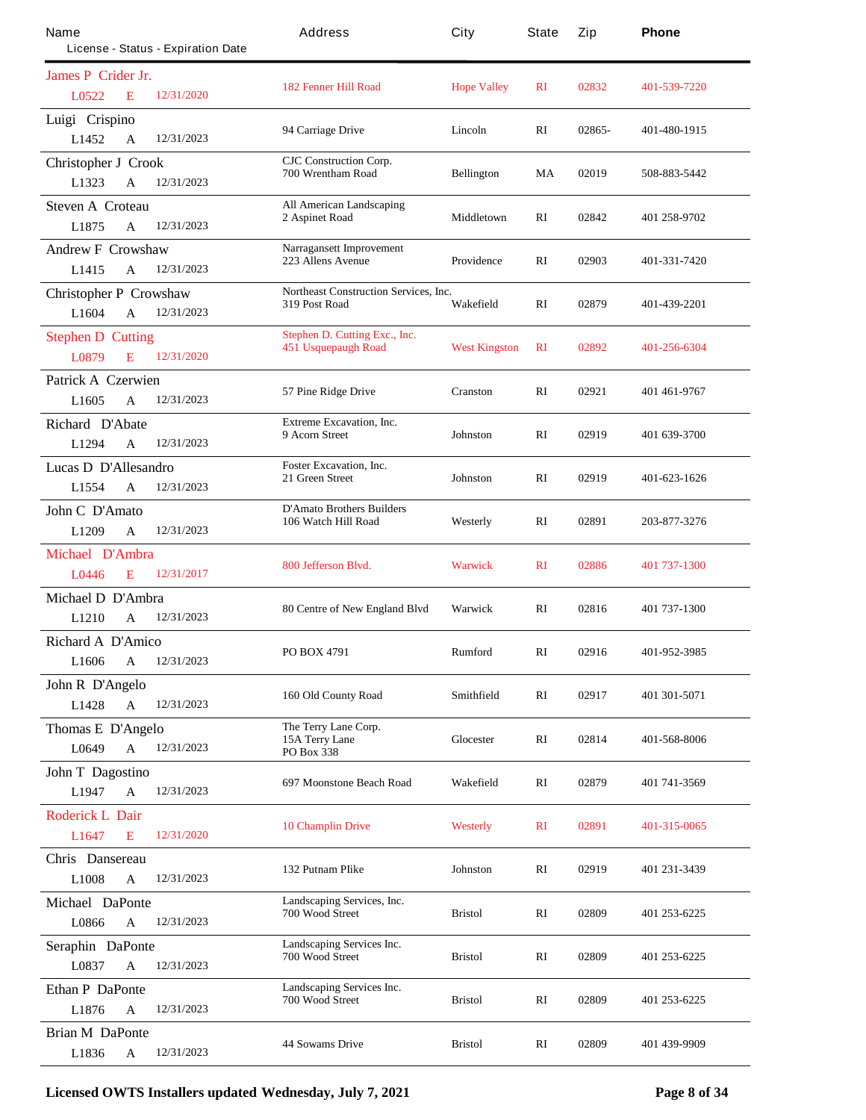| Name<br>License - Status - Expiration Date             | Address                                                 | City                 | <b>State</b> | Zip    | Phone        |
|--------------------------------------------------------|---------------------------------------------------------|----------------------|--------------|--------|--------------|
|                                                        |                                                         |                      |              |        |              |
| James P Crider Jr.<br>12/31/2020<br>L0522<br>E         | <b>182 Fenner Hill Road</b>                             | <b>Hope Valley</b>   | $\mathbf{R}$ | 02832  | 401-539-7220 |
| Luigi Crispino<br>12/31/2023<br>L1452<br>$\mathbf{A}$  | 94 Carriage Drive                                       | Lincoln              | RI           | 02865- | 401-480-1915 |
| <b>Christopher J Crook</b>                             | <b>CJC</b> Construction Corp.                           |                      |              |        |              |
| 12/31/2023<br>L1323<br>A                               | 700 Wrentham Road                                       | <b>Bellington</b>    | MA           | 02019  | 508-883-5442 |
| <b>Steven A Croteau</b>                                | <b>All American Landscaping</b>                         |                      |              |        |              |
| 12/31/2023<br>L1875<br>A                               | 2 Aspinet Road                                          | Middletown           | RI           | 02842  | 401 258-9702 |
| <b>Andrew F Crowshaw</b>                               | Narragansett Improvement                                |                      |              |        |              |
| 12/31/2023<br>L1415<br>A                               | 223 Allens Avenue                                       | <b>Providence</b>    | RI           | 02903  | 401-331-7420 |
| <b>Christopher P Crowshaw</b>                          | <b>Northeast Construction Services, Inc.</b>            |                      |              |        |              |
| L1604<br>12/31/2023<br>A                               | 319 Post Road                                           | Wakefield            | RI           | 02879  | 401-439-2201 |
| <b>Stephen D Cutting</b>                               | Stephen D. Cutting Exc., Inc.                           | <b>West Kingston</b> | $\mathbf{R}$ | 02892  | 401-256-6304 |
| 12/31/2020<br>L0879<br>E                               | 451 Usquepaugh Road                                     |                      |              |        |              |
| Patrick A Czerwien                                     | 57 Pine Ridge Drive                                     | Cranston             | RI           | 02921  | 401 461-9767 |
| 12/31/2023<br>L <sub>1605</sub><br>A                   |                                                         |                      |              |        |              |
| Richard D'Abate                                        | <b>Extreme Excavation, Inc.</b><br>9 Acom Street        | <b>Johnston</b>      | $\mathbf{R}$ | 02919  | 401 639-3700 |
| 12/31/2023<br>L1294<br>A                               |                                                         |                      |              |        |              |
| Lucas D D'Allesandro                                   | <b>Foster Excavation, Inc.</b><br>21 Green Street       | Johnston             | RI           | 02919  | 401-623-1626 |
| L1554<br>12/31/2023<br>A                               |                                                         |                      |              |        |              |
| John C D'Amato                                         | <b>D'Amato Brothers Builders</b><br>106 Watch Hill Road | Westerly             | $\mathbf{R}$ | 02891  | 203-877-3276 |
| 12/31/2023<br>L1209<br>A                               |                                                         |                      |              |        |              |
| <b>Michael D'Ambra</b>                                 | 800 Jefferson Blvd.                                     | <b>Warwick</b>       | $\mathbf{R}$ | 02886  | 401 737-1300 |
| 12/31/2017<br>L0446<br>E                               |                                                         |                      |              |        |              |
| Michael D D'Ambra                                      | 80 Centre of New England Blvd                           | Warwick              | $\mathbf{R}$ | 02816  | 401 737-1300 |
| 12/31/2023<br>L1210<br>A                               |                                                         |                      |              |        |              |
| <b>Richard A D'Amico</b>                               | <b>PO BOX 4791</b>                                      | Rumford              | RI           | 02916  | 401-952-3985 |
| L <sub>1606</sub><br>$\mathbf A$<br>12/31/2023         |                                                         |                      |              |        |              |
| John R D'Angelo                                        | 160 Old County Road                                     | <b>Smithfield</b>    | RI           | 02917  | 401 301 5071 |
| L1428<br>12/31/2023<br>$\mathbf{A}$                    |                                                         |                      |              |        |              |
| Thomas E D'Angelo                                      | The Terry Lane Corp.<br>15A Terry Lane                  | <b>Glocester</b>     | RI           | 02814  | 401-568-8006 |
| 12/31/2023<br>L0649<br>A                               | PO Box 338                                              |                      |              |        |              |
| <b>John T</b> Dagostino                                | 697 Moonstone Beach Road                                | Wakefield            | RI           | 02879  | 401 741 3569 |
| 12/31/2023<br>$\mathbf{A}$<br>L1947                    |                                                         |                      |              |        |              |
| <b>Roderick L Dair</b><br>12/31/2020<br>L1647<br>E     | <b>10 Champlin Drive</b>                                | <b>Westerly</b>      | $\mathbf{R}$ | 02891  | 401-315-0065 |
|                                                        |                                                         |                      |              |        |              |
| Chris Dansereau<br>L1008<br>12/31/2023<br>$\mathbf{A}$ | 132 Putnam Plike                                        | Johnston             | RI           | 02919  | 401 231 3439 |
| <b>Michael DaPonte</b>                                 | Landscaping Services, Inc.                              |                      |              |        |              |
| 12/31/2023<br>L0866<br>A                               | 700 Wood Street                                         | <b>Bristol</b>       | RI           | 02809  | 401 253-6225 |
| Seraphin DaPonte                                       | Landscaping Services Inc.                               |                      |              |        |              |
| 12/31/2023<br>L0837<br>A                               | 700 Wood Street                                         | <b>Bristol</b>       | RI           | 02809  | 401 253-6225 |
| <b>Ethan P DaPonte</b>                                 | Landscaping Services Inc.                               |                      |              |        |              |
| L1876<br>12/31/2023<br>$\mathbf A$                     | 700 Wood Street                                         | <b>Bristol</b>       | RI           | 02809  | 401 253-6225 |
| <b>Brian M DaPonte</b>                                 |                                                         |                      |              |        |              |
| 12/31/2023<br>L1836<br>A                               | <b>44 Sowams Drive</b>                                  | <b>Bristol</b>       | RI           | 02809  | 401 439-9909 |

**Licensed OWTS Installers updated Wednesday, July 7, 2021 Page 8 of 34**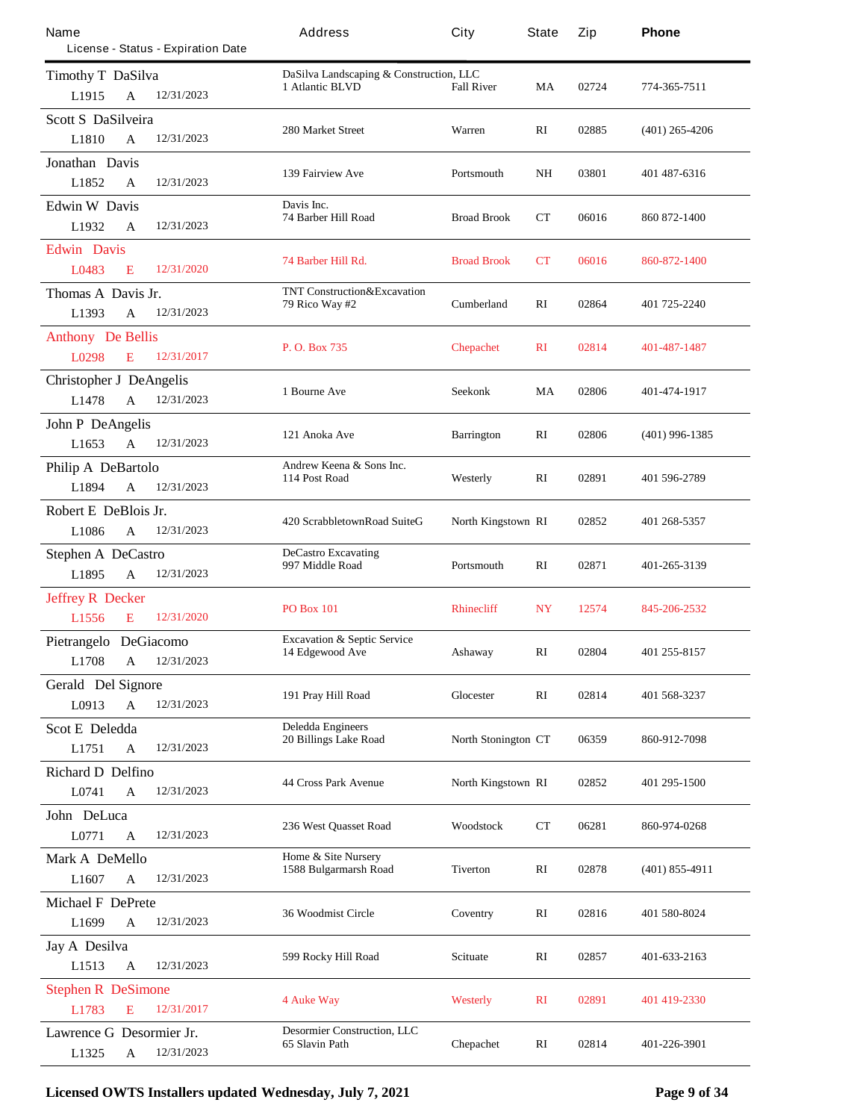| Name                              |              | License - Status - Expiration Date | Address                                                    | City                       | <b>State</b> | Zip   | Phone            |
|-----------------------------------|--------------|------------------------------------|------------------------------------------------------------|----------------------------|--------------|-------|------------------|
| <b>Timothy T DaSilva</b><br>L1915 | A            | 12/31/2023                         | DaSilva Landscaping & Construction, LLC<br>1 Atlantic BLVD | <b>Fall River</b>          | MA           | 02724 | 774-365-7511     |
| <b>Scott S DaSilveira</b>         |              |                                    |                                                            |                            |              |       |                  |
| L1810                             | A            | 12/31/2023                         | <b>280 Market Street</b>                                   | Warren                     | RI           | 02885 | $(401)$ 265-4206 |
| <b>Jonathan Davis</b><br>L1852    | A            | 12/31/2023                         | <b>139 Fairview Ave</b>                                    | Portsmouth                 | <b>NH</b>    | 03801 | 401 487-6316     |
| <b>Edwin W Davis</b>              |              |                                    | Davis Inc.                                                 |                            |              |       |                  |
| L1932                             | A            | 12/31/2023                         | 74 Barber Hill Road                                        | <b>Broad Brook</b>         | СT           | 06016 | 860 872-1400     |
| <b>Edwin</b> Davis                |              |                                    |                                                            |                            |              |       |                  |
| L0483                             | E            | 12/31/2020                         | 74 Barber Hill Rd.                                         | <b>Broad Brook</b>         | CT           | 06016 | 860-872-1400     |
| Thomas A Davis Jr.                |              |                                    | <b>TNT Construction&amp;Excavation</b>                     |                            |              |       |                  |
| L1393                             | A            | 12/31/2023                         | 79 Rico Way #2                                             | <b>Cumberland</b>          | $\mathbf{R}$ | 02864 | 401 725-2240     |
| <b>Anthony</b> De Bellis          |              |                                    |                                                            |                            |              |       |                  |
| L0298                             | E            | 12/31/2017                         | P. O. Box 735                                              | <b>Chepachet</b>           | $\mathbf{R}$ | 02814 | 401-487-1487     |
| <b>Christopher J DeAngelis</b>    |              |                                    |                                                            |                            |              |       |                  |
| L1478                             | A            | 12/31/2023                         | 1 Bourne Ave                                               | Seekonk                    | MA           | 02806 | 401-474-1917     |
| <b>John P DeAngelis</b>           |              |                                    |                                                            |                            |              |       |                  |
| L1653                             | $\mathbf{A}$ | 12/31/2023                         | 121 Anoka Ave                                              | <b>Barrington</b>          | RI           | 02806 | $(401)$ 996-1385 |
| Philip A DeBartolo                |              |                                    | Andrew Keena & Sons Inc.                                   |                            |              |       |                  |
| L1894                             | A            | 12/31/2023                         | 114 Post Road                                              | Westerly                   | RI           | 02891 | 401 596-2789     |
| Robert E DeBlois Jr.              |              |                                    |                                                            |                            |              |       |                  |
| L1086                             | $\mathbf{A}$ | 12/31/2023                         | 420 ScrabbletownRoad SuiteG                                | <b>North Kingstown RI</b>  |              | 02852 | 401 268-5357     |
| <b>Stephen A DeCastro</b>         |              |                                    | <b>DeCastro Excavating</b>                                 |                            |              |       |                  |
| L1895                             | A            | 12/31/2023                         | 997 Middle Road                                            | Portsmouth                 | RI           | 02871 | 401-265-3139     |
| <b>Jeffrey R Decker</b>           |              |                                    |                                                            |                            |              |       |                  |
| L1556                             | E            | 12/31/2020                         | <b>PO Box 101</b>                                          | <b>Rhinecliff</b>          | NY           | 12574 | 845-206-2532     |
| Pietrangelo DeGiacomo             |              |                                    | <b>Excavation &amp; Septic Service</b>                     |                            |              |       |                  |
| <b>L1708</b>                      | A            | 12/31/2023                         | 14 Edgewood Ave                                            | Ashaway                    | RI           | 02804 | 401 255-8157     |
| <b>Gerald Del Signore</b>         |              |                                    |                                                            |                            |              |       |                  |
| L0913                             | A            | 12/31/2023                         | 191 Pray Hill Road                                         | <b>Glocester</b>           | RI           | 02814 | 401 568-3237     |
| <b>Scot E</b> Deledda             |              |                                    | <b>Deledda Engineers</b>                                   |                            |              |       |                  |
| L1751                             | A            | 12/31/2023                         | <b>20 Billings Lake Road</b>                               | <b>North Stonington CT</b> |              | 06359 | 860-912-7098     |
| <b>Richard D Delfino</b>          |              |                                    |                                                            |                            |              |       |                  |
| L0741                             | $\mathbf A$  | 12/31/2023                         | <b>44 Cross Park Avenue</b>                                | North Kingstown RI         |              | 02852 | 401 295-1500     |
| John DeLuca                       |              |                                    |                                                            |                            |              |       |                  |
| L0771                             | A            | 12/31/2023                         | <b>236 West Ouasset Road</b>                               | Woodstock                  | $_{\rm CT}$  | 06281 | 860-974-0268     |
| Mark A DeMello                    |              |                                    | Home & Site Nursery                                        |                            |              |       |                  |
| L1607                             | A            | 12/31/2023                         | 1588 Bulgarmarsh Road                                      | <b>Tiverton</b>            | RI           | 02878 | $(401)$ 855-4911 |
| <b>Michael F DePrete</b>          |              |                                    |                                                            |                            |              |       |                  |
| L1699                             | A            | 12/31/2023                         | <b>36 Woodmist Circle</b>                                  | Coventry                   | RI           | 02816 | 401 580-8024     |
| <b>Jay A Desilva</b>              |              |                                    |                                                            |                            |              |       |                  |
| L1513                             | $\mathbf A$  | 12/31/2023                         | 599 Rocky Hill Road                                        | <b>Scituate</b>            | RI           | 02857 | 401-633-2163     |
| <b>Stephen R DeSimone</b>         |              |                                    |                                                            |                            |              |       |                  |
| L1783                             | E            | 12/31/2017                         | <b>4 Auke Way</b>                                          | <b>Westerly</b>            | $\mathbf{R}$ | 02891 | 401 419-2330     |
| Lawrence G Desormier Jr.          |              |                                    | <b>Desomier Construction, LLC</b>                          |                            |              |       |                  |
| L1325                             | A            | 12/31/2023                         | 65 Slavin Path                                             | Chepachet                  | RI           | 02814 | 401-226-3901     |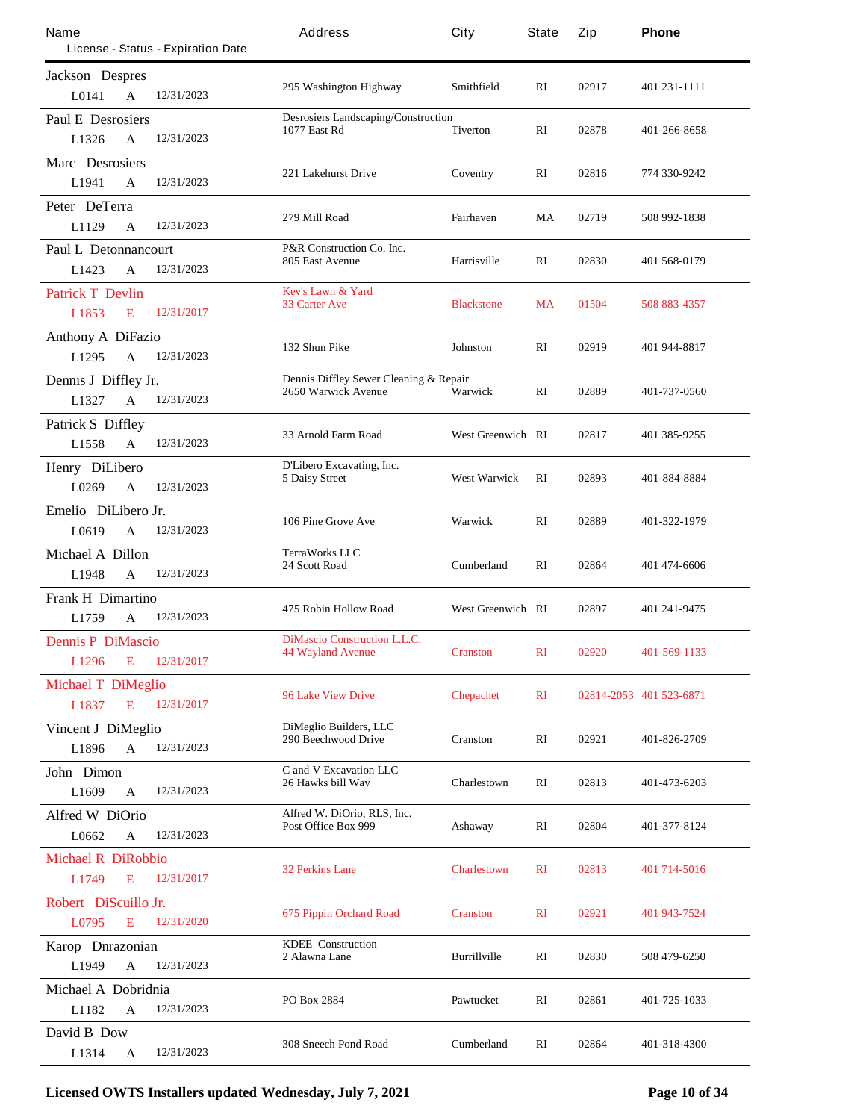| Name                            |                                                                | License - Status - Expiration Date | Address                                                           | City                     | State        | Zip   | Phone                   |
|---------------------------------|----------------------------------------------------------------|------------------------------------|-------------------------------------------------------------------|--------------------------|--------------|-------|-------------------------|
|                                 |                                                                |                                    |                                                                   |                          |              |       |                         |
| <b>Jackson</b> Despres<br>L0141 | $\mathbf{A}$                                                   | 12/31/2023                         | 295 Washington Highway                                            | Smithfield               | RI           | 02917 | 401 231-1111            |
| <b>Paul E Desrosiers</b>        |                                                                |                                    | <b>Desrosiers Landscaping/Construction</b><br><b>1077 East Rd</b> | <b>Tiverton</b>          | RI           | 02878 | 401-266-8658            |
| L1326                           | $\mathbf{A}$                                                   | 12/31/2023                         |                                                                   |                          |              |       |                         |
| Marc Desrosiers                 |                                                                |                                    | 221 Lakehurst Drive                                               | Coventry                 | RI           | 02816 | 774 330-9242            |
| L1941                           | $\mathbf{A}$                                                   | 12/31/2023                         |                                                                   |                          |              |       |                         |
| Peter DeTerra                   |                                                                |                                    | 279 Mill Road                                                     | Fairhaven                | MA           | 02719 | 508 992-1838            |
| L1129                           | A                                                              | 12/31/2023                         |                                                                   |                          |              |       |                         |
| <b>Paul L Detonnancourt</b>     |                                                                |                                    | <b>P&amp;R</b> Construction Co. Inc.<br>805 East Avenue           | <b>Harrisville</b>       | RI           | 02830 | 401 568-0179            |
| L1423                           | A                                                              | 12/31/2023                         |                                                                   |                          |              |       |                         |
| <b>Patrick T Devlin</b>         |                                                                |                                    | <b>Kev's Lawn &amp; Yard</b>                                      |                          |              |       |                         |
| L1853                           | E                                                              | 12/31/2017                         | <b>33 Carter Ave</b>                                              | <b>Blackstone</b>        | <b>MA</b>    | 01504 | 508 883-4357            |
| <b>Anthony A DiFazio</b>        |                                                                |                                    |                                                                   |                          |              |       |                         |
| L1295                           | $\mathbf{A}$                                                   | 12/31/2023                         | 132 Shun Pike                                                     | <b>Johnston</b>          | RI           | 02919 | 401 944-8817            |
|                                 | Dennis Diffley Sewer Cleaning & Repair<br>Dennis J Diffley Jr. |                                    |                                                                   |                          |              |       |                         |
| L1327                           | $\mathbf{A}$                                                   | 12/31/2023                         | 2650 Warwick Avenue                                               | Warwick                  | $\mathbf{R}$ | 02889 | 401-737-0560            |
| <b>Patrick S Diffley</b>        |                                                                |                                    |                                                                   |                          |              |       |                         |
| L1558                           | $\mathbf{A}$                                                   | 12/31/2023                         | 33 Amold Farm Road                                                | <b>West Greenwich RI</b> |              | 02817 | 401 385-9255            |
| Henry DiLibero                  |                                                                |                                    | D'Libero Excavating, Inc.                                         |                          |              |       |                         |
| L0269                           | A                                                              | 12/31/2023                         | <b>5 Daisy Street</b>                                             | <b>West Warwick</b>      | RI           | 02893 | 401-884-8884            |
| Emelio DiLibero Jr.             |                                                                |                                    |                                                                   |                          |              |       |                         |
| L0619                           | $\mathbf{A}$                                                   | 12/31/2023                         | 106 Pine Grove Ave                                                | Warwick                  | RI           | 02889 | 401-322-1979            |
| <b>Michael A Dillon</b>         |                                                                |                                    | <b>TerraWorks LLC</b>                                             |                          |              |       |                         |
| L1948                           | A                                                              | 12/31/2023                         | 24 Scott Road                                                     | <b>Cumberland</b>        | RI           | 02864 | 401 474-6606            |
| <b>Frank H Dimartino</b>        |                                                                |                                    |                                                                   |                          |              |       |                         |
| L1759                           | A                                                              | 12/31/2023                         | 475 Robin Hollow Road                                             | <b>West Greenwich RI</b> |              | 02897 | 401 241 - 9475          |
| <b>Dennis P DiMascio</b>        |                                                                |                                    | <b>DiMascio Construction L.L.C.</b>                               |                          |              |       |                         |
| L1296                           | E                                                              | 12/31/2017                         | <b>44 Wayland Avenue</b>                                          | <b>Cranston</b>          | $\mathbf{R}$ | 02920 | 401-569-1133            |
| <b>Michael T DiMeglio</b>       |                                                                |                                    |                                                                   |                          |              |       |                         |
| L1837                           | E                                                              | 12/31/2017                         | <b>96 Lake View Drive</b>                                         | <b>Chepachet</b>         | $\mathbf{R}$ |       | 02814-2053 401 523-6871 |
| <b>Vincent J DiMeglio</b>       |                                                                |                                    | <b>DiMeglio Builders, LLC</b>                                     |                          |              |       |                         |
| L1896                           | $\mathbf{A}$                                                   | 12/31/2023                         | <b>290 Beechwood Drive</b>                                        | <b>Cranston</b>          | RI           | 02921 | 401-826-2709            |
| John Dimon                      |                                                                |                                    | C and V Excavation LLC                                            |                          |              |       |                         |
| L1609                           | $\mathbf{A}$                                                   | 12/31/2023                         | 26 Hawks bill Way                                                 | <b>Charlestown</b>       | RI           | 02813 | 401-473-6203            |
| <b>Alfred W DiOrio</b>          |                                                                |                                    | Alfred W. DiOrio, RLS, Inc.                                       |                          |              |       |                         |
| L0662                           | A                                                              | 12/31/2023                         | Post Office Box 999                                               | Ashaway                  | RI           | 02804 | 401-377-8124            |
| <b>Michael R DiRobbio</b>       |                                                                |                                    |                                                                   |                          |              |       |                         |
| L1749                           | E                                                              | 12/31/2017                         | <b>32 Perkins Lane</b>                                            | <b>Charlestown</b>       | $\mathbf{R}$ | 02813 | 401 714-5016            |
| Robert DiScuillo Jr.            |                                                                |                                    |                                                                   |                          |              |       |                         |
| L0795                           | E                                                              | 12/31/2020                         | <b>675 Pippin Orchard Road</b>                                    | <b>Cranston</b>          | $\mathbf{R}$ | 02921 | 401 943-7524            |
| Karop Dnrazonian                |                                                                |                                    | <b>KDEE</b> Construction                                          |                          |              |       |                         |
| L1949                           | $\mathbf{A}$                                                   | 12/31/2023                         | 2 Alawna Lane                                                     | <b>Burrillville</b>      | RI           | 02830 | 508 479-6250            |
| Michael A Dobridnia             |                                                                |                                    |                                                                   |                          |              |       |                         |
| L1182                           | A                                                              | 12/31/2023                         | PO Box 2884                                                       | Pawtucket                | RI           | 02861 | 401-725-1033            |
| David B Dow                     |                                                                |                                    |                                                                   |                          |              |       |                         |
| L1314                           | A                                                              | 12/31/2023                         | <b>308 Sneech Pond Road</b>                                       | <b>Cumberland</b>        | RI           | 02864 | 401-318-4300            |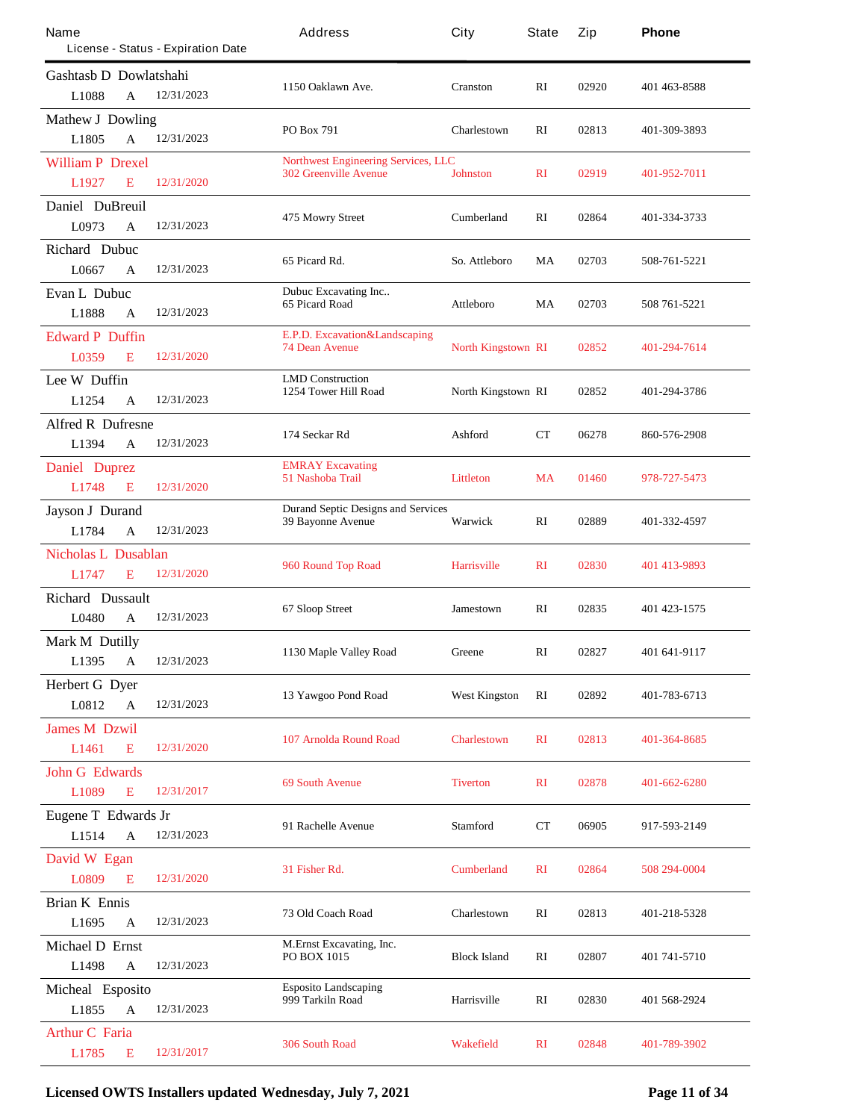| Name                             |              | License - Status - Expiration Date | Address                                                               | City                      | State          | Zip   | Phone          |
|----------------------------------|--------------|------------------------------------|-----------------------------------------------------------------------|---------------------------|----------------|-------|----------------|
| <b>Gashtash D</b> Dowlatshahi    |              |                                    |                                                                       |                           |                |       |                |
| L1088                            | A            | 12/31/2023                         | 1150 Oaklawn Ave.                                                     | <b>Cranston</b>           | RI             | 02920 | 401 463 8588   |
| <b>Mathew J Dowling</b><br>L1805 | $\mathbf{A}$ | 12/31/2023                         | PO Box 791                                                            | Charlestown               | $\mathbf{R}$   | 02813 | 401-309-3893   |
| <b>William P Drexel</b>          |              |                                    | <b>Northwest Engineering Services, LLC</b>                            |                           |                |       |                |
| L1927                            | E            | 12/31/2020                         | <b>302 Greenville Avenue</b>                                          | <b>Johnston</b>           | $\mathbf{R}$   | 02919 | 401-952-7011   |
| Daniel DuBreuil                  |              |                                    |                                                                       |                           |                |       |                |
| L0973                            | A            | 12/31/2023                         | 475 Mowry Street                                                      | <b>Cumberland</b>         | $\mathbf{R}$   | 02864 | 401-334-3733   |
| <b>Richard Dubuc</b>             |              |                                    |                                                                       |                           |                |       |                |
| L0667                            | A            | 12/31/2023                         | 65 Picard Rd.                                                         | So. Attleboro             | MA             | 02703 | 508-761-5221   |
| <b>Evan L Dubuc</b>              |              |                                    | Dubuc Excavating Inc<br><b>65 Picard Road</b>                         | Attleboro                 | MA             | 02703 | 508 761 5221   |
| L1888                            | A            | 12/31/2023                         |                                                                       |                           |                |       |                |
| <b>Edward P Duffin</b>           |              |                                    | E.P.D. Excavation&Landscaping<br><b>74 Dean Avenue</b>                | <b>North Kingstown RI</b> |                | 02852 | 401-294-7614   |
| L0359                            | E            | 12/31/2020                         |                                                                       |                           |                |       |                |
| Lee W Duffin                     |              |                                    | <b>LMD</b> Construction<br><b>1254 Tower Hill Road</b>                | North Kingstown RI        |                | 02852 | 401-294-3786   |
| L1254                            | A            | 12/31/2023                         |                                                                       |                           |                |       |                |
| <b>Alfred R Dufresne</b>         |              |                                    | 174 Seckar Rd                                                         | Ashford                   | CT             | 06278 | 860-576-2908   |
| L1394                            | A            | 12/31/2023                         |                                                                       |                           |                |       |                |
| <b>Daniel Duprez</b>             |              |                                    | <b>EMRAY Excavating</b><br>51 Nashoba Trail                           | <b>Littleton</b>          | <b>MA</b>      | 01460 | 978-727-5473   |
| L1748                            | E            | 12/31/2020                         |                                                                       |                           |                |       |                |
| <b>Jayson J Durand</b>           |              |                                    | <b>Durand Septic Designs and Services</b><br><b>39 Bayonne Avenue</b> | Warwick                   | RI             | 02889 | 401-332-4597   |
| L1784                            | $\mathbf{A}$ | 12/31/2023                         |                                                                       |                           |                |       |                |
| <b>Nicholas L Dusablan</b>       |              |                                    | 960 Round Top Road                                                    | <b>Harrisville</b>        | $\mathbf{R}$   | 02830 | 401 413-9893   |
| L1747                            | E            | 12/31/2020                         |                                                                       |                           |                |       |                |
| <b>Richard Dussault</b>          |              |                                    | 67 Sloop Street                                                       | Jamestown                 | RI             | 02835 | 401 423 - 1575 |
| L0480                            | A            | 12/31/2023                         |                                                                       |                           |                |       |                |
| <b>Mark M Dutilly</b>            |              |                                    | 1130 Maple Valley Road                                                | Greene                    | RI             | 02827 | 401 641-9117   |
| L1395                            | A            | 12/31/2023                         |                                                                       |                           |                |       |                |
| <b>Herbert G Dyer</b><br>L0812   | $\mathbf A$  | 12/31/2023                         | 13 Yawgoo Pond Road                                                   | <b>West Kingston</b>      | RI             | 02892 | 401-783-6713   |
|                                  |              |                                    |                                                                       |                           |                |       |                |
| <b>James M Dzwil</b><br>L1461    | E            | 12/31/2020                         | <b>107 Arnolda Round Road</b>                                         | <b>Charlestown</b>        | $\mathbf{R}$   | 02813 | 401-364-8685   |
| <b>John G Edwards</b>            |              |                                    |                                                                       |                           |                |       |                |
| L1089                            | E            | 12/31/2017                         | <b>69 South Avenue</b>                                                | <b>Tiverton</b>           | $\mathbf{R}$   | 02878 | 401-662-6280   |
| Eugene T Edwards Jr              |              |                                    |                                                                       |                           |                |       |                |
| L1514                            | $\mathbf{A}$ | 12/31/2023                         | 91 Rachelle Avenue                                                    | <b>Stamford</b>           | CT             | 06905 | 917-593-2149   |
| David W Egan                     |              |                                    |                                                                       |                           |                |       |                |
| L0809                            | E            | 12/31/2020                         | 31 Fisher Rd.                                                         | <b>Cumberland</b>         | R <sub>I</sub> | 02864 | 508 294-0004   |
| <b>Brian K Ennis</b>             |              |                                    |                                                                       |                           |                |       |                |
| L1695                            | A            | 12/31/2023                         | 73 Old Coach Road                                                     | Charlestown               | RI             | 02813 | 401-218-5328   |
| <b>Michael D Ernst</b>           |              |                                    | <b>M.Ernst Excavating, Inc.</b>                                       |                           |                |       |                |
| L1498                            | $\mathbf A$  | 12/31/2023                         | <b>PO BOX 1015</b>                                                    | <b>Block Island</b>       | RI             | 02807 | 401 741 5710   |
| Micheal Esposito                 |              |                                    | <b>Esposito Landscaping</b>                                           |                           |                |       |                |
| L1855                            | A            | 12/31/2023                         | 999 Tarkiln Road                                                      | Harrisville               | RI             | 02830 | 401 568-2924   |
| <b>Arthur C Faria</b>            |              |                                    |                                                                       |                           |                |       |                |
| L1785                            | E            | 12/31/2017                         | <b>306 South Road</b>                                                 | <b>Wakefield</b>          | $\mathbf{R}$   | 02848 | 401-789-3902   |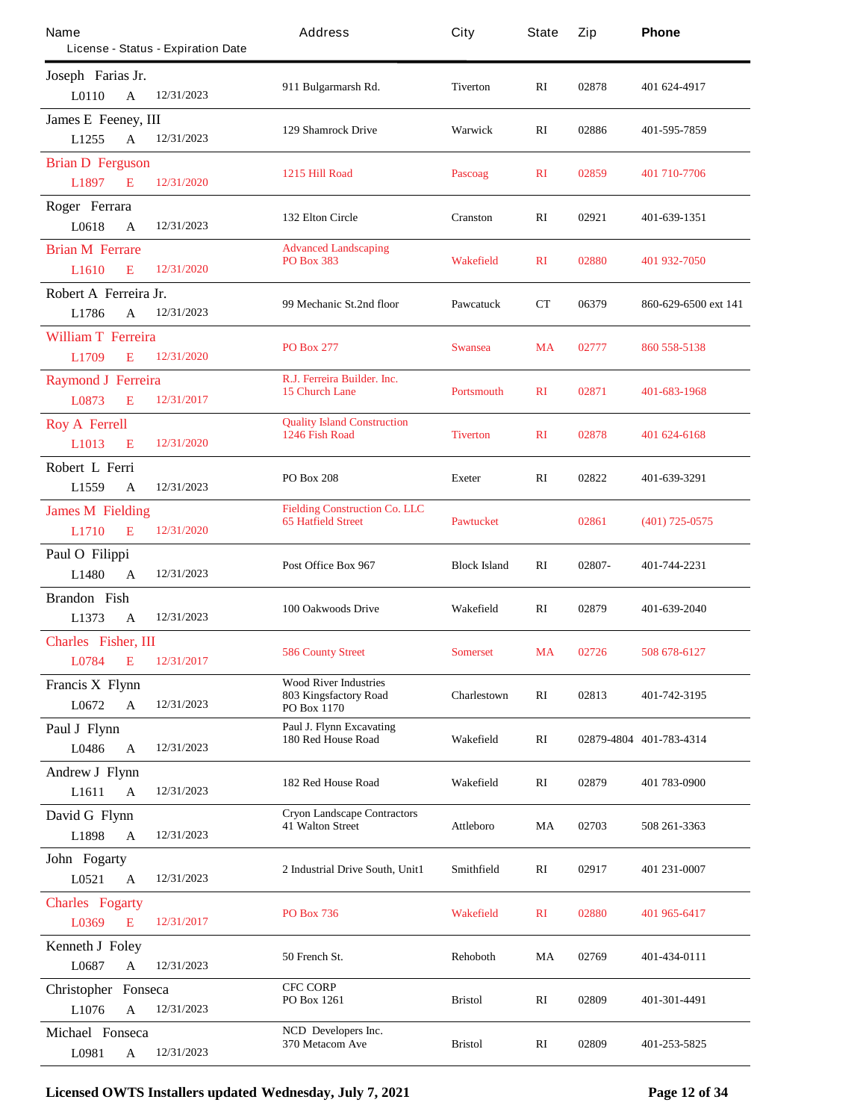| Name                                |              | License - Status - Expiration Date | Address                                                              | City                | <b>State</b> | Zip    | Phone                   |
|-------------------------------------|--------------|------------------------------------|----------------------------------------------------------------------|---------------------|--------------|--------|-------------------------|
| Joseph Farias Jr.<br>L0110          | $\mathbf{A}$ | 12/31/2023                         | 911 Bulgarmarsh Rd.                                                  | Tiverton            | RI           | 02878  | 401 624-4917            |
| James E Feeney, III<br>L1255        | $\mathbf{A}$ | 12/31/2023                         | <b>129 Shamrock Drive</b>                                            | Warwick             | RI           | 02886  | 401-595-7859            |
| <b>Brian D Ferguson</b><br>L1897    | E            | 12/31/2020                         | 1215 Hill Road                                                       | <b>Pascoag</b>      | $\mathbf{R}$ | 02859  | 401 710-7706            |
| Roger Ferrara<br>L0618              | $\mathbf{A}$ | 12/31/2023                         | 132 Elton Circle                                                     | <b>Cranston</b>     | RI           | 02921  | 401-639-1351            |
| <b>Brian M Ferrare</b><br>L1610     | E            | 12/31/2020                         | <b>Advanced Landscaping</b><br><b>PO Box 383</b>                     | <b>Wakefield</b>    | $\mathbf{R}$ | 02880  | 401 932-7050            |
| Robert A Ferreira Jr.<br>L1786      | A            | 12/31/2023                         | 99 Mechanic St.2nd floor                                             | Pawcatuck           | СT           | 06379  | 860-629-6500 ext 141    |
| <b>William T Ferreira</b><br>L1709  | E            | 12/31/2020                         | <b>PO Box 277</b>                                                    | <b>Swansea</b>      | <b>MA</b>    | 02777  | 860 558-5138            |
| <b>Raymond J Ferreira</b><br>L0873  | E            | 12/31/2017                         | R.J. Ferreira Builder. Inc.<br><b>15 Church Lane</b>                 | <b>Portsmouth</b>   | $\mathbf{R}$ | 02871  | 401-683-1968            |
| <b>Roy A Ferrell</b><br>L1013       | E            | 12/31/2020                         | <b>Quality Island Construction</b><br>1246 Fish Road                 | <b>Tiverton</b>     | $\mathbf{R}$ | 02878  | 401 624-6168            |
| Robert L Ferri<br>L1559             | A            | 12/31/2023                         | <b>PO Box 208</b>                                                    | <b>Exeter</b>       | RI           | 02822  | 401-639-3291            |
| <b>James M Fielding</b><br>L1710    | E            | 12/31/2020                         | <b>Fielding Construction Co. LLC</b><br><b>65 Hatfield Street</b>    | <b>Pawtucket</b>    |              | 02861  | $(401)$ 725-0575        |
| Paul O Filippi<br>L1480             | $\mathbf{A}$ | 12/31/2023                         | Post Office Box 967                                                  | <b>Block Island</b> | RI           | 02807- | 401-744-2231            |
| <b>Brandon</b> Fish<br>L1373        | A            | 12/31/2023                         | 100 Oakwoods Drive                                                   | Wakefield           | RI           | 02879  | 401-639-2040            |
| Charles Fisher, III<br>L0784 E      |              | 12/31/2017                         | <b>586 County Street</b>                                             | <b>Somerset</b>     | <b>MA</b>    | 02726  | 508 678-6127            |
| Francis X Flynn<br>L0672            | $\mathbf{A}$ | 12/31/2023                         | <b>Wood River Industries</b><br>803 Kingsfactory Road<br>PO Box 1170 | <b>Charlestown</b>  | RI           | 02813  | 401-742-3195            |
| Paul J Flynn<br>L0486               | $\mathbf{A}$ | 12/31/2023                         | <b>Paul J. Flynn Excavating</b><br>180 Red House Road                | Wakefield           | RI           |        | 02879-4804 401-783-4314 |
| <b>Andrew J Flynn</b><br>L1611      | $\mathbf A$  | 12/31/2023                         | 182 Red House Road                                                   | Wakefield           | RI           | 02879  | 401 783-0900            |
| David G Flynn<br>L1898              | $\mathbf{A}$ | 12/31/2023                         | <b>Cryon Landscape Contractors</b><br><b>41 Walton Street</b>        | Attleboro           | MA           | 02703  | 508 261-3363            |
| John Fogarty<br>L0521               | $\mathbf{A}$ | 12/31/2023                         | 2 Industrial Drive South, Unit1                                      | Smithfield          | RI           | 02917  | 401 231-0007            |
| <b>Charles Fogarty</b><br>L0369     | E            | 12/31/2017                         | <b>PO Box 736</b>                                                    | <b>Wakefield</b>    | $\mathbf{R}$ | 02880  | 401 965-6417            |
| <b>Kenneth J Foley</b><br>L0687     | $\mathbf{A}$ | 12/31/2023                         | 50 French St.                                                        | <b>Rehoboth</b>     | MA           | 02769  | 401-434-0111            |
| <b>Christopher Fonseca</b><br>L1076 | $\mathbf A$  | 12/31/2023                         | <b>CFC CORP</b><br>PO Box 1261                                       | <b>Bristol</b>      | RI           | 02809  | 401-301-4491            |
| Michael Fonseca<br>L0981            | A            | 12/31/2023                         | NCD Developers Inc.<br>370 Metacom Ave                               | <b>Bristol</b>      | RI           | 02809  | 401-253-5825            |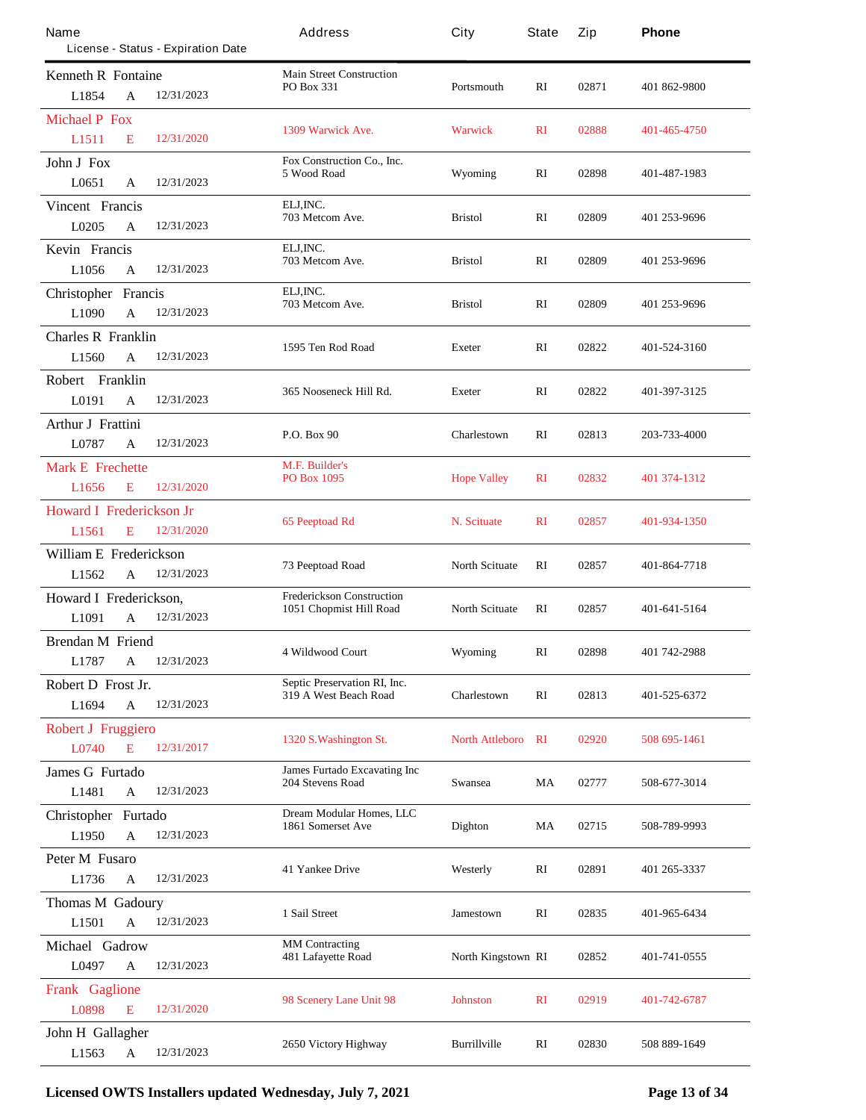| Name<br>License - Status - Expiration Date             | Address                                                     | City                   | <b>State</b>   | Zip   | Phone        |
|--------------------------------------------------------|-------------------------------------------------------------|------------------------|----------------|-------|--------------|
| <b>Kenneth R Fontaine</b>                              | <b>Main Street Construction</b>                             |                        |                |       |              |
| 12/31/2023<br>L1854<br>A                               | <b>PO Box 331</b>                                           | Portsmouth             | RI             | 02871 | 401 862-9800 |
| <b>Michael P Fox</b>                                   |                                                             |                        |                |       |              |
| 12/31/2020<br>L1511<br>E                               | 1309 Warwick Ave.                                           | <b>Warwick</b>         | $\mathbf{R}$   | 02888 | 401-465-4750 |
| <b>John J Fox</b>                                      | Fox Construction Co., Inc.                                  |                        |                |       |              |
| 12/31/2023<br>L0651<br>$\mathbf{A}$                    | 5 Wood Road                                                 | Wyoming                | RI             | 02898 | 401-487-1983 |
| <b>Vincent Francis</b>                                 | ELJ, INC.                                                   |                        |                |       |              |
| L0205<br>12/31/2023<br>A                               | 703 Metcom Ave.                                             | <b>Bristol</b>         | RI             | 02809 | 401 253-9696 |
| Kevin Francis                                          | ELJ, INC.                                                   |                        |                |       |              |
| L1056<br>12/31/2023<br>A                               | 703 Metcom Ave.                                             | <b>Bristol</b>         | RI             | 02809 | 401 253-9696 |
| <b>Christopher Francis</b>                             | ELJ, INC.                                                   |                        |                |       |              |
| L1090<br>12/31/2023<br>$\mathbf{A}$                    | 703 Metcom Ave.                                             | <b>Bristol</b>         | RI             | 02809 | 401 253-9696 |
| <b>Charles R Franklin</b>                              | 1595 Ten Rod Road                                           | <b>Exeter</b>          | $\mathbf{R}$   | 02822 | 401-524-3160 |
| 12/31/2023<br>L1560<br>A                               |                                                             |                        |                |       |              |
| Robert Franklin                                        | 365 Nooseneck Hill Rd.                                      | <b>Exeter</b>          | RI             | 02822 | 401-397-3125 |
| 12/31/2023<br>L0191<br>A                               |                                                             |                        |                |       |              |
| <b>Arthur J Frattini</b>                               | <b>P.O. Box 90</b>                                          | <b>Charlestown</b>     | $\mathbf{R}$   | 02813 | 203-733-4000 |
| L0787<br>12/31/2023<br>A                               |                                                             |                        |                |       |              |
| <b>Mark E</b> Frechette                                | <b>M.F. Builder's</b><br><b>PO Box 1095</b>                 | <b>Hope Valley</b>     | $\mathbf{R}$   | 02832 | 401 374-1312 |
| L <sub>1656</sub><br>12/31/2020<br>E                   |                                                             |                        |                |       |              |
| <b>Howard I Frederickson Jr</b>                        | <b>65 Peeptoad Rd</b>                                       | N. Scituate            | $\mathbf{R}$   | 02857 | 401-934-1350 |
| 12/31/2020<br>L1561<br>E                               |                                                             |                        |                |       |              |
| <b>William E</b> Frederickson                          | 73 Peeptoad Road                                            | <b>North Scituate</b>  | RI             | 02857 | 401-864-7718 |
| 12/31/2023<br>L1562<br>A                               |                                                             |                        |                |       |              |
| Howard I Frederickson,                                 | <b>Frederickson Construction</b><br>1051 Chopmist Hill Road | <b>North Scituate</b>  | RI             | 02857 | 401-641-5164 |
| L1091<br>12/31/2023<br>A                               |                                                             |                        |                |       |              |
| <b>Brendan M Friend</b>                                | 4 Wildwood Court                                            | Wyoming                | RI             | 02898 | 401 742-2988 |
| <b>L1787</b><br>$\mathbf A$<br>12/31/2023              |                                                             |                        |                |       |              |
| Robert D Frost Jr.                                     | Septic Preservation RI, Inc.<br>319 A West Beach Road       | Charlestown            | RI             | 02813 | 401-525-6372 |
| L1694<br>12/31/2023<br>$\mathbf A$                     |                                                             |                        |                |       |              |
| <b>Robert J Fruggiero</b>                              | 1320 S. Washington St.                                      | <b>North Attleboro</b> | RI             | 02920 | 508 695-1461 |
| L0740<br>E<br>12/31/2017                               |                                                             |                        |                |       |              |
| <b>James G Furtado</b>                                 | James Furtado Excavating Inc<br><b>204 Stevens Road</b>     | Swansea                | MA             | 02777 | 508-677-3014 |
| 12/31/2023<br>L1481<br>$\mathbf{A}$                    |                                                             |                        |                |       |              |
| Christopher Furtado                                    | Dream Modular Homes, LLC<br>1861 Somerset Ave               | <b>Dighton</b>         | MA             | 02715 | 508-789-9993 |
| 12/31/2023<br>L1950<br>A                               |                                                             |                        |                |       |              |
| Peter M Fusaro                                         | <b>41 Yankee Drive</b>                                      | Westerly               | RI             | 02891 | 401 265-3337 |
| 12/31/2023<br>L1736<br>$\mathbf A$                     |                                                             |                        |                |       |              |
| <b>Thomas M Gadoury</b>                                | 1 Sail Street                                               | <b>Jamestown</b>       | RI             | 02835 | 401-965-6434 |
| L1501<br>12/31/2023<br>A                               |                                                             |                        |                |       |              |
| Michael Gadrow<br>12/31/2023                           | <b>MM</b> Contracting<br>481 Lafayette Road                 | North Kingstown RI     |                | 02852 | 401-741-0555 |
| L0497<br>A                                             |                                                             |                        |                |       |              |
| <b>Frank Gaglione</b><br>E<br>12/31/2020               | 98 Scenery Lane Unit 98                                     | <b>Johnston</b>        | R <sub>I</sub> | 02919 | 401-742-6787 |
| L0898                                                  |                                                             |                        |                |       |              |
| John H Gallagher<br>12/31/2023<br>L1563<br>$\mathbf A$ | 2650 Victory Highway                                        | <b>Burillville</b>     | RI             | 02830 | 508 889-1649 |
|                                                        |                                                             |                        |                |       |              |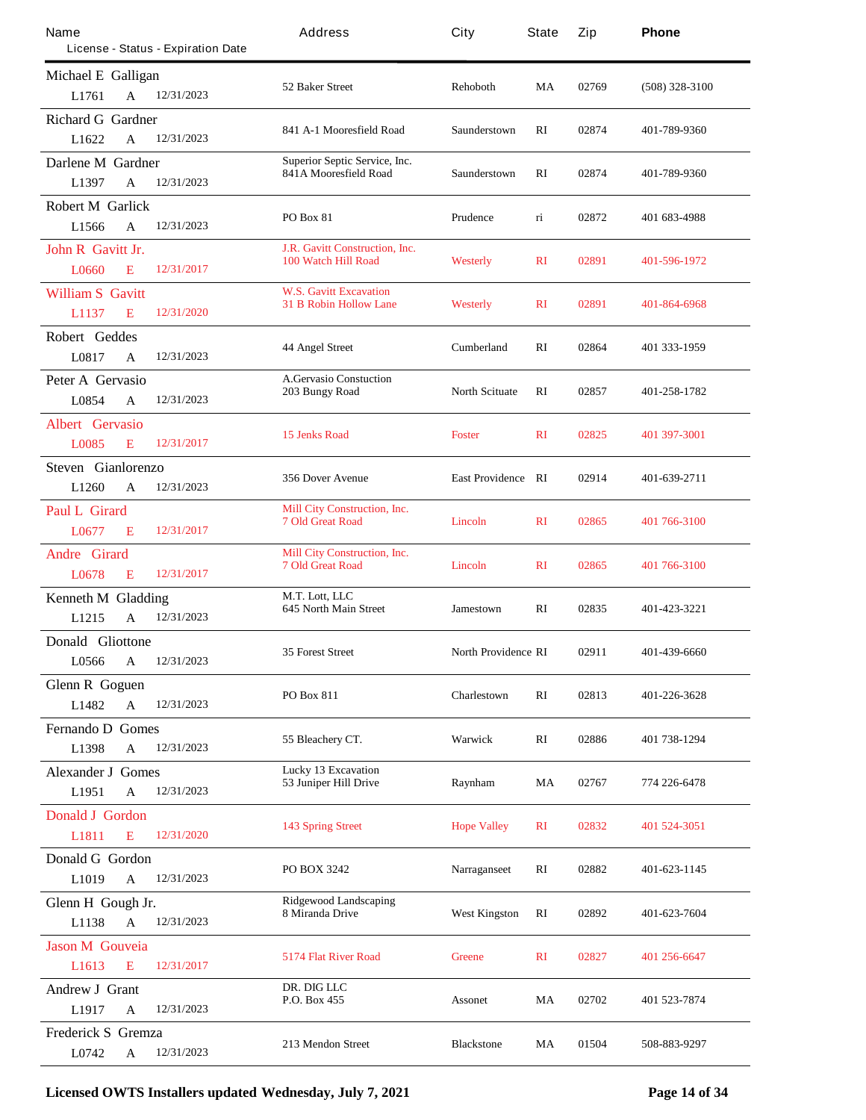| Name                      |                                    | Address                                                        | City                       | <b>State</b> | Zip   | Phone            |
|---------------------------|------------------------------------|----------------------------------------------------------------|----------------------------|--------------|-------|------------------|
|                           | License - Status - Expiration Date |                                                                |                            |              |       |                  |
| Michael E Galligan        |                                    | 52 Baker Street                                                | <b>Rehoboth</b>            | MA           | 02769 | $(508)$ 328-3100 |
| L1761<br>A                | 12/31/2023                         |                                                                |                            |              |       |                  |
| <b>Richard G Gardner</b>  |                                    | 841 A-1 Mooresfield Road                                       | Saunderstown               | RI           | 02874 | 401-789-9360     |
| L1622<br>$\mathbf{A}$     | 12/31/2023                         |                                                                |                            |              |       |                  |
| Darlene M Gardner         |                                    | Superior Septic Service, Inc.<br>841A Mooresfield Road         | Saunderstown               | $\mathbf{R}$ | 02874 | 401-789-9360     |
| L1397<br>A                | 12/31/2023                         |                                                                |                            |              |       |                  |
| <b>Robert M Garlick</b>   |                                    | <b>PO Box 81</b>                                               | Prudence                   | 'n           | 02872 | 401 683-4988     |
| L1566<br>$\mathbf{A}$     | 12/31/2023                         |                                                                |                            |              |       |                  |
| <b>John R Gavitt Jr.</b>  |                                    | <b>J.R. Gavitt Construction, Inc.</b><br>100 Watch Hill Road   | <b>Westerly</b>            | $\mathbf{R}$ | 02891 | 401-596-1972     |
| L0660<br>E                | 12/31/2017                         |                                                                |                            |              |       |                  |
| <b>William S</b> Gavitt   |                                    | <b>W.S. Gavitt Excavation</b><br><b>31 B Robin Hollow Lane</b> | <b>Westerly</b>            |              |       |                  |
| L1137<br>E                | 12/31/2020                         |                                                                |                            | $\mathbf{R}$ | 02891 | 401-864-6968     |
| Robert Geddes             |                                    |                                                                | <b>Cumberland</b>          | $\mathbf{R}$ | 02864 |                  |
| L0817<br>A                | 12/31/2023                         | <b>44 Angel Street</b>                                         |                            |              |       | 401 333-1959     |
| Peter A Gervasio          |                                    | <b>A.Gervasio Constuction</b>                                  |                            |              |       |                  |
| L0854<br>A                | 12/31/2023                         | 203 Bungy Road                                                 | <b>North Scituate</b>      | RI           | 02857 | 401-258-1782     |
| <b>Albert Gervasio</b>    |                                    |                                                                |                            |              |       |                  |
| L0085<br>E                | 12/31/2017                         | 15 Jenks Road                                                  | <b>Foster</b>              | $\mathbf{R}$ | 02825 | 401 397-3001     |
| Steven Gianlorenzo        |                                    |                                                                |                            |              |       |                  |
| L1260<br>A                | 12/31/2023                         | <b>356 Dover Avenue</b>                                        | <b>East Providence RI</b>  |              | 02914 | 401-639-2711     |
| <b>Paul L Girard</b>      |                                    | Mill City Construction, Inc.                                   |                            |              |       |                  |
| L0677<br>E                | 12/31/2017                         | <b>7 Old Great Road</b>                                        | <b>Lincoln</b>             | $\mathbf{R}$ | 02865 | 401 766-3100     |
| <b>Andre Girard</b>       |                                    | Mill City Construction, Inc.                                   |                            |              |       |                  |
| L0678<br>E                | 12/31/2017                         | <b>7 Old Great Road</b>                                        | <b>Lincoln</b>             | $\mathbf{R}$ | 02865 | 401 766-3100     |
| <b>Kenneth M Gladding</b> |                                    | M.T. Lott, LLC                                                 |                            |              |       |                  |
| L1215<br>A                | 12/31/2023                         | <b>645 North Main Street</b>                                   | Jamestown                  | RI           | 02835 | 401-423-3221     |
| Donald Gliottone          |                                    |                                                                |                            |              |       |                  |
| L0566<br>$\mathbf A$      | 12/31/2023                         | <b>35 Forest Street</b>                                        | <b>North Providence RI</b> |              | 02911 | 401-439-6660     |
| <b>Glenn R</b> Goguen     |                                    |                                                                |                            |              |       |                  |
| L1482<br>$\mathbf{A}$     | 12/31/2023                         | PO Box 811                                                     | Charlestown                | RI           | 02813 | 401-226-3628     |
| <b>Femando D Gomes</b>    |                                    |                                                                |                            |              |       |                  |
| L1398<br>A                | 12/31/2023                         | 55 Bleachery CT.                                               | <b>Warwick</b>             | RI           | 02886 | 401 738-1294     |
| <b>Alexander J Gomes</b>  |                                    | <b>Lucky 13 Excavation</b>                                     |                            |              |       |                  |
| L1951<br>$\mathbf A$      | 12/31/2023                         | 53 Juniper Hill Drive                                          | Raynham                    | MA           | 02767 | 774 226-6478     |
| <b>Donald J Gordon</b>    |                                    |                                                                |                            |              |       |                  |
| L1811<br>E                | 12/31/2020                         | <b>143 Spring Street</b>                                       | <b>Hope Valley</b>         | $\mathbf{R}$ | 02832 | 401 524-3051     |
| Donald G Gordon           |                                    |                                                                |                            |              |       |                  |
| L1019<br>A                | 12/31/2023                         | <b>PO BOX 3242</b>                                             | <b>Narraganseet</b>        | RI           | 02882 | 401-623-1145     |
| Glenn H Gough Jr.         |                                    | <b>Ridgewood Landscaping</b>                                   |                            |              |       |                  |
| L1138<br>$\mathbf{A}$     | 12/31/2023                         | 8 Miranda Drive                                                | <b>West Kingston</b>       | RI           | 02892 | 401-623-7604     |
| <b>Jason M Gouveia</b>    |                                    |                                                                |                            |              |       |                  |
| L1613<br>E                | 12/31/2017                         | <b>5174 Flat River Road</b>                                    | <b>Greene</b>              | $\mathbf{R}$ | 02827 | 401 256-6647     |
| <b>Andrew J Grant</b>     |                                    | DR. DIG LLC                                                    |                            |              |       |                  |
| L1917<br>A                | 12/31/2023                         | P.O. Box 455                                                   | <b>Assonet</b>             | MA           | 02702 | 401 523-7874     |
| <b>Frederick S</b> Gremza |                                    |                                                                |                            |              |       |                  |
| L0742<br>A                | 12/31/2023                         | 213 Mendon Street                                              | <b>Blackstone</b>          | MA           | 01504 | 508-883-9297     |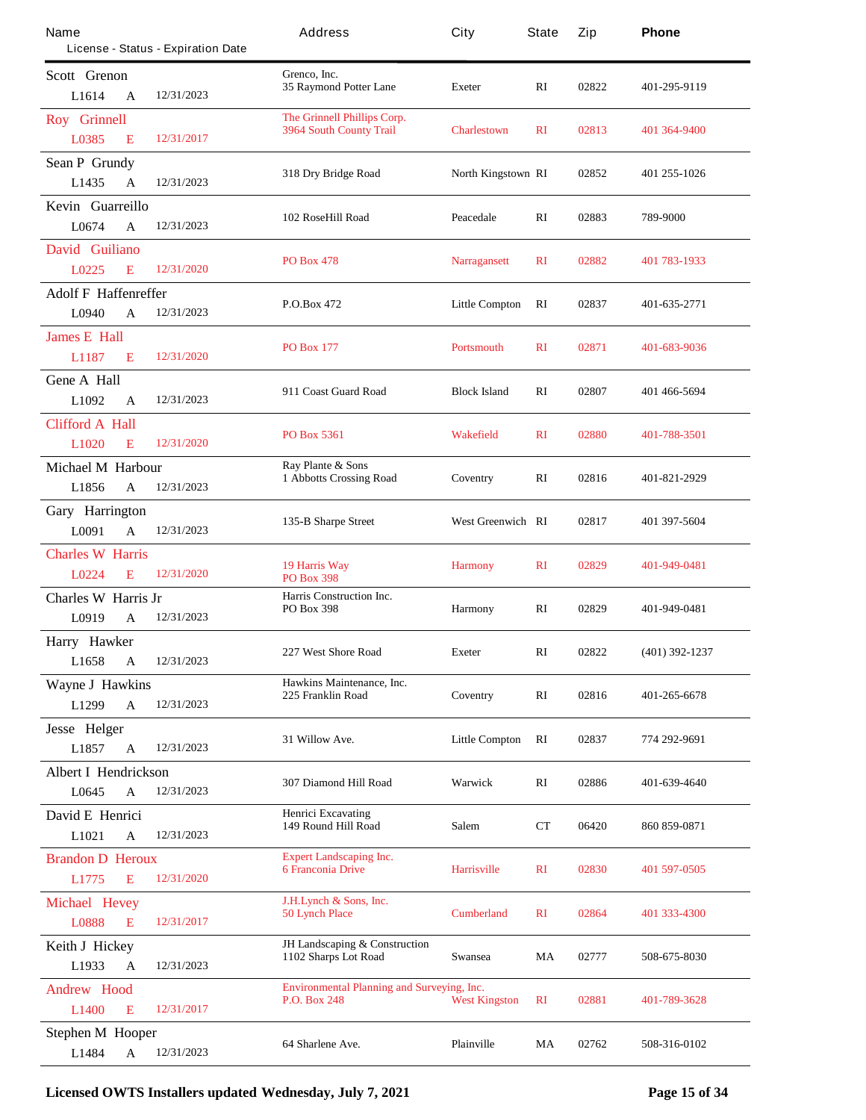| Name                                 | License - Status - Expiration Date | Address                                           | City                     | State          | Zip   | Phone            |
|--------------------------------------|------------------------------------|---------------------------------------------------|--------------------------|----------------|-------|------------------|
| Scott Grenon                         |                                    | Grenco, Inc.                                      |                          |                |       |                  |
| L1614<br>A                           | 12/31/2023                         | 35 Raymond Potter Lane                            | <b>Exeter</b>            | RI             | 02822 | 401-295-9119     |
| <b>Roy</b> Grinnell                  |                                    | The Grinnell Phillips Corp.                       |                          |                |       |                  |
| L0385<br>E                           | 12/31/2017                         | <b>3964 South County Trail</b>                    | <b>Charlestown</b>       | $\mathbf{R}$   | 02813 | 401 364-9400     |
| <b>Sean P Grundy</b>                 |                                    |                                                   |                          |                |       |                  |
| L1435<br>$\mathbf{A}$                | 12/31/2023                         | 318 Dry Bridge Road                               | North Kingstown RI       |                | 02852 | 401 255-1026     |
| Kevin Guarreillo                     |                                    |                                                   |                          |                |       |                  |
| L0674<br>A                           | 12/31/2023                         | 102 RoseHill Road                                 | Peacedale                | RI             | 02883 | 789-9000         |
| David Guiliano                       |                                    |                                                   |                          |                |       |                  |
| L0225<br>E                           | 12/31/2020                         | <b>PO Box 478</b>                                 | <b>Narragansett</b>      | $\mathbf{R}$   | 02882 | 401 783-1933     |
| <b>Adolf F Haffenreffer</b>          |                                    | P.O.Box 472                                       | <b>Little Compton</b>    | RI             | 02837 | 401-635-2771     |
| L0940<br>A                           | 12/31/2023                         |                                                   |                          |                |       |                  |
| <b>James E Hall</b>                  |                                    | <b>PO Box 177</b>                                 | <b>Portsmouth</b>        | $\mathbf{R}$   | 02871 | 401-683-9036     |
| L1187<br>E                           | 12/31/2020                         |                                                   |                          |                |       |                  |
| <b>Gene A Hall</b>                   |                                    | 911 Coast Guard Road                              | <b>Block Island</b>      | RI             | 02807 | 401 466-5694     |
| L1092<br>A                           | 12/31/2023                         |                                                   |                          |                |       |                  |
| <b>Clifford A Hall</b>               |                                    | <b>PO Box 5361</b>                                | <b>Wakefield</b>         | $\mathbf{R}$   | 02880 | 401-788-3501     |
| L <sub>1020</sub><br>E               | 12/31/2020                         |                                                   |                          |                |       |                  |
| <b>Michael M Harbour</b>             |                                    | Ray Plante & Sons<br>1 Abbotts Crossing Road      | Coventry                 | RI             | 02816 | 401-821-2929     |
| L1856<br>A                           | 12/31/2023                         |                                                   |                          |                |       |                  |
| Gary Harrington                      |                                    | 135-B Sharpe Street                               | <b>West Greenwich RI</b> |                | 02817 | 401 397-5604     |
| L0091<br>$\mathbf{A}$                | 12/31/2023                         |                                                   |                          |                |       |                  |
| <b>Charles W Harris</b>              |                                    | 19 Harris Way                                     | <b>Harmony</b>           | $\mathbf{R}$   | 02829 | 401-949-0481     |
| <b>L0224</b><br>E                    | 12/31/2020                         | <b>PO Box 398</b>                                 |                          |                |       |                  |
| Charles W Harris Jr                  |                                    | Harris Construction Inc.<br><b>PO Box 398</b>     | <b>Harmony</b>           | RI             | 02829 | 401-949-0481     |
| L0919<br>A                           | 12/31/2023                         |                                                   |                          |                |       |                  |
| Harry Hawker                         |                                    | 227 West Shore Road                               | <b>Exeter</b>            | RI             | 02822 | $(401)$ 392-1237 |
| L1658<br>A                           | 12/31/2023                         |                                                   |                          |                |       |                  |
| <b>Wayne J Hawkins</b><br>L1299<br>A | 12/31/2023                         | Hawkins Maintenance, Inc.<br>225 Franklin Road    | Coventry                 | RI             | 02816 | 401-265-6678     |
|                                      |                                    |                                                   |                          |                |       |                  |
| Jesse Helger<br>L1857<br>A           | 12/31/2023                         | 31 Willow Ave.                                    | <b>Little Compton</b>    | RI             | 02837 | 774 292-9691     |
| <b>Albert I Hendrickson</b>          |                                    |                                                   |                          |                |       |                  |
| L0645<br>A                           | 12/31/2023                         | 307 Diamond Hill Road                             | Warwick                  | RI             | 02886 | 401-639-4640     |
| David E Henrici                      |                                    | <b>Henrici Excavating</b>                         |                          |                |       |                  |
| L1021<br>A                           | 12/31/2023                         | 149 Round Hill Road                               | Salem                    | CT             | 06420 | 860 859-0871     |
| <b>Brandon D Heroux</b>              |                                    | <b>Expert Landscaping Inc.</b>                    |                          |                |       |                  |
| L1775<br>E                           | 12/31/2020                         | <b>6 Franconia Drive</b>                          | <b>Harrisville</b>       | $\mathbf{R}$   | 02830 | 401 597-0505     |
| <b>Michael Hevey</b>                 |                                    | <b>J.H.Lynch &amp; Sons, Inc.</b>                 |                          |                |       |                  |
| L0888<br>E                           | 12/31/2017                         | <b>50 Lynch Place</b>                             | <b>Cumberland</b>        | $\mathbf{R}$   | 02864 | 401 333-4300     |
| <b>Keith J Hickey</b>                |                                    | <b>JH</b> Landscaping & Construction              |                          |                |       |                  |
| L1933<br>A                           | 12/31/2023                         | 1102 Sharps Lot Road                              | Swansea                  | MA             | 02777 | 508-675-8030     |
| <b>Andrew Hood</b>                   |                                    | <b>Environmental Planning and Surveying, Inc.</b> |                          |                |       |                  |
| L1400<br>E                           | 12/31/2017                         | <b>P.O. Box 248</b>                               | <b>West Kingston</b>     | R <sub>I</sub> | 02881 | 401-789-3628     |
| <b>Stephen M Hooper</b>              |                                    |                                                   |                          |                |       |                  |
| L1484<br>A                           | 12/31/2023                         | 64 Sharlene Ave.                                  | <b>Plainville</b>        | MA             | 02762 | 508-316-0102     |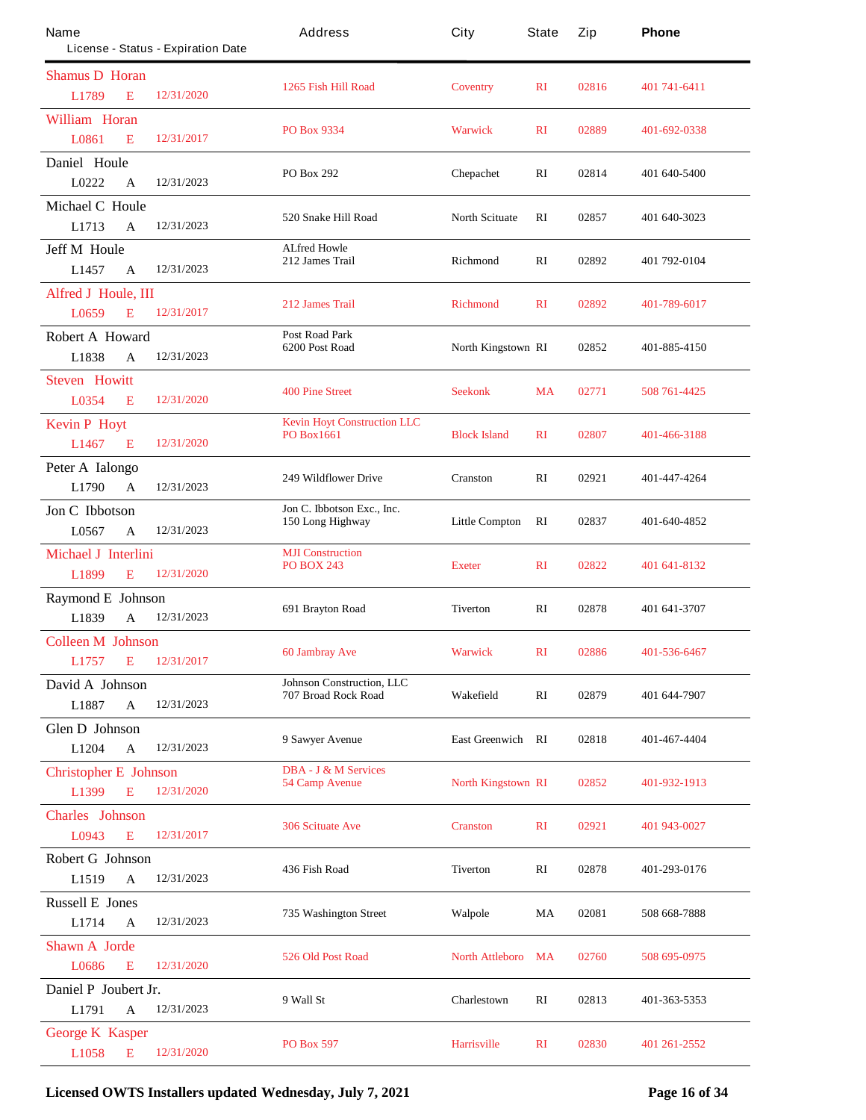| Name                         | License - Status - Expiration Date | Address                                | City                      | State        | Zip   | Phone          |
|------------------------------|------------------------------------|----------------------------------------|---------------------------|--------------|-------|----------------|
| <b>Shamus D Horan</b>        |                                    |                                        |                           |              |       |                |
| L1789                        | 12/31/2020<br>E                    | 1265 Fish Hill Road                    | <b>Coventry</b>           | $\mathbf{R}$ | 02816 | 401 741 - 6411 |
| <b>William Horan</b>         |                                    | <b>PO Box 9334</b>                     | <b>Warwick</b>            | $\mathbf{R}$ | 02889 | 401-692-0338   |
| L0861                        | 12/31/2017<br>E                    |                                        |                           |              |       |                |
| Daniel Houle                 |                                    | PO Box 292                             |                           | RI           | 02814 |                |
| L0222                        | 12/31/2023<br>A                    |                                        | <b>Chepachet</b>          |              |       | 401 640-5400   |
| <b>Michael C Houle</b>       |                                    | 520 Snake Hill Road                    | <b>North Scituate</b>     | $\mathbf{R}$ | 02857 | 401 640-3023   |
| L1713                        | 12/31/2023<br>A                    |                                        |                           |              |       |                |
| <b>Jeff M Houle</b>          |                                    | <b>ALfred Howle</b><br>212 James Trail | <b>Richmond</b>           | RI           | 02892 |                |
| L1457                        | 12/31/2023<br>A                    |                                        |                           |              |       | 401 792-0104   |
| Alfred J Houle, III          |                                    | 212 James Trail                        |                           |              |       |                |
| L0659                        | 12/31/2017<br>E                    |                                        | <b>Richmond</b>           | $\mathbf{R}$ | 02892 | 401-789-6017   |
| Robert A Howard              |                                    | <b>Post Road Park</b>                  |                           |              |       |                |
| L1838                        | 12/31/2023<br>A                    | 6200 Post Road                         | North Kingstown RI        |              | 02852 | 401-885-4150   |
| <b>Steven Howitt</b>         |                                    |                                        |                           |              |       |                |
| L0354                        | 12/31/2020<br>E                    | <b>400 Pine Street</b>                 | <b>Seekonk</b>            | <b>MA</b>    | 02771 | 508 761-4425   |
| <b>Kevin P Hoyt</b>          |                                    | <b>Kevin Hoyt Construction LLC</b>     |                           |              |       |                |
| L1467                        | E<br>12/31/2020                    | <b>PO Box1661</b>                      | <b>Block Island</b>       | $\mathbf{R}$ | 02807 | 401-466-3188   |
| Peter A Ialongo              |                                    |                                        |                           |              |       |                |
| L1790                        | 12/31/2023<br>A                    | <b>249 Wildflower Drive</b>            | <b>Cranston</b>           | RI           | 02921 | 401-447-4264   |
| Jon C Ibbotson               |                                    | Jon C. Ibbotson Exc., Inc.             |                           |              |       |                |
| L0567                        | 12/31/2023<br>A                    | 150 Long Highway                       | <b>Little Compton</b>     | RI           | 02837 | 401-640-4852   |
| <b>Michael J Interlini</b>   |                                    | <b>MJI</b> Construction                |                           |              |       |                |
| L1899                        | 12/31/2020<br>E                    | <b>PO BOX 243</b>                      | <b>Exeter</b>             | $\mathbf{R}$ | 02822 | 401 641-8132   |
| <b>Raymond E</b> Johnson     |                                    |                                        |                           |              |       |                |
| L1839                        | 12/31/2023<br>A                    | 691 Brayton Road                       | <b>Tiverton</b>           | RI           | 02878 | 401 641 - 3707 |
| <b>Colleen M Johnson</b>     |                                    |                                        |                           |              |       |                |
| L1757 E                      | 12/31/2017                         | 60 Jambray Ave                         | <b>Warwick</b>            | $\mathbf{R}$ | 02886 | 401-536-6467   |
| David A Johnson              |                                    | <b>Johnson Construction, LLC</b>       |                           |              |       |                |
| L1887                        | $\mathbf{A}$<br>12/31/2023         | <b>707 Broad Rock Road</b>             | Wakefield                 | RI           | 02879 | 401 644-7907   |
| <b>Glen D</b> Johnson        |                                    |                                        |                           |              |       |                |
| L1204                        | 12/31/2023<br>$\mathbf{A}$         | 9 Sawyer Avenue                        | <b>East Greenwich RI</b>  |              | 02818 | 401-467-4404   |
| <b>Christopher E</b> Johnson |                                    | <b>DBA - J &amp; M Services</b>        |                           |              |       |                |
| L1399                        | E<br>12/31/2020                    | <b>54 Camp Avenue</b>                  | <b>North Kingstown RI</b> |              | 02852 | 401-932-1913   |
| <b>Charles</b> Johnson       |                                    |                                        |                           |              |       |                |
| L0943                        | 12/31/2017<br>E                    | <b>306 Scituate Ave</b>                | <b>Cranston</b>           | $\mathbf{R}$ | 02921 | 401 943-0027   |
| <b>Robert G Johnson</b>      |                                    |                                        |                           |              |       |                |
| L1519                        | 12/31/2023<br>$\mathbf{A}$         | 436 Fish Road                          | <b>Tiverton</b>           | RI           | 02878 | 401-293-0176   |
| <b>Russell E</b> Jones       |                                    |                                        |                           |              |       |                |
| L1714                        | 12/31/2023<br>A                    | <b>735 Washington Street</b>           | Walpole                   | MA           | 02081 | 508 668-7888   |
| <b>Shawn A</b> Jorde         |                                    |                                        |                           |              |       |                |
| L0686                        | 12/31/2020<br>E                    | <b>526 Old Post Road</b>               | <b>North Attleboro</b>    | MA           | 02760 | 508 695-0975   |
| Daniel P Joubert Jr.         |                                    |                                        |                           |              |       |                |
| L1791                        | 12/31/2023<br>A                    | 9 Wall St                              | Charlestown               | RI           | 02813 | 401-363-5353   |
| <b>George K Kasper</b>       |                                    |                                        |                           |              |       |                |
| L1058                        | 12/31/2020<br>E                    | PO Box 597                             | <b>Harrisville</b>        | $\mathbf{R}$ | 02830 | 401 261 - 2552 |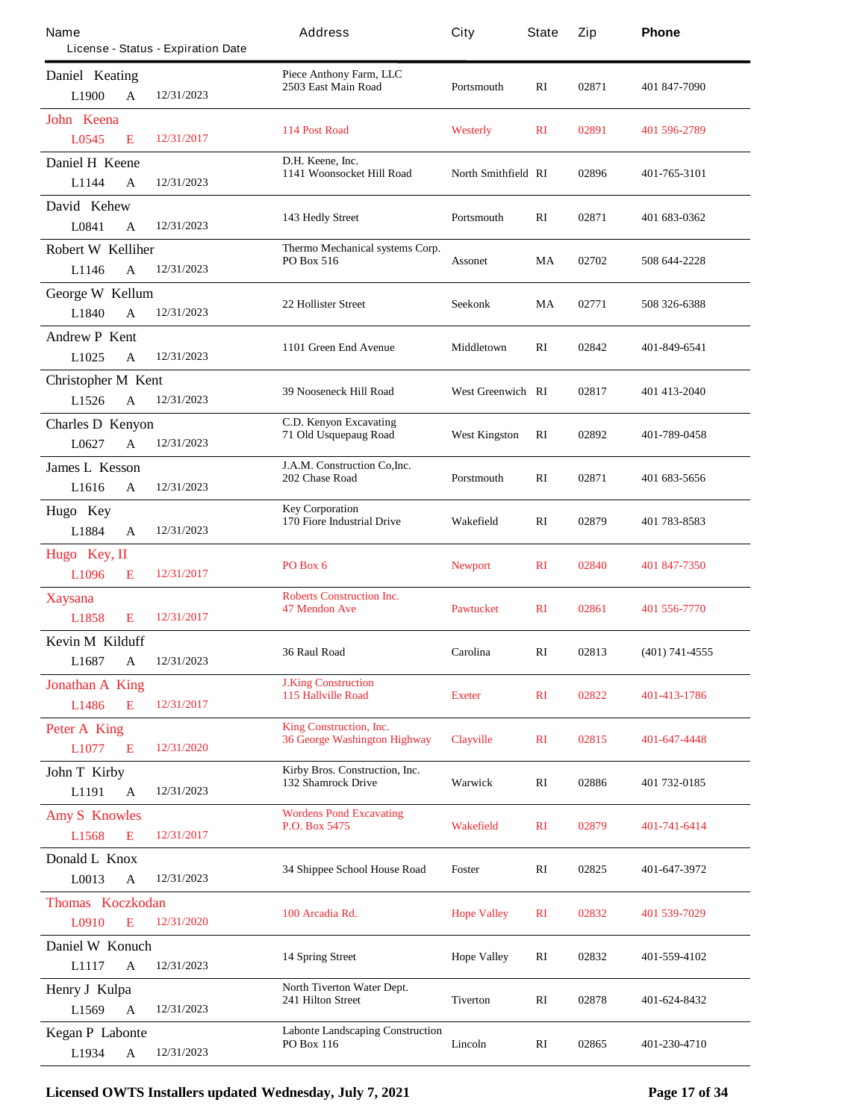| Name                                               | License - Status - Expiration Date | Address                                                        | City                     | State          | Zip   | Phone            |
|----------------------------------------------------|------------------------------------|----------------------------------------------------------------|--------------------------|----------------|-------|------------------|
| Daniel Keating<br>L <sub>1900</sub><br>A           | 12/31/2023                         | Piece Anthony Farm, LLC<br>2503 East Main Road                 | Portsmouth               | RI             | 02871 | 401 847-7090     |
| John Keena<br>L0545<br>E                           | 12/31/2017                         | 114 Post Road                                                  | <b>Westerly</b>          | $\mathbf{R}$   | 02891 | 401 596-2789     |
| Daniel H Keene<br>L1144<br>$\mathbf{A}$            | 12/31/2023                         | D.H. Keene, Inc.<br>1141 Woonsocket Hill Road                  | North Smithfield RI      |                | 02896 | 401-765-3101     |
| David Kehew<br>L0841<br>A                          | 12/31/2023                         | 143 Hedly Street                                               | <b>Portsmouth</b>        | $\mathbf{R}$   | 02871 | 401 683-0362     |
| <b>Robert W Kelliher</b><br>L1146<br>A             | 12/31/2023                         | Thermo Mechanical systems Corp.<br><b>PO Box 516</b>           | <b>Assonet</b>           | MA             | 02702 | 508 644-2228     |
| <b>George W Kellum</b><br>L1840<br>A               | 12/31/2023                         | <b>22 Hollister Street</b>                                     | Seekonk                  | MA             | 02771 | 508 326-6388     |
| <b>Andrew P Kent</b><br>L1025<br>A                 | 12/31/2023                         | 1101 Green End Avenue                                          | Middletown               | RI             | 02842 | 401-849-6541     |
| <b>Christopher M Kent</b><br>L1526<br>$\mathbf{A}$ | 12/31/2023                         | <b>39 Nooseneck Hill Road</b>                                  | <b>West Greenwich RI</b> |                | 02817 | 401 413-2040     |
| <b>Charles D Kenyon</b><br>L0627<br>$\mathbf{A}$   | 12/31/2023                         | <b>C.D. Kenyon Excavating</b><br>71 Old Usquepaug Road         | West Kingston            | RI             | 02892 | 401-789-0458     |
| <b>James L Kesson</b><br>L1616<br>A                | 12/31/2023                         | J.A.M. Construction Co, Inc.<br>202 Chase Road                 | Porstmouth               | RI             | 02871 | 401 683-5656     |
| Hugo Key<br>L1884<br>$\mathbf{A}$                  | 12/31/2023                         | <b>Key Corporation</b><br>170 Fiore Industrial Drive           | Wakefield                | RI             | 02879 | 401 783-8583     |
| Hugo Key, II<br>L <sub>1096</sub><br>E             | 12/31/2017                         | PO Box 6                                                       | <b>Newport</b>           | $\mathbf{R}$   | 02840 | 401 847-7350     |
| <b>Xaysana</b><br>L1858<br>E                       | 12/31/2017                         | <b>Roberts Construction Inc.</b><br><b>47 Mendon Ave</b>       | <b>Pawtucket</b>         | $\mathbf{R}$   | 02861 | 401 556-7770     |
| <b>Kevin M Kilduff</b><br>L1687<br>A               | 12/31/2023                         | 36 Raul Road                                                   | Carolina                 | RI             | 02813 | $(401)$ 741-4555 |
| <b>Jonathan A King</b><br>E<br>L1486               | 12/31/2017                         | <b>J.King Construction</b><br><b>115 Hallville Road</b>        | <b>Exeter</b>            | $\mathbf{R}$   | 02822 | 401-413-1786     |
| Peter A King<br>L1077<br>E                         | 12/31/2020                         | King Construction, Inc.<br><b>36 George Washington Highway</b> | <b>Clayville</b>         | $\mathbf{R}$   | 02815 | 401-647-4448     |
| <b>John T Kirby</b><br>L1191<br>$\mathbf{A}$       | 12/31/2023                         | Kirby Bros. Construction, Inc.<br>132 Shamrock Drive           | Warwick                  | RI             | 02886 | 401 732-0185     |
| <b>Amy S Knowles</b><br>L1568<br>E                 | 12/31/2017                         | <b>Wordens Pond Excavating</b><br>P.O. Box 5475                | <b>Wakefield</b>         | $\mathbf{R}$   | 02879 | 401-741-6414     |
| Donald L Knox<br>L0013<br>$\mathbf A$              | 12/31/2023                         | 34 Shippee School House Road                                   | Foster                   | RI             | 02825 | 401-647-3972     |
| <b>Thomas Koczkodan</b><br>L0910<br>E              | 12/31/2020                         | 100 Arcadia Rd.                                                | <b>Hope Valley</b>       | R <sub>I</sub> | 02832 | 401 539-7029     |
| Daniel W Konuch<br>L1117<br>$\mathbf A$            | 12/31/2023                         | <b>14 Spring Street</b>                                        | <b>Hope Valley</b>       | RI             | 02832 | 401-559-4102     |
| <b>Henry J Kulpa</b><br>L1569<br>A                 | 12/31/2023                         | North Tiverton Water Dept.<br><b>241 Hilton Street</b>         | <b>Tiverton</b>          | RI             | 02878 | 401-624-8432     |
| <b>Kegan P Labonte</b><br>L1934<br>$\mathbf A$     | 12/31/2023                         | <b>Labonte Landscaping Construction</b><br><b>PO Box 116</b>   | Lincoln                  | RI             | 02865 | 401-230-4710     |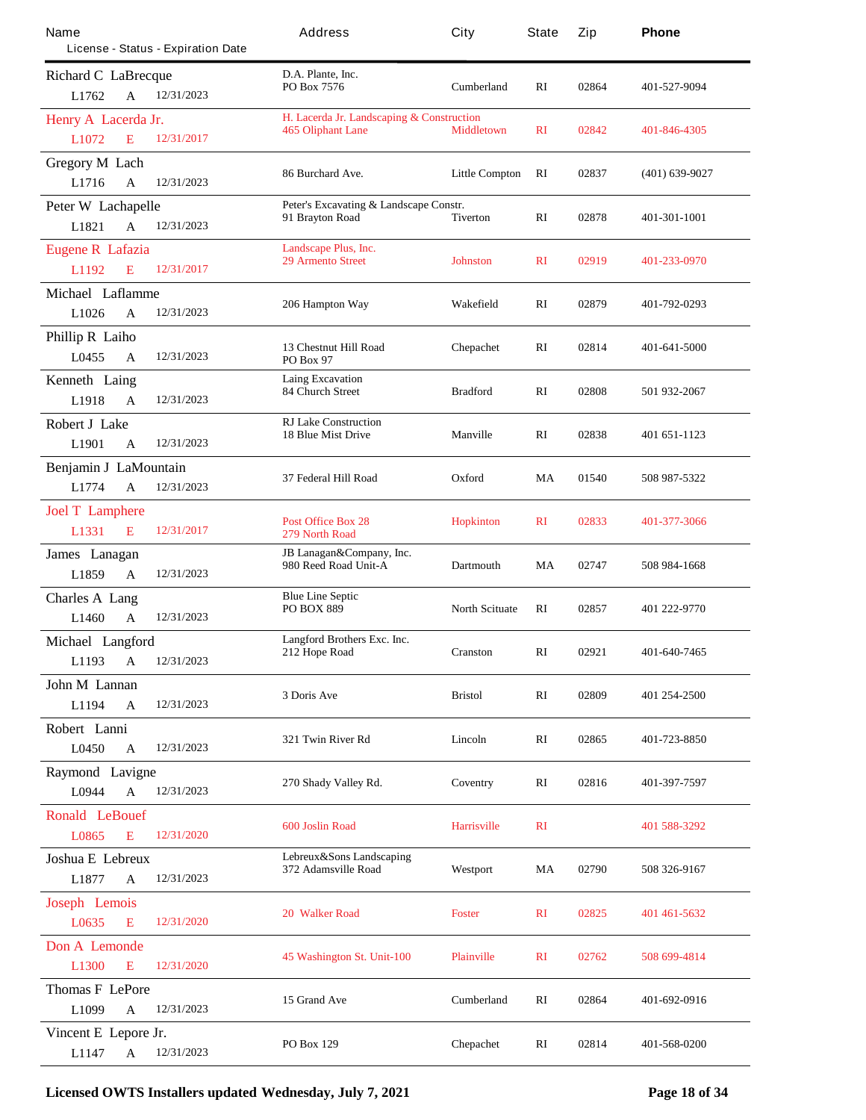| Name                         | License - Status - Expiration Date | Address                                         | City                  | <b>State</b>   | Zip   | Phone               |
|------------------------------|------------------------------------|-------------------------------------------------|-----------------------|----------------|-------|---------------------|
| <b>Richard C LaBrecque</b>   |                                    | D.A. Plante, Inc.                               |                       |                |       |                     |
| L1762<br>A                   | 12/31/2023                         | PO Box 7576                                     | <b>Cumberland</b>     | RI             | 02864 | 401-527-9094        |
| Henry A Lacerda Jr.          |                                    | H. Lacerda Jr. Landscaping & Construction       |                       |                |       |                     |
| E<br>L1072                   | 12/31/2017                         | 465 Oliphant Lane                               | <b>Middletown</b>     | <b>RI</b>      | 02842 | 401-846-4305        |
| <b>Gregory M Lach</b>        |                                    |                                                 |                       |                |       |                     |
| L1716<br>A                   | 12/31/2023                         | 86 Burchard Ave.                                | <b>Little Compton</b> | RI             | 02837 | $(401) 639 - 9027$  |
| <b>Peter W Lachapelle</b>    |                                    | Peter's Excavating & Landscape Constr.          |                       |                |       |                     |
| L1821<br>A                   | 12/31/2023                         | 91 Brayton Road                                 | Tiverton              | RI             | 02878 | <b>401-301-1001</b> |
| <b>Eugene R Lafazia</b>      |                                    | Landscape Plus, Inc.                            |                       |                |       |                     |
| L1192<br>E                   | 12/31/2017                         | <b>29 Armento Street</b>                        | Johnston              | $\mathbf{R}$   | 02919 | 401-233-0970        |
| Michael Laflamme             |                                    |                                                 |                       |                |       |                     |
| L1026<br>A                   | 12/31/2023                         | 206 Hampton Way                                 | Wakefield             | RI             | 02879 | 401-792-0293        |
| <b>Phillip R Laiho</b>       |                                    |                                                 |                       |                |       |                     |
| L0455<br>$\mathbf{A}$        | 12/31/2023                         | 13 Chestnut Hill Road<br><b>PO Box 97</b>       | Chepachet             | RI             | 02814 | 401-641-5000        |
| <b>Kenneth Laing</b>         |                                    | <b>Laing Excavation</b>                         |                       |                |       |                     |
| L1918<br>A                   | 12/31/2023                         | <b>84 Church Street</b>                         | <b>Bradford</b>       | RI             | 02808 | 501 932-2067        |
| <b>Robert J Lake</b>         |                                    | <b>RJ Lake Construction</b>                     |                       |                |       |                     |
| L1901<br>$\mathbf{A}$        | 12/31/2023                         | <b>18 Blue Mist Drive</b>                       | <b>Manville</b>       | RI             | 02838 | 401 651-1123        |
| <b>Benjamin J LaMountain</b> |                                    |                                                 |                       |                |       |                     |
| L1774<br>$\mathbf{A}$        | 12/31/2023                         | 37 Federal Hill Road                            | Oxford                | MA             | 01540 | 508 987-5322        |
| <b>Joel T Lamphere</b>       |                                    |                                                 |                       |                |       |                     |
| L1331<br>E                   | 12/31/2017                         | <b>Post Office Box 28</b><br>279 North Road     | <b>Hopkinton</b>      | $\mathbf{R}$   | 02833 | 401-377-3066        |
| James Lanagan                |                                    | JB Lanagan&Company, Inc.                        |                       |                |       |                     |
| L1859<br>A                   | 12/31/2023                         | 980 Reed Road Unit-A                            | <b>Dartmouth</b>      | MA             | 02747 | 508 984-1668        |
| <b>Charles A Lang</b>        |                                    | <b>Blue Line Septic</b>                         |                       |                |       |                     |
| L1460<br>$\mathbf{A}$        | 12/31/2023                         | <b>PO BOX 889</b>                               | <b>North Scituate</b> | RI             | 02857 | 401 222-9770        |
| Michael Langford             |                                    | Langford Brothers Exc. Inc.                     |                       |                |       |                     |
| L1193<br>$\mathbf A$         | 12/31/2023                         | 212 Hope Road                                   | Cranston              | RI             | 02921 | 401-640-7465        |
| John M Lannan                |                                    |                                                 | <b>Bristol</b>        |                | 02809 |                     |
| L1194<br>A                   | 12/31/2023                         | 3 Doris Ave                                     |                       | RI             |       | 401 254-2500        |
| Robert Lanni                 |                                    |                                                 |                       |                |       |                     |
| L0450<br>A                   | 12/31/2023                         | 321 Twin River Rd                               | Lincoln               | RI             | 02865 | 401-723-8850        |
| <b>Raymond Lavigne</b>       |                                    |                                                 | Coventry              | RI             | 02816 | 401-397-7597        |
| L0944<br>$\mathbf{A}$        | 12/31/2023                         | 270 Shady Valley Rd.                            |                       |                |       |                     |
| <b>Ronald LeBouef</b>        |                                    | <b>600 Joslin Road</b>                          | <b>Harrisville</b>    | $\mathbf{R}$   |       | 401 588-3292        |
| L0865<br>E                   | 12/31/2020                         |                                                 |                       |                |       |                     |
| <b>Joshua E</b> Lebreux      |                                    | Lebreux&Sons Landscaping<br>372 Adamsville Road | Westport              | MA             | 02790 | 508 326-9167        |
| L1877<br>A                   | 12/31/2023                         |                                                 |                       |                |       |                     |
| <b>Joseph Lemois</b>         |                                    |                                                 |                       |                |       |                     |
| L0635<br>E                   | 12/31/2020                         | <b>20 Walker Road</b>                           | <b>Foster</b>         | R <sub>I</sub> | 02825 | 401 461 - 5632      |
| Don A Lemonde                |                                    |                                                 |                       |                |       |                     |
| L1300<br>E                   | 12/31/2020                         | 45 Washington St. Unit-100                      | <b>Plainville</b>     | $\mathbf{R}$   | 02762 | 508 699-4814        |
| <b>Thomas F LePore</b>       |                                    |                                                 |                       |                |       |                     |
| L1099<br>A                   | 12/31/2023                         | 15 Grand Ave                                    | <b>Cumberland</b>     | RI             | 02864 | 401-692-0916        |
| Vincent E Lepore Jr.         |                                    |                                                 |                       |                |       |                     |
| L1147<br>$\mathbf A$         | 12/31/2023                         | <b>PO Box 129</b>                               | Chepachet             | RI             | 02814 | 401-568-0200        |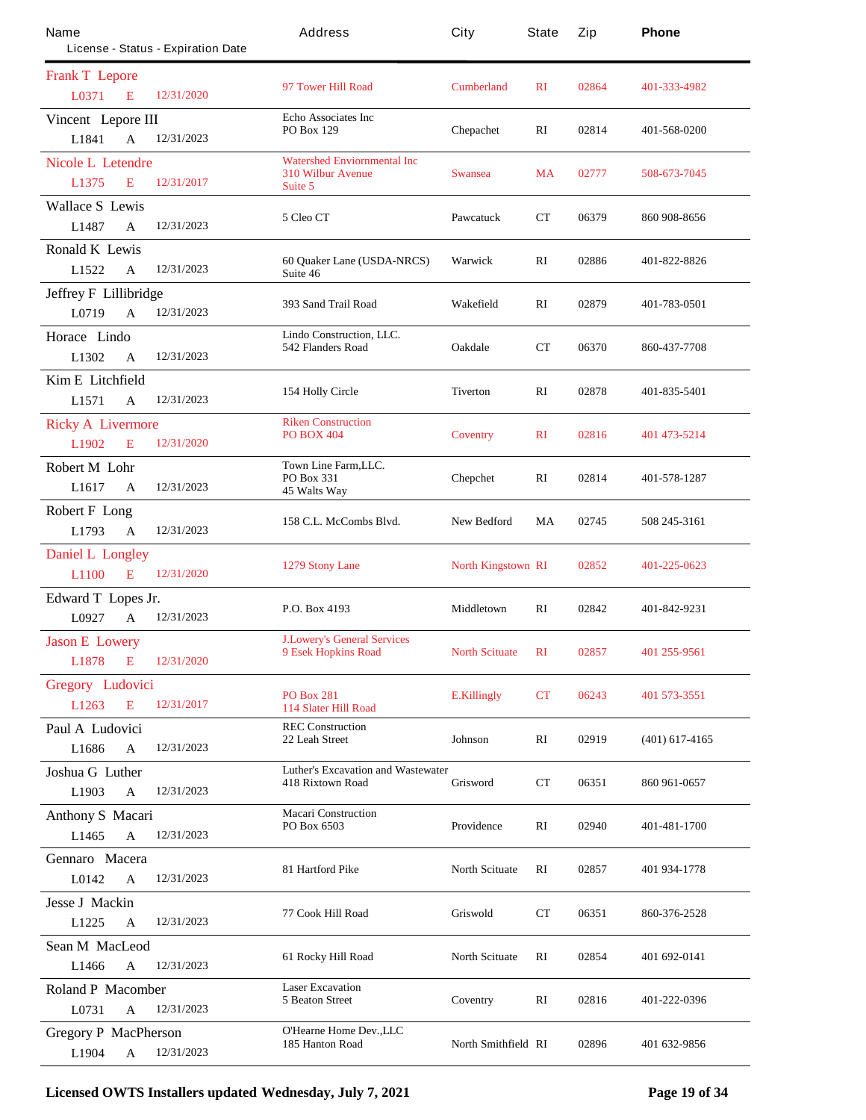| Name                                 | License - Status - Expiration Date | Address                                                              | City                      | State        | Zip   | Phone            |
|--------------------------------------|------------------------------------|----------------------------------------------------------------------|---------------------------|--------------|-------|------------------|
| <b>Frank T</b> Lepore                |                                    |                                                                      |                           |              |       |                  |
| <b>L0371</b><br>E                    | 12/31/2020                         | 97 Tower Hill Road                                                   | <b>Cumberland</b>         | $\mathbf{R}$ | 02864 | 401-333-4982     |
| Vincent Lepore III                   |                                    | <b>Echo Associates Inc</b><br><b>PO Box 129</b>                      | <b>Chepachet</b>          | RI           | 02814 | 401-568-0200     |
| L1841<br>$\mathbf{A}$                | 12/31/2023                         |                                                                      |                           |              |       |                  |
| <b>Nicole L Letendre</b>             | 12/31/2017                         | <b>Watershed Enviornmental Inc</b><br><b>310 Wilbur Avenue</b>       | <b>Swansea</b>            | MA           | 02777 | 508-673-7045     |
| L1375<br>E                           |                                    | Suite 5                                                              |                           |              |       |                  |
| <b>Wallace S Lewis</b><br>L1487<br>A | 12/31/2023                         | 5 Cleo CT                                                            | <b>Pawcatuck</b>          | СT           | 06379 | 860 908-8656     |
| <b>Ronald K Lewis</b>                |                                    |                                                                      |                           |              |       |                  |
| L1522<br>A                           | 12/31/2023                         | 60 Quaker Lane (USDA-NRCS)<br>Suite 46                               | Warwick                   | RI           | 02886 | 401-822-8826     |
| <b>Jeffrey F Lillibridge</b>         |                                    |                                                                      |                           |              |       |                  |
| L0719<br>A                           | 12/31/2023                         | 393 Sand Trail Road                                                  | Wakefield                 | RI           | 02879 | 401-783-0501     |
| Horace Lindo                         |                                    | Lindo Construction, LLC.                                             |                           |              |       |                  |
| L1302<br>A                           | 12/31/2023                         | 542 Flanders Road                                                    | <b>Oakdale</b>            | $_{\rm CT}$  | 06370 | 860-437-7708     |
| <b>Kim E</b> Litchfield              |                                    |                                                                      |                           |              |       |                  |
| L1571<br>A                           | 12/31/2023                         | 154 Holly Circle                                                     | Tiverton                  | RI           | 02878 | 401-835-5401     |
| <b>Ricky A Livermore</b>             |                                    | <b>Riken Construction</b>                                            |                           |              |       |                  |
| L1902<br>E                           | 12/31/2020                         | <b>PO BOX 404</b>                                                    | <b>Coventry</b>           | $\mathbf{R}$ | 02816 | 401 473-5214     |
| <b>Robert M Lohr</b>                 |                                    | Town Line Farm,LLC.                                                  |                           |              |       |                  |
| L <sub>1617</sub><br>A               | 12/31/2023                         | <b>PO Box 331</b><br>45 Walts Way                                    | <b>Chepchet</b>           | RI           | 02814 | 401-578-1287     |
| <b>Robert F Long</b>                 |                                    |                                                                      |                           |              |       |                  |
| L1793<br>$\mathbf{A}$                | 12/31/2023                         | 158 C.L. McCombs Blvd.                                               | <b>New Bedford</b>        | MA           | 02745 | 508 245-3161     |
| <b>Daniel L Longley</b>              |                                    |                                                                      |                           |              | 02852 | 401-225-0623     |
| L1100<br>E                           | 12/31/2020                         | 1279 Stony Lane                                                      | <b>North Kingstown RI</b> |              |       |                  |
| Edward T Lopes Jr.                   |                                    | P.O. Box 4193                                                        | Middletown                | $\mathbf{R}$ | 02842 | 401-842-9231     |
| L0927<br>$\mathbf{A}$                | 12/31/2023                         |                                                                      |                           |              |       |                  |
| <b>Jason E Lowery</b>                |                                    | <b>J.Lowery's General Services</b><br>9 Esek Hopkins Road            | <b>North Scituate</b>     | $\mathbf{R}$ | 02857 | 401 255-9561     |
| <b>L1878</b><br>E                    | 12/31/2020                         |                                                                      |                           |              |       |                  |
| <b>Gregory Ludovici</b>              |                                    | <b>PO Box 281</b>                                                    | <b>E.Killingly</b>        | <b>CT</b>    | 06243 | 401 573-3551     |
| E<br>L1263                           | 12/31/2017                         | <b>114 Slater Hill Road</b>                                          |                           |              |       |                  |
| Paul A Ludovici                      |                                    | <b>REC Construction</b><br>22 Leah Street                            | <b>Johnson</b>            | RI           | 02919 | $(401)$ 617-4165 |
| L1686<br>$\mathbf A$                 | 12/31/2023                         |                                                                      |                           |              |       |                  |
| Joshua G Luther                      |                                    | <b>Luther's Excavation and Wastewater</b><br><b>418 Rixtown Road</b> | Grisword                  | $_{\rm CT}$  | 06351 | 860 961-0657     |
| L1903<br>$\mathbf{A}$                | 12/31/2023                         |                                                                      |                           |              |       |                  |
| <b>Anthony S Macari</b>              |                                    | <b>Macari Construction</b><br>PO Box 6503                            | Providence                | RI           | 02940 | 401-481-1700     |
| L1465<br>$\mathbf{A}$                | 12/31/2023                         |                                                                      |                           |              |       |                  |
| Gennaro Macera                       |                                    | 81 Hartford Pike                                                     | <b>North Scituate</b>     | $\mathbf{R}$ | 02857 | 401 934-1778     |
| L0142<br>$\mathbf A$                 | 12/31/2023                         |                                                                      |                           |              |       |                  |
| <b>Jesse J Mackin</b>                |                                    | 77 Cook Hill Road                                                    | Griswold                  | CT           | 06351 | 860-376-2528     |
| L1225<br>A                           | 12/31/2023                         |                                                                      |                           |              |       |                  |
| <b>Sean M MacLeod</b>                |                                    | 61 Rocky Hill Road                                                   | <b>North Scituate</b>     | RI           | 02854 | 401 692-0141     |
| L1466<br>A                           | 12/31/2023                         |                                                                      |                           |              |       |                  |
| <b>Roland P Macomber</b>             |                                    | <b>Laser Excavation</b><br><b>5 Beaton Street</b>                    | Coventry                  | RI           | 02816 | 401-222-0396     |
| L0731<br>$\mathbf{A}$                | 12/31/2023                         |                                                                      |                           |              |       |                  |
| <b>Gregory P MacPherson</b>          |                                    | O'Heame Home Dev., LLC<br>185 Hanton Road                            | North Smithfield RI       |              | 02896 | 401 632-9856     |
| L1904<br>$\mathbf A$                 | 12/31/2023                         |                                                                      |                           |              |       |                  |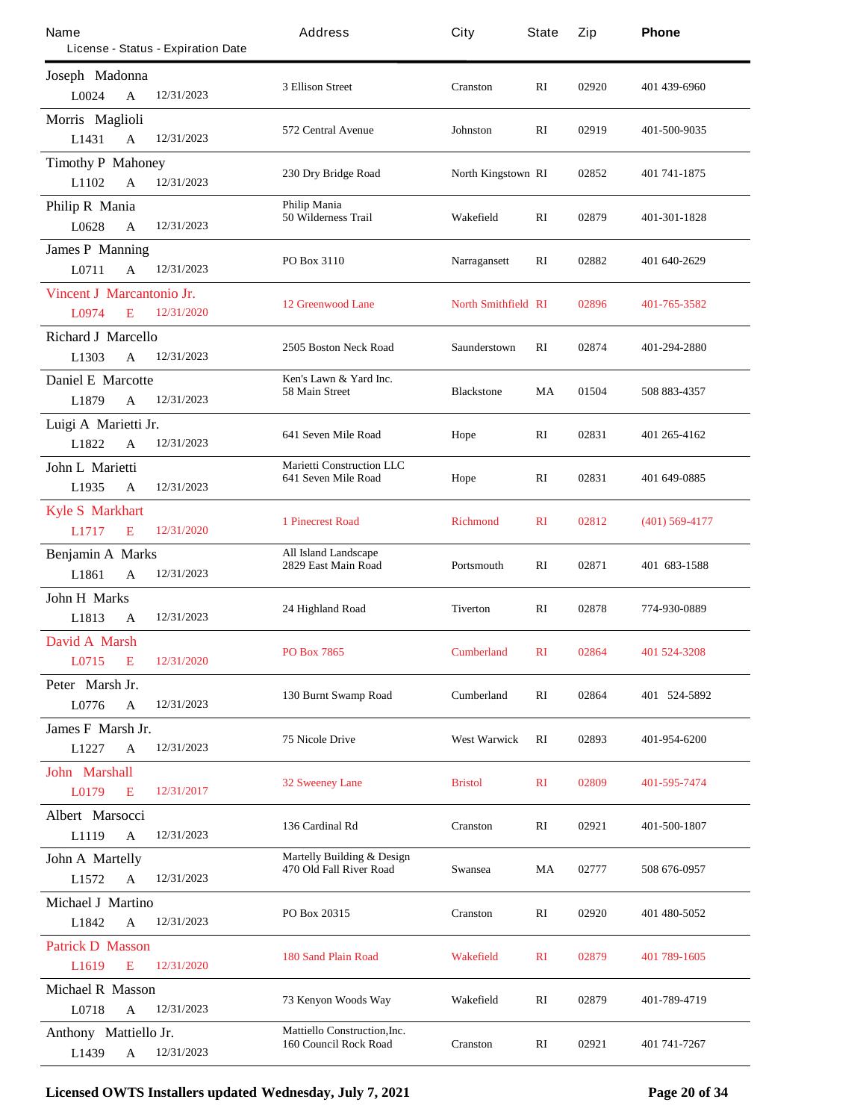| Name                               |              | License - Status - Expiration Date | Address                                                             | City                       | State        | Zip   | Phone            |
|------------------------------------|--------------|------------------------------------|---------------------------------------------------------------------|----------------------------|--------------|-------|------------------|
| Joseph Madonna<br>L0024            | A            | 12/31/2023                         | 3 Ellison Street                                                    | Cranston                   | RI           | 02920 | 401 439-6960     |
| Morris Maglioli<br>L1431           | $\mathbf{A}$ | 12/31/2023                         | 572 Central Avenue                                                  | Johnston                   | RI           | 02919 | 401-500-9035     |
| <b>Timothy P Mahoney</b><br>L1102  | A            | 12/31/2023                         | 230 Dry Bridge Road                                                 | <b>North Kingstown RI</b>  |              | 02852 | 401 741-1875     |
| <b>Philip R Mania</b><br>L0628     | A            | 12/31/2023                         | <b>Philip Mania</b><br>50 Wilderness Trail                          | Wakefield                  | RI           | 02879 | 401-301-1828     |
| <b>James P Manning</b><br>L0711    | A            | 12/31/2023                         | PO Box 3110                                                         | Narragansett               | RI           | 02882 | 401 640-2629     |
| Vincent J Marcantonio Jr.<br>L0974 | E            | 12/31/2020                         | <b>12 Greenwood Lane</b>                                            | <b>North Smithfield RI</b> |              | 02896 | 401-765-3582     |
| <b>Richard J Marcello</b><br>L1303 | A            | 12/31/2023                         | 2505 Boston Neck Road                                               | Saunderstown               | RI           | 02874 | 401-294-2880     |
| <b>Daniel E Marcotte</b><br>L1879  | A            | 12/31/2023                         | Ken's Lawn & Yard Inc.<br>58 Main Street                            | <b>Blackstone</b>          | MA           | 01504 | 508 883-4357     |
| Luigi A Marietti Jr.<br>L1822      | A            | 12/31/2023                         | 641 Seven Mile Road                                                 | Hope                       | RI           | 02831 | 401 265-4162     |
| John L Marietti<br>L1935           | A            | 12/31/2023                         | <b>Marietti Construction LLC</b><br>641 Seven Mile Road             | Hope                       | RI           | 02831 | 401 649-0885     |
| <b>Kyle S Markhart</b><br>L1717    | E            | 12/31/2020                         | <b>1 Pinecrest Road</b>                                             | <b>Richmond</b>            | $\mathbf{R}$ | 02812 | $(401)$ 569-4177 |
| <b>Benjamin A Marks</b><br>L1861   | $\mathbf{A}$ | 12/31/2023                         | <b>All Island Landscape</b><br>2829 East Main Road                  | Portsmouth                 | RI           | 02871 | 401 683-1588     |
| <b>John H Marks</b><br>L1813       | A            | 12/31/2023                         | 24 Highland Road                                                    | Tiverton                   | RI           | 02878 | 774-930-0889     |
| David A Marsh<br>L0715             | E            | 12/31/2020                         | PO Box 7865                                                         | <b>Cumberland</b>          | <b>RI</b>    | 02864 | 401 524-3208     |
| Peter Marsh Jr.<br>L0776           | A            | 12/31/2023                         | 130 Burnt Swamp Road                                                | <b>Cumberland</b>          | RI           | 02864 | 401 524-5892     |
| James F Marsh Jr.<br>L1227         | A            | 12/31/2023                         | <b>75 Nicole Drive</b>                                              | <b>West Warwick</b>        | RI           | 02893 | 401-954-6200     |
| <b>John Marshall</b><br>L0179      | E            | 12/31/2017                         | <b>32 Sweeney Lane</b>                                              | <b>Bristol</b>             | $\mathbf{R}$ | 02809 | 401-595-7474     |
| <b>Albert Marsocci</b><br>L1119    | $\mathbf A$  | 12/31/2023                         | 136 Cardinal Rd                                                     | <b>Cranston</b>            | RI           | 02921 | 401-500-1807     |
| <b>John A Martelly</b><br>L1572    | $\mathbf{A}$ | 12/31/2023                         | <b>Martelly Building &amp; Design</b><br>470 Old Fall River Road    | Swansea                    | MA           | 02777 | 508 676-0957     |
| <b>Michael J Martino</b><br>L1842  | $\mathbf{A}$ | 12/31/2023                         | PO Box 20315                                                        | <b>Cranston</b>            | RI           | 02920 | 401 480-5052     |
| <b>Patrick D Masson</b><br>L1619   | E            | 12/31/2020                         | <b>180 Sand Plain Road</b>                                          | <b>Wakefield</b>           | $\mathbf{R}$ | 02879 | 401 789-1605     |
| <b>Michael R Masson</b><br>L0718   | A            | 12/31/2023                         | 73 Kenyon Woods Way                                                 | Wakefield                  | RI           | 02879 | 401-789-4719     |
| Anthony Mattiello Jr.<br>L1439     | $\mathbf A$  | 12/31/2023                         | <b>Mattiello Construction, Inc.</b><br><b>160 Council Rock Road</b> | <b>Cranston</b>            | RI           | 02921 | 401 741-7267     |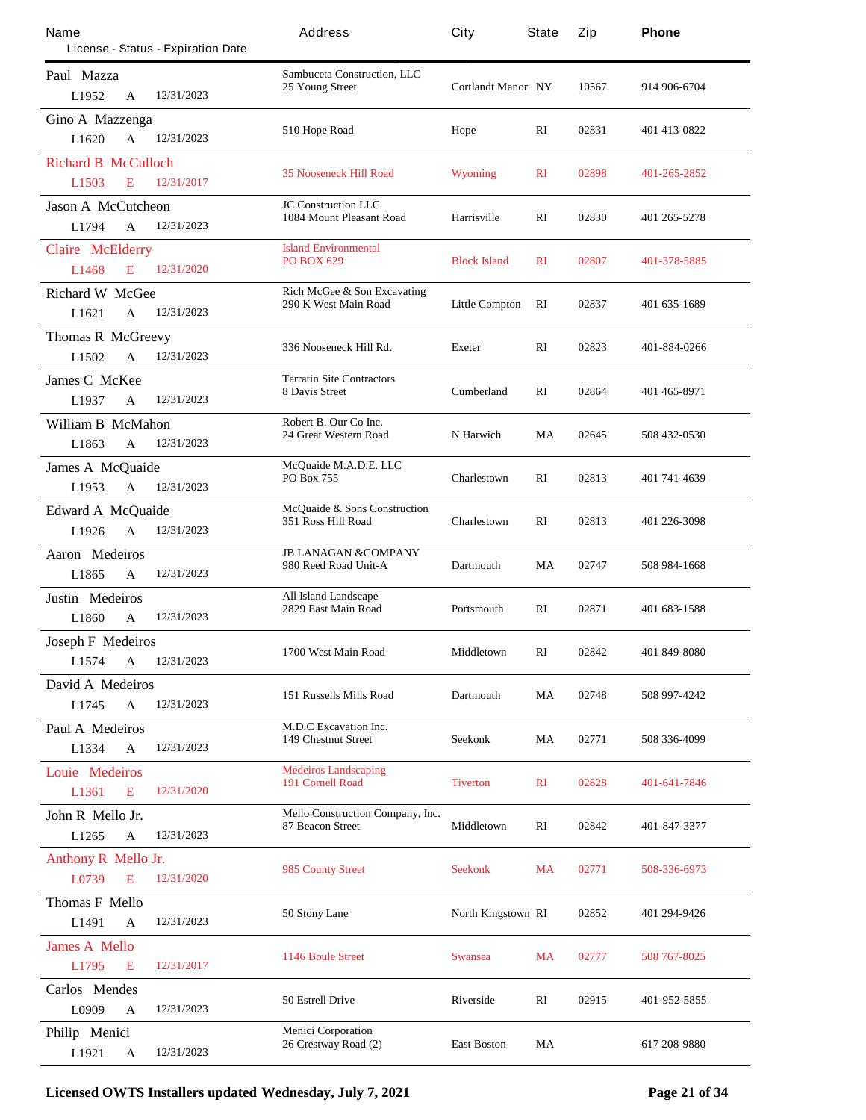| Name<br>License - Status - Expiration Date                       | Address                                                            | City                      | <b>State</b> | Zip   | Phone        |
|------------------------------------------------------------------|--------------------------------------------------------------------|---------------------------|--------------|-------|--------------|
| Paul Mazza<br>12/31/2023<br>L1952<br>A                           | <b>Sambuceta Construction, LLC</b><br>25 Young Street              | <b>Cortlandt Manor NY</b> |              | 10567 | 914 906-6704 |
| Gino A Mazzenga<br>12/31/2023<br>$\mathbf{A}$<br>L1620           | 510 Hope Road                                                      | Hope                      | RI           | 02831 | 401 413-0822 |
| <b>Richard B McCulloch</b><br>12/31/2017<br>L1503<br>E           | <b>35 Nooseneck Hill Road</b>                                      | <b>Wyoming</b>            | $\mathbf{R}$ | 02898 | 401-265-2852 |
| <b>Jason A McCutcheon</b><br>L1794<br>12/31/2023<br>$\mathbf{A}$ | <b>JC Construction LLC</b><br><b>1084 Mount Pleasant Road</b>      | <b>Harrisville</b>        | $\mathbf{R}$ | 02830 | 401 265-5278 |
| <b>Claire</b> McElderry<br>12/31/2020<br>L1468<br>E              | <b>Island Environmental</b><br><b>PO BOX 629</b>                   | <b>Block Island</b>       | $\mathbf{R}$ | 02807 | 401-378-5885 |
| <b>Richard W McGee</b><br>12/31/2023<br>L <sub>1621</sub><br>A   | <b>Rich McGee &amp; Son Excavating</b><br>290 K West Main Road     | <b>Little Compton</b>     | RI           | 02837 | 401 635-1689 |
| <b>Thomas R McGreevy</b><br>L1502<br>12/31/2023<br>$\mathbf{A}$  | 336 Nooseneck Hill Rd.                                             | <b>Exeter</b>             | RI           | 02823 | 401-884-0266 |
| <b>James C McKee</b><br>12/31/2023<br>L1937<br>A                 | <b>Terratin Site Contractors</b><br><b>8 Davis Street</b>          | <b>Cumberland</b>         | RI           | 02864 | 401 465-8971 |
| William B McMahon<br>12/31/2023<br>L1863<br>$\mathbf{A}$         | Robert B. Our Co Inc.<br>24 Great Western Road                     | N.Harwich                 | MA           | 02645 | 508 432-0530 |
| <b>James A McQuaide</b><br>L1953<br>12/31/2023<br>$\mathbf{A}$   | McQuaide M.A.D.E. LLC<br>PO Box 755                                | Charlestown               | RI           | 02813 | 401 741 4639 |
| <b>Edward A McQuaide</b><br>12/31/2023<br>L1926<br>A             | McQuaide & Sons Construction<br>351 Ross Hill Road                 | Charlestown               | $\mathbf{R}$ | 02813 | 401 226-3098 |
| <b>Aaron</b> Medeiros<br>12/31/2023<br>L1865<br>A                | <b>JB LANAGAN &amp;COMPANY</b><br>980 Reed Road Unit-A             | <b>Dartmouth</b>          | MA           | 02747 | 508 984-1668 |
| Justin Medeiros<br>12/31/2023<br>L1860<br>A                      | <b>All Island Landscape</b><br>2829 East Main Road                 | Portsmouth                | $\mathbf{R}$ | 02871 | 401 683-1588 |
| <b>Joseph F Medeiros</b><br>L1574<br>A<br>12/31/2023             | 1700 West Main Road                                                | Middletown                | RI           | 02842 | 401 849-8080 |
| David A Medeiros<br>L1745<br>$\mathbf A$<br>12/31/2023           | <b>151 Russells Mills Road</b>                                     | <b>Dartmouth</b>          | MA           | 02748 | 508 997-4242 |
| Paul A Medeiros<br>12/31/2023<br>L1334<br>A                      | <b>M.D.C Excavation Inc.</b><br><b>149 Chestnut Street</b>         | Seekonk                   | MA           | 02771 | 508 336-4099 |
| Louie Medeiros<br>12/31/2020<br>L1361<br>E                       | <b>Medeiros Landscaping</b><br><b>191 Cornell Road</b>             | <b>Tiverton</b>           | $\mathbf{R}$ | 02828 | 401-641-7846 |
| John R Mello Jr.<br>12/31/2023<br>L1265<br>A                     | <b>Mello Construction Company, Inc.</b><br><b>87 Beacon Street</b> | <b>Middletown</b>         | RI           | 02842 | 401-847-3377 |
| <b>Anthony R Mello Jr.</b><br>E<br>12/31/2020<br>L0739           | 985 County Street                                                  | <b>Seekonk</b>            | <b>MA</b>    | 02771 | 508-336-6973 |
| <b>Thomas F Mello</b><br>L1491<br>12/31/2023<br>A                | 50 Stony Lane                                                      | North Kingstown RI        |              | 02852 | 401 294-9426 |
| <b>James A Mello</b><br>L1795<br>12/31/2017<br>Е                 | <b>1146 Boule Street</b>                                           | <b>Swansea</b>            | <b>MA</b>    | 02777 | 508 767-8025 |
| <b>Carlos</b> Mendes<br>L0909<br>12/31/2023<br>A                 | 50 Estrell Drive                                                   | <b>Riverside</b>          | RI           | 02915 | 401-952-5855 |
| Philip Menici<br>12/31/2023<br>L1921<br>A                        | <b>Menici Corporation</b><br>26 Crestway Road (2)                  | <b>East Boston</b>        | MA           |       | 617 208-9880 |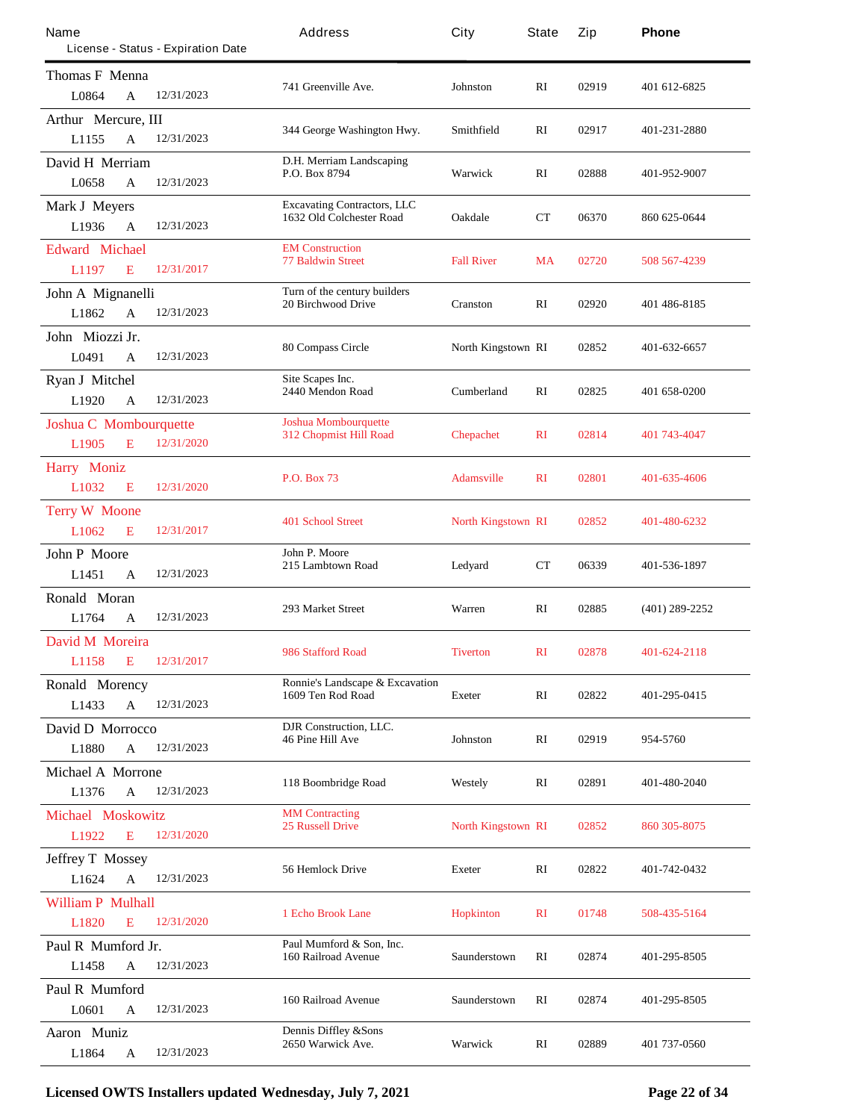| Name                          |                                    | Address                            | City                      | State        | Zip   | Phone            |
|-------------------------------|------------------------------------|------------------------------------|---------------------------|--------------|-------|------------------|
|                               | License - Status - Expiration Date |                                    |                           |              |       |                  |
| <b>Thomas F Menna</b>         |                                    | 741 Greenville Ave.                |                           | RI           | 02919 |                  |
| L0864                         | 12/31/2023<br>A                    |                                    | Johnston                  |              |       | 401 612-6825     |
| Arthur Mercure, III           |                                    |                                    |                           |              |       |                  |
| L1155                         | $\mathbf{A}$<br>12/31/2023         | 344 George Washington Hwy.         | Smithfield                | RI           | 02917 | 401-231-2880     |
| David H Merriam               |                                    | D.H. Merriam Landscaping           |                           |              |       |                  |
| L0658                         | 12/31/2023<br>$\mathbf{A}$         | P.O. Box 8794                      | Warwick                   | RI           | 02888 | 401-952-9007     |
| <b>Mark J Meyers</b>          |                                    | <b>Excavating Contractors, LLC</b> |                           |              |       |                  |
| L1936                         | 12/31/2023<br>A                    | 1632 Old Colchester Road           | <b>Oakdale</b>            | CТ           | 06370 | 860 625-0644     |
| <b>Edward Michael</b>         |                                    | <b>EM Construction</b>             |                           |              |       |                  |
| L1197                         | 12/31/2017<br>E                    | <b>77 Baldwin Street</b>           | <b>Fall River</b>         | <b>MA</b>    | 02720 | 508 567-4239     |
| John A Mignanelli             |                                    | Tum of the century builders        |                           |              |       |                  |
| L1862                         | 12/31/2023<br>A                    | <b>20 Birchwood Drive</b>          | Cranston                  | RI           | 02920 | 401 486-8185     |
| John Miozzi Jr.               |                                    |                                    |                           |              |       |                  |
| L0491                         | 12/31/2023<br>A                    | 80 Compass Circle                  | North Kingstown RI        |              | 02852 | 401-632-6657     |
| <b>Ryan J Mitchel</b>         |                                    | Site Scapes Inc.                   |                           |              |       |                  |
| L1920                         | 12/31/2023<br>A                    | 2440 Mendon Road                   | <b>Cumberland</b>         | RI           | 02825 | 401 658-0200     |
| <b>Joshua C Mombourquette</b> |                                    | <b>Joshua Mombourquette</b>        |                           |              |       |                  |
| L1905                         | E<br>12/31/2020                    | 312 Chopmist Hill Road             | <b>Chepachet</b>          | $\mathbf{R}$ | 02814 | 401 743-4047     |
| <b>Harry Moniz</b>            |                                    |                                    |                           |              |       |                  |
| L1032                         | 12/31/2020<br>E                    | <b>P.O. Box 73</b>                 | <b>Adamsville</b>         | $\mathbf{R}$ | 02801 | 401-635-4606     |
| <b>Terry W Moone</b>          |                                    |                                    |                           |              |       |                  |
| L1062                         | 12/31/2017<br>E                    | <b>401 School Street</b>           | <b>North Kingstown RI</b> |              | 02852 | 401-480-6232     |
| <b>John P Moore</b>           |                                    | John P. Moore                      |                           |              |       |                  |
| L1451                         | 12/31/2023<br>$\mathbf{A}$         | 215 Lambtown Road                  | Ledyard                   | CТ           | 06339 | 401-536-1897     |
| Ronald Moran                  |                                    |                                    |                           |              |       |                  |
| L1764                         | 12/31/2023<br>A                    | <b>293 Market Street</b>           | Warren                    | RI           | 02885 | $(401)$ 289-2252 |
| <b>David M Moreira</b>        |                                    |                                    |                           |              |       |                  |
| L1158<br>$\mathbf{E}$         | 12/31/2017                         | 986 Stafford Road                  | <b>Tiverton</b>           | $\mathbf{R}$ | 02878 | 401-624-2118     |
| <b>Ronald Morency</b>         |                                    | Ronnie's Landscape & Excavation    |                           |              |       |                  |
| L1433                         | $\mathbf{A}$<br>12/31/2023         | 1609 Ten Rod Road                  | <b>Exeter</b>             | RI           | 02822 | 401-295-0415     |
| David D Morrocco              |                                    | DJR Construction, LLC.             |                           |              |       |                  |
| L1880                         | 12/31/2023<br>A                    | <b>46 Pine Hill Ave</b>            | Johnston                  | RI           | 02919 | 954-5760         |
| <b>Michael A Morrone</b>      |                                    |                                    |                           |              |       |                  |
| L1376                         | 12/31/2023<br>A                    | 118 Boombridge Road                | Westely                   | RI           | 02891 | 401-480-2040     |
| <b>Michael Moskowitz</b>      |                                    | <b>MM</b> Contracting              |                           |              |       |                  |
| L1922                         | 12/31/2020<br>E                    | <b>25 Russell Drive</b>            | <b>North Kingstown RI</b> |              | 02852 | 860 305-8075     |
| <b>Jeffrey T Mossey</b>       |                                    |                                    |                           |              |       |                  |
| L1624                         | 12/31/2023<br>$\mathbf{A}$         | <b>56 Hemlock Drive</b>            | <b>Exeter</b>             | RI           | 02822 | 401-742-0432     |
| <b>William P Mulhall</b>      |                                    |                                    |                           |              |       |                  |
| L1820                         | 12/31/2020<br>E                    | <b>1 Echo Brook Lane</b>           | <b>Hopkinton</b>          | $\mathbf{R}$ | 01748 | 508-435-5164     |
| Paul R Mumford Jr.            |                                    | Paul Mumford & Son, Inc.           |                           |              |       |                  |
| L1458                         | 12/31/2023<br>A                    | <b>160 Railroad Avenue</b>         | Saunderstown              | RI           | 02874 | 401-295-8505     |
| Paul R Mumford                |                                    |                                    |                           |              |       |                  |
| L0601                         | 12/31/2023<br>A                    | 160 Railroad Avenue                | Saunderstown              | RI           | 02874 | 401-295-8505     |
| Aaron Muniz                   |                                    | <b>Dennis Diffley &amp;Sons</b>    |                           |              |       |                  |
| L1864                         | 12/31/2023<br>A                    | 2650 Warwick Ave.                  | Warwick                   | RI           | 02889 | 401 737-0560     |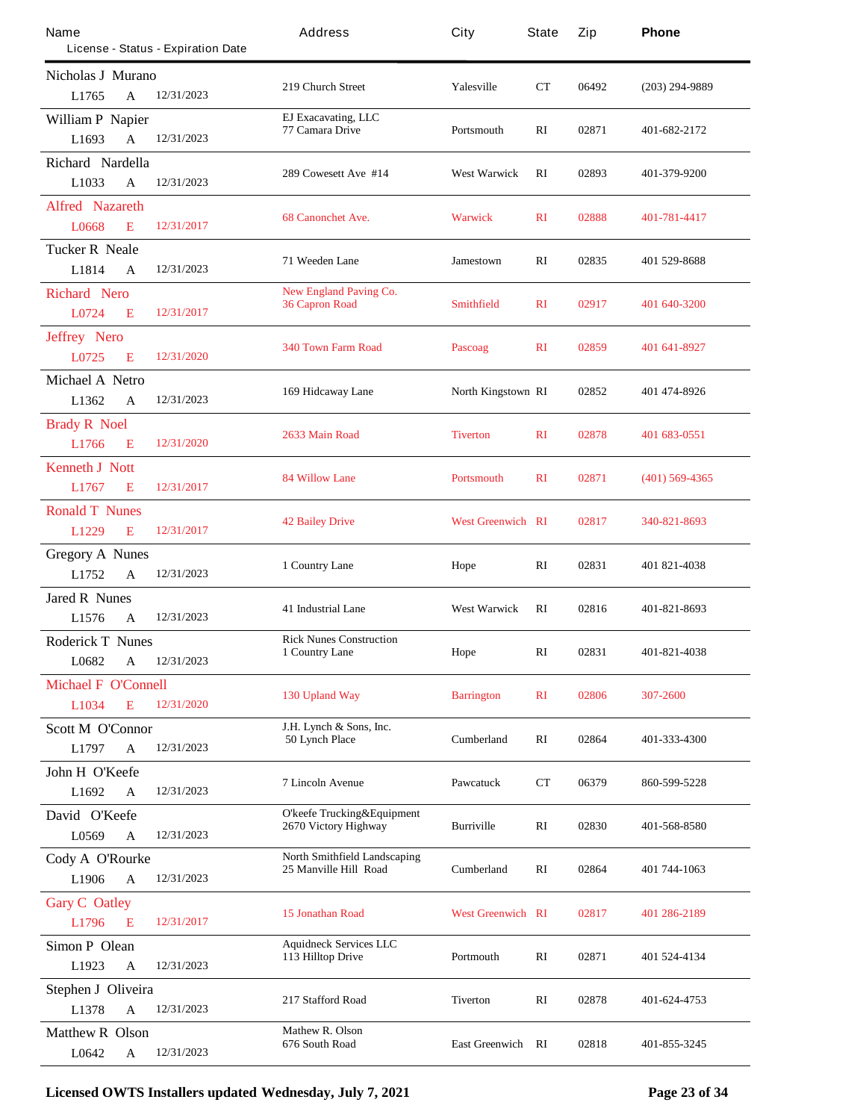| Name                            |              | License - Status - Expiration Date | Address                                            | City                     | <b>State</b>   | Zip   | Phone            |
|---------------------------------|--------------|------------------------------------|----------------------------------------------------|--------------------------|----------------|-------|------------------|
| Nicholas J Murano               |              |                                    |                                                    |                          |                |       |                  |
| L1765                           | A            | 12/31/2023                         | 219 Church Street                                  | <b>Yalesville</b>        | CT             | 06492 | $(203)$ 294-9889 |
| <b>William P Napier</b>         |              |                                    | <b>EJ Exacavating, LLC</b><br>77 Camara Drive      | Portsmouth               | RI             | 02871 | 401-682-2172     |
| L1693                           | $\mathbf{A}$ | 12/31/2023                         |                                                    |                          |                |       |                  |
| Richard Nardella                |              |                                    | 289 Cowesett Ave #14                               | <b>West Warwick</b>      | RI             | 02893 | 401-379-9200     |
| L1033                           | A            | 12/31/2023                         |                                                    |                          |                |       |                  |
| <b>Alfred Nazareth</b><br>L0668 | E            | 12/31/2017                         | <b>68 Canonchet Ave.</b>                           | <b>Warwick</b>           | $\mathbf{R}$   | 02888 | 401-781-4417     |
| <b>Tucker R Neale</b>           |              |                                    |                                                    |                          |                |       |                  |
| L1814                           | A            | 12/31/2023                         | 71 Weeden Lane                                     | Jamestown                | RI             | 02835 | 401 529-8688     |
| <b>Richard Nero</b>             |              |                                    | <b>New England Paving Co.</b>                      |                          |                |       |                  |
| L0724                           | E            | 12/31/2017                         | 36 Capron Road                                     | Smithfield               | $\mathbf{R}$   | 02917 | 401 640-3200     |
| <b>Jeffrey Nero</b>             |              |                                    |                                                    |                          |                |       |                  |
| L0725                           | E            | 12/31/2020                         | <b>340 Town Farm Road</b>                          | <b>Pascoag</b>           | $\mathbf{R}$   | 02859 | 401 641-8927     |
| Michael A Netro                 |              |                                    | 169 Hidcaway Lane                                  | North Kingstown RI       |                | 02852 | 401 474-8926     |
| L1362                           | A            | 12/31/2023                         |                                                    |                          |                |       |                  |
| <b>Brady R Noel</b>             |              |                                    | 2633 Main Road                                     | <b>Tiverton</b>          | $\mathbf{R}$   | 02878 | 401 683-0551     |
| L1766                           | E            | 12/31/2020                         |                                                    |                          |                |       |                  |
| <b>Kenneth J Nott</b>           |              |                                    | <b>84 Willow Lane</b>                              | <b>Portsmouth</b>        | $\mathbf{R}$   | 02871 | $(401)$ 569-4365 |
| L1767                           | E            | 12/31/2017                         |                                                    |                          |                |       |                  |
| <b>Ronald T Nunes</b>           |              |                                    | <b>42 Bailey Drive</b>                             | <b>West Greenwich RI</b> |                | 02817 | 340-821-8693     |
| L1229                           | E            | 12/31/2017                         |                                                    |                          |                |       |                  |
| <b>Gregory A Nunes</b>          |              |                                    | 1 Country Lane                                     | Hope                     | RI             | 02831 | 401 821-4038     |
| L1752                           | $\mathbf{A}$ | 12/31/2023                         |                                                    |                          |                |       |                  |
| <b>Jared R Nunes</b>            |              |                                    | <b>41 Industrial Lane</b>                          | <b>West Warwick</b>      | RI             | 02816 | 401-821-8693     |
| L1576                           | A            | 12/31/2023                         |                                                    |                          |                |       |                  |
| <b>Roderick T Nunes</b>         |              |                                    | <b>Rick Nunes Construction</b><br>1 Country Lane   | Hope                     | RI             | 02831 | 401-821-4038     |
| L0682                           | A            | 12/31/2023                         |                                                    |                          |                |       |                  |
| <b>Michael F O'Connell</b>      |              |                                    | 130 Upland Way                                     | <b>Barrington</b>        | R <sub>I</sub> | 02806 | 307-2600         |
| L1034                           | E            | 12/31/2020                         |                                                    |                          |                |       |                  |
| <b>Scott M O'Connor</b>         |              |                                    | J.H. Lynch & Sons, Inc.<br><b>50 Lynch Place</b>   | <b>Cumberland</b>        | RI             | 02864 | 401-333-4300     |
| L1797                           | A            | 12/31/2023                         |                                                    |                          |                |       |                  |
| John H O'Keefe<br>L1692         | $\mathbf A$  | 12/31/2023                         | <b>7 Lincoln Avenue</b>                            | <b>Pawcatuck</b>         | CТ             | 06379 | 860-599-5228     |
|                                 |              |                                    | <b>O'keefe Trucking&amp;Equipment</b>              |                          |                |       |                  |
| David O'Keefe<br>L0569          | A            | 12/31/2023                         | 2670 Victory Highway                               | <b>Burriville</b>        | RI             | 02830 | 401-568-8580     |
| Cody A O'Rourke                 |              |                                    | <b>North Smithfield Landscaping</b>                |                          |                |       |                  |
| L1906                           | $\mathbf{A}$ | 12/31/2023                         | 25 Manville Hill Road                              | <b>Cumberland</b>        | RI             | 02864 | 401 744-1063     |
| <b>Gary C</b> Oatley            |              |                                    |                                                    |                          |                |       |                  |
| L1796                           | E            | 12/31/2017                         | <b>15 Jonathan Road</b>                            | <b>West Greenwich RI</b> |                | 02817 | 401 286-2189     |
| <b>Simon P</b> Olean            |              |                                    | <b>Aquidneck Services LLC</b><br>113 Hilltop Drive | Portmouth                | RI             | 02871 | 401 524-4134     |
| L1923                           | A            | 12/31/2023                         |                                                    |                          |                |       |                  |
| Stephen J Oliveira              |              |                                    | 217 Stafford Road                                  | <b>Tiverton</b>          | RI             | 02878 | 401-624-4753     |
| L1378                           | A            | 12/31/2023                         |                                                    |                          |                |       |                  |
| <b>Matthew R Olson</b>          |              |                                    | <b>Mathew R. Olson</b><br>676 South Road           | <b>East Greenwich RI</b> |                | 02818 | 401-855-3245     |
| L0642                           | A            | 12/31/2023                         |                                                    |                          |                |       |                  |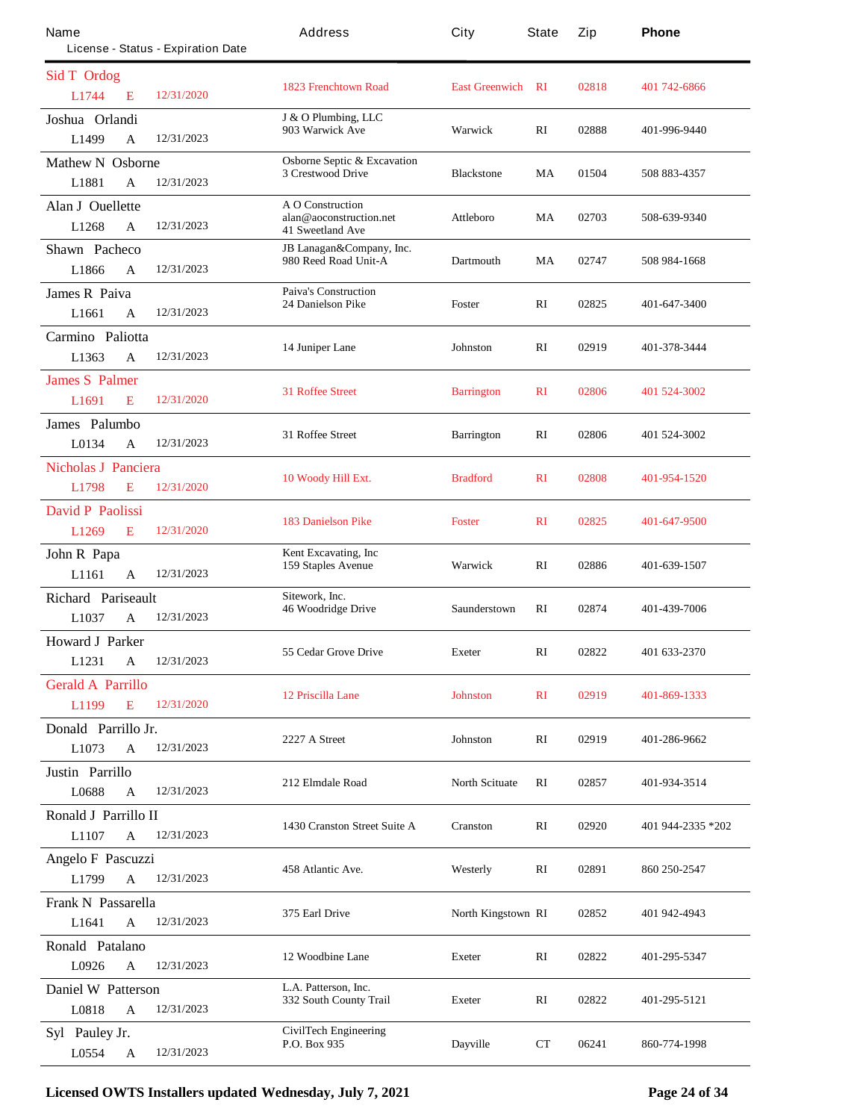| Name<br>License - Status - Expiration Date |            | Address                                                                       | City                     | State        | Zip   | Phone             |
|--------------------------------------------|------------|-------------------------------------------------------------------------------|--------------------------|--------------|-------|-------------------|
|                                            |            |                                                                               |                          |              |       |                   |
| Sid T Ordog<br>L1744<br>E                  | 12/31/2020 | <b>1823 Frenchtown Road</b>                                                   | <b>East Greenwich RI</b> |              | 02818 | 401 742-6866      |
| Joshua Orlandi<br>L1499<br>A               | 12/31/2023 | J & O Plumbing, LLC<br>903 Warwick Ave                                        | Warwick                  | $\mathbf{R}$ | 02888 | 401-996-9440      |
| <b>Mathew N</b> Osborne                    |            | <b>Osborne Septic &amp; Excavation</b>                                        |                          |              |       |                   |
| L1881<br>A                                 | 12/31/2023 | <b>3 Crestwood Drive</b>                                                      | <b>Blackstone</b>        | MA           | 01504 | 508 883-4357      |
| <b>Alan J Ouellette</b><br>L1268<br>A      | 12/31/2023 | <b>A O Construction</b><br>alan@aoconstruction.net<br><b>41 Sweetland Ave</b> | Attleboro                | MA           | 02703 | 508-639-9340      |
| <b>Shawn Pacheco</b>                       |            | <b>JB</b> Lanagan&Company, Inc.                                               |                          |              |       |                   |
| L1866<br>A                                 | 12/31/2023 | 980 Reed Road Unit-A                                                          | <b>Dartmouth</b>         | MA           | 02747 | 508 984-1668      |
| <b>James R Paiva</b>                       |            | <b>Paiva's Construction</b><br><b>24 Danielson Pike</b>                       | Foster                   | RI           | 02825 | 401-647-3400      |
| L1661<br>A                                 | 12/31/2023 |                                                                               |                          |              |       |                   |
| Carmino Paliotta                           |            |                                                                               |                          | RI           | 02919 |                   |
| L1363<br>A                                 | 12/31/2023 | 14 Juniper Lane                                                               | Johnston                 |              |       | 401-378-3444      |
| <b>James S Palmer</b>                      |            |                                                                               |                          |              |       |                   |
| L1691<br>E                                 | 12/31/2020 | <b>31 Roffee Street</b>                                                       | <b>Barrington</b>        | $\mathbf{R}$ | 02806 | 401 524-3002      |
| <b>James</b> Palumbo                       |            |                                                                               |                          |              |       |                   |
| L0134<br>$\mathbf{A}$                      | 12/31/2023 | 31 Roffee Street                                                              | <b>Barrington</b>        | RI           | 02806 | 401 524-3002      |
| <b>Nicholas J Panciera</b>                 |            |                                                                               |                          |              |       |                   |
| L1798<br>E                                 | 12/31/2020 | 10 Woody Hill Ext.                                                            | <b>Bradford</b>          | $\mathbf{R}$ | 02808 | 401-954-1520      |
| <b>David P Paolissi</b>                    |            |                                                                               |                          |              |       |                   |
| L1269<br>E                                 | 12/31/2020 | <b>183 Danielson Pike</b>                                                     | <b>Foster</b>            | $\mathbf{R}$ | 02825 | 401-647-9500      |
| John R Papa                                |            | Kent Excavating, Inc.                                                         |                          |              |       |                   |
| L1161<br>A                                 | 12/31/2023 | <b>159 Staples Avenue</b>                                                     | Warwick                  | RI           | 02886 | 401-639-1507      |
| Richard Pariseault                         |            | Sitework, Inc.                                                                |                          |              |       |                   |
| L1037<br>A                                 | 12/31/2023 | <b>46 Woodridge Drive</b>                                                     | Saunderstown             | RI           | 02874 | 401-439-7006      |
| <b>Howard J Parker</b>                     |            |                                                                               |                          |              |       |                   |
| L1231<br>$\mathbf A$                       | 12/31/2023 | <b>55 Cedar Grove Drive</b>                                                   | <b>Exeter</b>            | RI           | 02822 | 401 633-2370      |
| <b>Gerald A Parrillo</b>                   |            |                                                                               |                          |              |       |                   |
| L1199<br>E                                 | 12/31/2020 | 12 Priscilla Lane                                                             | <b>Johnston</b>          | $\mathbf{R}$ | 02919 | 401-869-1333      |
| Donald Parrillo Jr.                        |            |                                                                               |                          |              |       |                   |
| L1073<br>$\mathbf{A}$                      | 12/31/2023 | 2227 A Street                                                                 | <b>Johnston</b>          | RI           | 02919 | 401-286-9662      |
| Justin Parrillo                            |            |                                                                               |                          |              |       |                   |
| L0688<br>A                                 | 12/31/2023 | 212 Elmdale Road                                                              | <b>North Scituate</b>    | RI           | 02857 | 401-934-3514      |
| Ronald J Parrillo II                       |            |                                                                               |                          |              |       |                   |
| L1107<br>A                                 | 12/31/2023 | 1430 Cranston Street Suite A                                                  | <b>Cranston</b>          | RI           | 02920 | 401 944-2335 *202 |
| Angelo F Pascuzzi                          |            |                                                                               |                          |              |       |                   |
| L1799<br>A                                 | 12/31/2023 | 458 Atlantic Ave.                                                             | Westerly                 | RI           | 02891 | 860 250-2547      |
| Frank N Passarella                         |            |                                                                               |                          |              |       |                   |
| L1641<br>A                                 | 12/31/2023 | 375 Earl Drive<br>North Kingstown RI                                          |                          |              | 02852 | 401 942-4943      |
| Ronald Patalano                            |            |                                                                               |                          |              |       |                   |
| L0926<br>A                                 | 12/31/2023 | 12 Woodbine Lane                                                              | <b>Exeter</b>            | RI           | 02822 | 401-295-5347      |
| <b>Daniel W Patterson</b>                  |            | L.A. Patterson, Inc.                                                          |                          |              |       |                   |
| L0818<br>A                                 | 12/31/2023 | 332 South County Trail                                                        | <b>Exeter</b>            | RI           | 02822 | 401-295-5121      |
| Syl Pauley Jr.                             |            | <b>CivilTech Engineering</b>                                                  |                          |              |       |                   |
| L0554<br>$\mathbf A$                       | 12/31/2023 | P.O. Box 935                                                                  | <b>Dayville</b>          | CT           | 06241 | 860-774-1998      |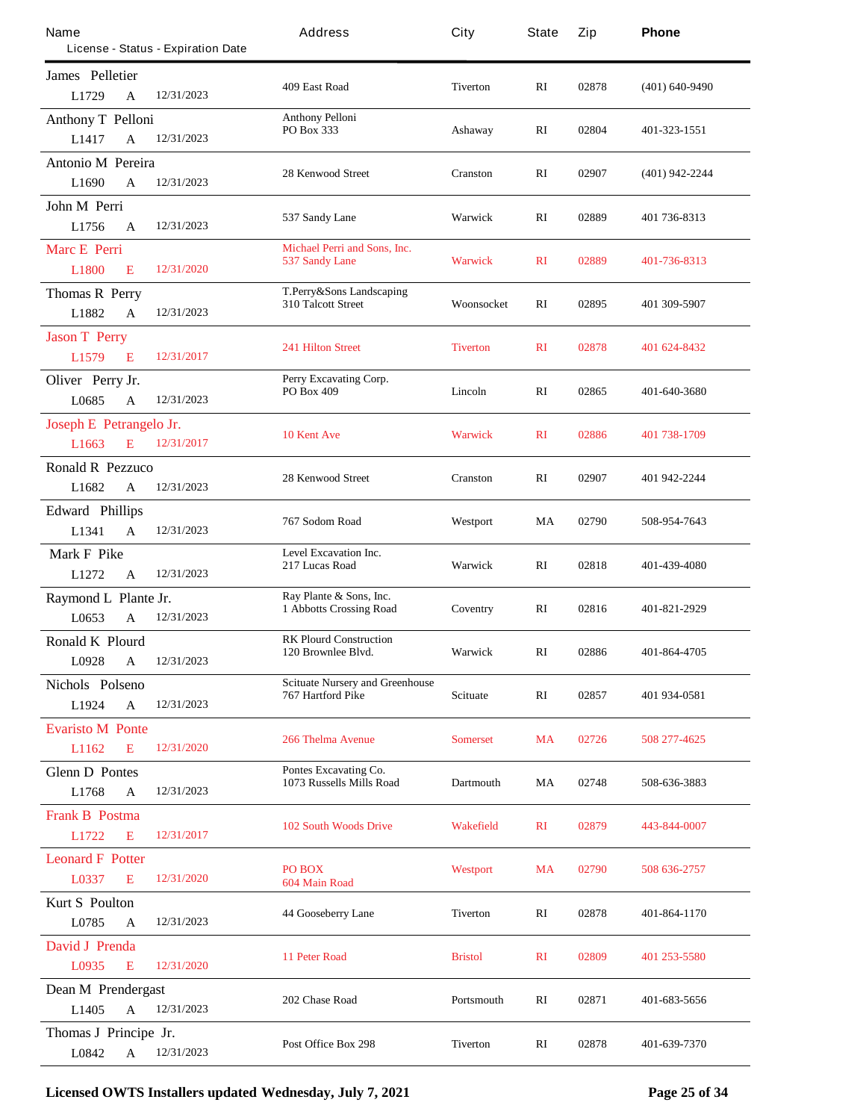| Name                      |                                    | Address                                                     | City             | State        | Zip   | Phone              |
|---------------------------|------------------------------------|-------------------------------------------------------------|------------------|--------------|-------|--------------------|
|                           | License - Status - Expiration Date |                                                             |                  |              |       |                    |
| James Pelletier           |                                    | 409 East Road                                               | <b>Tiverton</b>  | RI           | 02878 | $(401) 640 - 9490$ |
| L1729                     | 12/31/2023<br>A                    |                                                             |                  |              |       |                    |
| <b>Anthony T Pelloni</b>  |                                    | <b>Anthony Pelloni</b><br>PO Box 333                        | Ashaway          | RI           | 02804 | 401-323-1551       |
| L1417                     | 12/31/2023<br>$\mathbf A$          |                                                             |                  |              |       |                    |
| <b>Antonio M Pereira</b>  |                                    | <b>28 Kenwood Street</b>                                    | <b>Cranston</b>  | RI           | 02907 | $(401)$ 942-2244   |
| L1690                     | 12/31/2023<br>A                    |                                                             |                  |              |       |                    |
| John M Perri              |                                    | 537 Sandy Lane                                              | Warwick          | RI           | 02889 | 401 736-8313       |
| L1756                     | 12/31/2023<br>A                    |                                                             |                  |              |       |                    |
| <b>Marc E Perri</b>       |                                    | Michael Perri and Sons, Inc.<br>537 Sandy Lane              | <b>Warwick</b>   | $\mathbf{R}$ | 02889 | 401-736-8313       |
| <b>L1800</b>              | 12/31/2020<br>E                    |                                                             |                  |              |       |                    |
| <b>Thomas R Perry</b>     |                                    | T.Perry&Sons Landscaping<br><b>310 Talcott Street</b>       | Woonsocket       | RI           | 02895 | 401 309-5907       |
| L1882                     | 12/31/2023<br>A                    |                                                             |                  |              |       |                    |
| <b>Jason T Perry</b>      |                                    | <b>241 Hilton Street</b>                                    | <b>Tiverton</b>  | $\mathbf{R}$ | 02878 | 401 624-8432       |
| L1579                     | 12/31/2017<br>E                    |                                                             |                  |              |       |                    |
| Oliver Perry Jr.          |                                    | Perry Excavating Corp.<br>PO Box 409                        | Lincoln          | RI           | 02865 | 401-640-3680       |
| L0685                     | 12/31/2023<br>$\mathbf{A}$         |                                                             |                  |              |       |                    |
| Joseph E Petrangelo Jr.   |                                    | <b>10 Kent Ave</b>                                          | <b>Warwick</b>   | $\mathbf{R}$ | 02886 | 401 738-1709       |
| L <sub>1663</sub>         | 12/31/2017<br>E                    |                                                             |                  |              |       |                    |
| <b>Ronald R Pezzuco</b>   |                                    | <b>28 Kenwood Street</b>                                    | <b>Cranston</b>  | RI           | 02907 | 401 942-2244       |
| L1682                     | 12/31/2023<br>A                    |                                                             |                  |              |       |                    |
| <b>Edward Phillips</b>    |                                    | 767 Sodom Road                                              | Westport         | MA           | 02790 | 508-954-7643       |
| L1341                     | 12/31/2023<br>$\mathbf{A}$         |                                                             |                  |              |       |                    |
| Mark F Pike               |                                    | Level Excavation Inc.<br>217 Lucas Road                     | Warwick          | RI           | 02818 | 401-439-4080       |
| L1272                     | 12/31/2023<br>A                    |                                                             |                  |              |       |                    |
| Raymond L Plante Jr.      |                                    | Ray Plante & Sons, Inc.<br><b>1 Abbotts Crossing Road</b>   | Coventry         | RI           | 02816 | 401-821-2929       |
| L0653                     | 12/31/2023<br>A                    |                                                             |                  |              |       |                    |
| <b>Ronald K Plourd</b>    |                                    | <b>RK Plourd Construction</b><br>120 Brownlee Blvd.         | Warwick          | RI           | 02886 | 401-864-4705       |
| L0928                     | 12/31/2023<br>$\mathbf A$          |                                                             |                  |              |       |                    |
| Nichols Polseno           |                                    | <b>Scituate Nursery and Greenhouse</b><br>767 Hartford Pike | <b>Scituate</b>  | RI           | 02857 | 401 934-0581       |
| L1924                     | 12/31/2023<br>A                    |                                                             |                  |              |       |                    |
| <b>Evaristo M Ponte</b>   |                                    | <b>266 Thelma Avenue</b>                                    | <b>Somerset</b>  | <b>MA</b>    | 02726 | 508 277-4625       |
| L1162                     | 12/31/2020<br>E                    |                                                             |                  |              |       |                    |
| <b>Glenn D</b> Pontes     |                                    | Pontes Excavating Co.<br>1073 Russells Mills Road           | <b>Dartmouth</b> | MA           | 02748 | 508-636-3883       |
| L1768                     | 12/31/2023<br>A                    |                                                             |                  |              |       |                    |
| <b>Frank B Postma</b>     |                                    | <b>102 South Woods Drive</b>                                | <b>Wakefield</b> | $\mathbf{R}$ | 02879 | 443-844-0007       |
| L1722                     | 12/31/2017<br>E                    |                                                             |                  |              |       |                    |
| <b>Leonard F Potter</b>   |                                    | PO BOX                                                      | Westport         | MA           | 02790 | 508 636-2757       |
| L0337                     | 12/31/2020<br>E                    | 604 Main Road                                               |                  |              |       |                    |
| <b>Kurt S</b> Poulton     |                                    | <b>44 Gooseberry Lane</b>                                   | <b>Tiverton</b>  | RI           | 02878 | 401-864-1170       |
| L0785                     | 12/31/2023<br>A                    |                                                             |                  |              |       |                    |
| <b>David J Prenda</b>     |                                    | <b>11 Peter Road</b>                                        | <b>Bristol</b>   | $\mathbf{R}$ | 02809 | 401 253-5580       |
| L0935                     | 12/31/2020<br>E                    |                                                             |                  |              |       |                    |
| <b>Dean M Prendergast</b> |                                    | 202 Chase Road                                              | Portsmouth       | RI           | 02871 | 401-683-5656       |
| L1405                     | 12/31/2023<br>A                    |                                                             |                  |              |       |                    |
| Thomas J Principe Jr.     |                                    | <b>Post Office Box 298</b>                                  | <b>Tiverton</b>  | RI           | 02878 | 401-639-7370       |
| L0842                     | 12/31/2023<br>A                    |                                                             |                  |              |       |                    |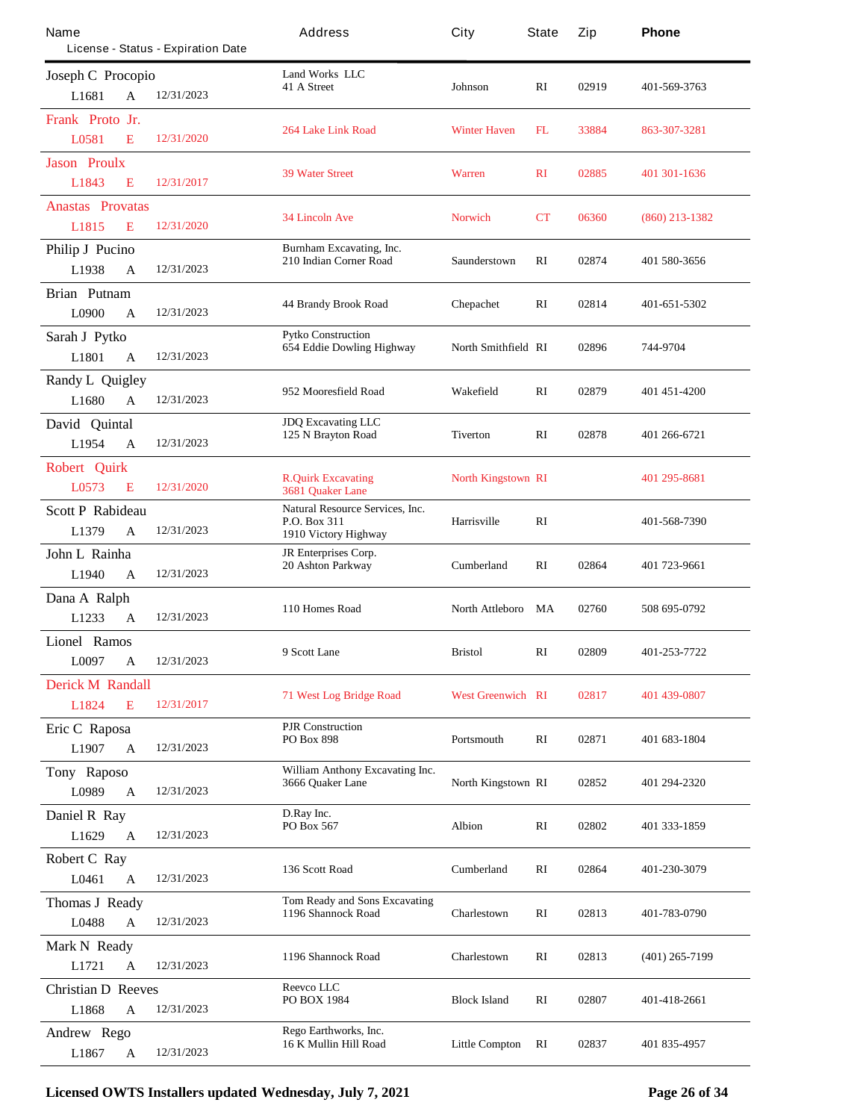| Name                                  | License - Status - Expiration Date | Address                                                       | City                      | State        | Zip   | Phone            |
|---------------------------------------|------------------------------------|---------------------------------------------------------------|---------------------------|--------------|-------|------------------|
| <b>Joseph C Procopio</b>              |                                    | <b>Land Works LLC</b>                                         |                           |              |       |                  |
| L1681<br>A                            | 12/31/2023                         | 41 A Street                                                   | Johnson                   | RI           | 02919 | 401-569-3763     |
| Frank Proto Jr.                       |                                    |                                                               |                           |              |       |                  |
| L0581<br>E                            | 12/31/2020                         | <b>264 Lake Link Road</b>                                     | <b>Winter Haven</b>       | FL           | 33884 | 863-307-3281     |
| <b>Jason Proulx</b>                   |                                    | <b>39 Water Street</b>                                        |                           | $\mathbf{R}$ | 02885 |                  |
| L1843<br>E                            | 12/31/2017                         |                                                               | <b>Warren</b>             |              |       | 401 301 - 1636   |
| <b>Anastas Provatas</b>               |                                    | <b>34 Lincoln Ave</b>                                         | <b>Norwich</b>            | CT           | 06360 | $(860)$ 213-1382 |
| L1815<br>E                            | 12/31/2020                         |                                                               |                           |              |       |                  |
| <b>Philip J Pucino</b>                |                                    | Burnham Excavating, Inc.<br>210 Indian Corner Road            | Saunderstown              | RI           | 02874 | 401 580-3656     |
| L1938<br>A                            | 12/31/2023                         |                                                               |                           |              |       |                  |
| <b>Brian Putnam</b>                   |                                    | 44 Brandy Brook Road                                          | <b>Chepachet</b>          | RI           | 02814 | 401-651-5302     |
| L0900<br>A                            | 12/31/2023                         |                                                               |                           |              |       |                  |
| Sarah J Pytko                         |                                    | <b>Pytko Construction</b><br><b>654 Eddie Dowling Highway</b> | North Smithfield RI       |              | 02896 | 744-9704         |
| L1801<br>A                            | 12/31/2023                         |                                                               |                           |              |       |                  |
| <b>Randy L Quigley</b>                |                                    | 952 Mooresfield Road                                          | Wakefield                 | RI           | 02879 | 401 451 4200     |
| L1680<br>A                            | 12/31/2023                         |                                                               |                           |              |       |                  |
| David Quintal                         |                                    | <b>JDQ Excavating LLC</b><br>125 N Brayton Road               | <b>Tiverton</b>           | RI           | 02878 | 401 266-6721     |
| L1954<br>A                            | 12/31/2023                         |                                                               |                           |              |       |                  |
| <b>Robert Quirk</b>                   |                                    | <b>R.Quirk Excavating</b>                                     | <b>North Kingstown RI</b> |              |       | 401 295-8681     |
| L0573<br>E                            | 12/31/2020                         | 3681 Quaker Lane                                              |                           |              |       |                  |
| <b>Scott P Rabideau</b>               |                                    | <b>Natural Resource Services, Inc.</b><br>P.O. Box 311        | <b>Harrisville</b>        | RI           |       | 401-568-7390     |
| L1379<br>A                            | 12/31/2023                         | 1910 Victory Highway                                          |                           |              |       |                  |
| John L Rainha                         |                                    | JR Enterprises Corp.<br><b>20 Ashton Parkway</b>              | <b>Cumberland</b>         | RI           | 02864 | 401 723-9661     |
| L1940<br>A                            | 12/31/2023                         |                                                               |                           |              |       |                  |
| Dana A Ralph                          | 12/31/2023                         | 110 Homes Road                                                | North Attleboro           | MA           | 02760 | 508 695-0792     |
| L1233<br>A                            |                                    |                                                               |                           |              |       |                  |
| <b>Lionel Ramos</b>                   | 12/31/2023                         | 9 Scott Lane                                                  | <b>Bristol</b>            | RI           | 02809 | 401-253-7722     |
| L0097<br>A                            |                                    |                                                               |                           |              |       |                  |
| <b>Derick M Randall</b><br>L1824<br>E | 12/31/2017                         | <b>71 West Log Bridge Road</b>                                | <b>West Greenwich RI</b>  |              | 02817 | 401 439-0807     |
|                                       |                                    | <b>P.IR Construction</b>                                      |                           |              |       |                  |
| Eric C Raposa<br>L1907<br>A           | 12/31/2023                         | PO Box 898                                                    | Portsmouth                | RI           | 02871 | 401 683-1804     |
| Tony Raposo                           |                                    | William Anthony Excavating Inc.                               |                           |              |       |                  |
| L0989<br>A                            | 12/31/2023                         | 3666 Ouaker Lane                                              | North Kingstown RI        |              | 02852 | 401 294-2320     |
| Daniel R Ray                          |                                    | D.Ray Inc.                                                    |                           |              |       |                  |
| L1629<br>A                            | 12/31/2023                         | PO Box 567                                                    | <b>Albion</b>             | RI           | 02802 | 401 333-1859     |
| <b>Robert C Ray</b>                   |                                    |                                                               |                           |              |       |                  |
| L0461<br>A                            | 12/31/2023                         | 136 Scott Road                                                | <b>Cumberland</b>         | RI           | 02864 | 401-230-3079     |
| <b>Thomas J Ready</b>                 |                                    | <b>Tom Ready and Sons Excavating</b>                          |                           |              |       |                  |
| L0488<br>A                            | 12/31/2023                         | 1196 Shannock Road                                            | Charlestown               | RI           | 02813 | 401-783-0790     |
| Mark N Ready                          |                                    |                                                               |                           |              |       |                  |
| L1721<br>A                            | 12/31/2023                         | 1196 Shannock Road                                            | Charlestown               | RI           | 02813 | $(401)$ 265-7199 |
| <b>Christian D Reeves</b>             |                                    | Reevco LLC                                                    |                           |              |       |                  |
| L1868<br>A                            | 12/31/2023                         | <b>PO BOX 1984</b>                                            | <b>Block Island</b>       | RI           | 02807 | 401-418-2661     |
| Andrew Rego                           |                                    | Rego Earthworks, Inc.                                         |                           |              |       |                  |
| L1867<br>A                            | 12/31/2023                         | 16 K Mullin Hill Road                                         | <b>Little Compton</b>     | RI           | 02837 | 401 835-4957     |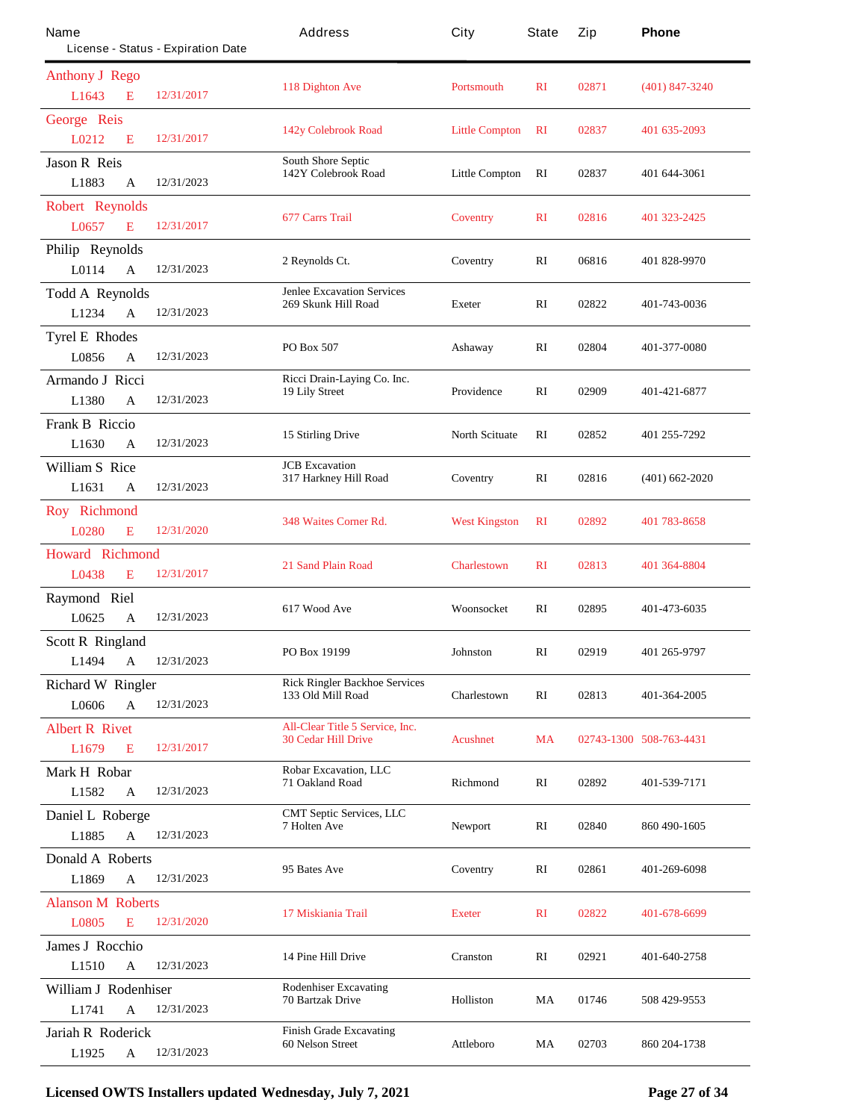| Name                        | License - Status - Expiration Date | Address                                                              | City                  | State          | Zip   | Phone                   |
|-----------------------------|------------------------------------|----------------------------------------------------------------------|-----------------------|----------------|-------|-------------------------|
| <b>Anthony J Rego</b>       |                                    |                                                                      |                       |                |       |                         |
| L1643                       | 12/31/2017<br>E                    | 118 Dighton Ave                                                      | <b>Portsmouth</b>     | $\mathbf{R}$   | 02871 | $(401)$ 847-3240        |
| <b>George Reis</b>          |                                    |                                                                      |                       | RI             | 02837 | 401 635-2093            |
| L0212                       | 12/31/2017<br>E                    | 142y Colebrook Road                                                  | <b>Little Compton</b> |                |       |                         |
| <b>Jason R Reis</b>         |                                    | <b>South Shore Septic</b><br>142Y Colebrook Road                     | <b>Little Compton</b> | RI             | 02837 | 401 644-3061            |
| L1883                       | 12/31/2023<br>$\mathbf{A}$         |                                                                      |                       |                |       |                         |
| <b>Robert Reynolds</b>      |                                    | 677 Cans Trail                                                       | <b>Coventry</b>       | $\mathbf{R}$   | 02816 | 401 323-2425            |
| L0657                       | 12/31/2017<br>E                    |                                                                      |                       |                |       |                         |
| Philip Reynolds             |                                    | 2 Reynolds Ct.                                                       | Coventry              | RI             | 06816 | 401 828-9970            |
| L0114                       | 12/31/2023<br>A                    |                                                                      |                       |                |       |                         |
| <b>Todd A Reynolds</b>      |                                    | <b>Jenlee Excavation Services</b><br>269 Skunk Hill Road             | <b>Exeter</b>         | RI             | 02822 | 401-743-0036            |
| L1234                       | 12/31/2023<br>$\mathbf{A}$         |                                                                      |                       |                |       |                         |
| <b>Tyrel E Rhodes</b>       |                                    | PO Box 507                                                           | Ashaway               | RI             | 02804 | 401-377-0080            |
| L0856                       | 12/31/2023<br>A                    |                                                                      |                       |                |       |                         |
| Armando J Ricci             |                                    | Ricci Drain-Laying Co. Inc.<br>19 Lily Street                        | Providence            | RI             | 02909 | 401-421-6877            |
| L1380                       | 12/31/2023<br>A                    |                                                                      |                       |                |       |                         |
| <b>Frank B Riccio</b>       |                                    | <b>15 Stirling Drive</b>                                             | <b>North Scituate</b> | $\mathbf{R}$   | 02852 | 401 255-7292            |
| L1630                       | 12/31/2023<br>A                    |                                                                      |                       |                |       |                         |
| <b>William S Rice</b>       |                                    | <b>JCB</b> Excavation<br>317 Harkney Hill Road                       | Coventry              | RI             | 02816 | $(401) 662 - 2020$      |
| L <sub>1631</sub>           | 12/31/2023<br>$\mathbf{A}$         |                                                                      |                       |                |       |                         |
| <b>Roy</b> Richmond         |                                    | 348 Waites Comer Rd.                                                 | <b>West Kingston</b>  | R <sub>I</sub> | 02892 | 401 783-8658            |
| L0280                       | 12/31/2020<br>E                    |                                                                      |                       |                |       |                         |
| <b>Howard Richmond</b>      |                                    | <b>21 Sand Plain Road</b>                                            | <b>Charlestown</b>    | $\mathbf{R}$   | 02813 | 401 364-8804            |
| L0438                       | 12/31/2017<br>E                    |                                                                      |                       |                |       |                         |
| Raymond<br>Riel             |                                    | 617 Wood Ave                                                         | Woonsocket            | RI             | 02895 | 401-473-6035            |
| L0625                       | 12/31/2023<br>A                    |                                                                      |                       |                |       |                         |
| <b>Scott R Ringland</b>     |                                    | PO Box 19199                                                         | Johnston              | RI             | 02919 | 401 265-9797            |
| L1494                       | $\mathbf A$<br>12/31/2023          |                                                                      |                       |                |       |                         |
| <b>Richard W Ringler</b>    |                                    | <b>Rick Ringler Backhoe Services</b><br>133 Old Mill Road            | Charlestown           | RI             | 02813 | 401-364-2005            |
| L0606                       | 12/31/2023<br>A                    |                                                                      |                       |                |       |                         |
| <b>Albert R Rivet</b>       |                                    | <b>All-Clear Title 5 Service, Inc.</b><br><b>30 Cedar Hill Drive</b> | <b>Acushnet</b>       | <b>MA</b>      |       | 02743-1300 508-763-4431 |
| L1679                       | 12/31/2017<br>E                    |                                                                      |                       |                |       |                         |
| Mark H Robar                |                                    | <b>Robar Excavation, LLC</b><br>71 Oakland Road                      | <b>Richmond</b>       | RI             | 02892 | 401-539-7171            |
| L1582                       | 12/31/2023<br>$\mathbf{A}$         |                                                                      |                       |                |       |                         |
| Daniel L Roberge            |                                    | <b>CMT Septic Services, LLC</b><br>7 Holten Ave                      | <b>Newport</b>        | RI             | 02840 | 860 490-1605            |
| L1885                       | 12/31/2023<br>A                    |                                                                      |                       |                |       |                         |
| Donald A Roberts            |                                    | 95 Bates Ave                                                         | Coventry              | RI             | 02861 | 401-269-6098            |
| L1869                       | 12/31/2023<br>$\mathbf{A}$         |                                                                      |                       |                |       |                         |
| <b>Alanson M Roberts</b>    |                                    | 17 Miskiania Trail                                                   | <b>Exeter</b>         | $\mathbf{R}$   | 02822 | 401-678-6699            |
| L0805                       | 12/31/2020<br>E                    |                                                                      |                       |                |       |                         |
| <b>James J Rocchio</b>      |                                    | 14 Pine Hill Drive                                                   | Cranston              | RI             | 02921 | 401-640-2758            |
| L1510                       | 12/31/2023<br>A                    |                                                                      |                       |                |       |                         |
| <b>William J Rodenhiser</b> |                                    | <b>Rodenhiser Excavating</b><br><b>70 Bartzak Drive</b>              | <b>Holliston</b>      | MA             | 01746 | 508 429-9553            |
| L1741                       | 12/31/2023<br>A                    |                                                                      |                       |                |       |                         |
| <b>Jariah R Roderick</b>    |                                    | <b>Finish Grade Excavating</b><br>60 Nelson Street                   | Attleboro             | MA             | 02703 | 860 204-1738            |
| L1925                       | 12/31/2023<br>A                    |                                                                      |                       |                |       |                         |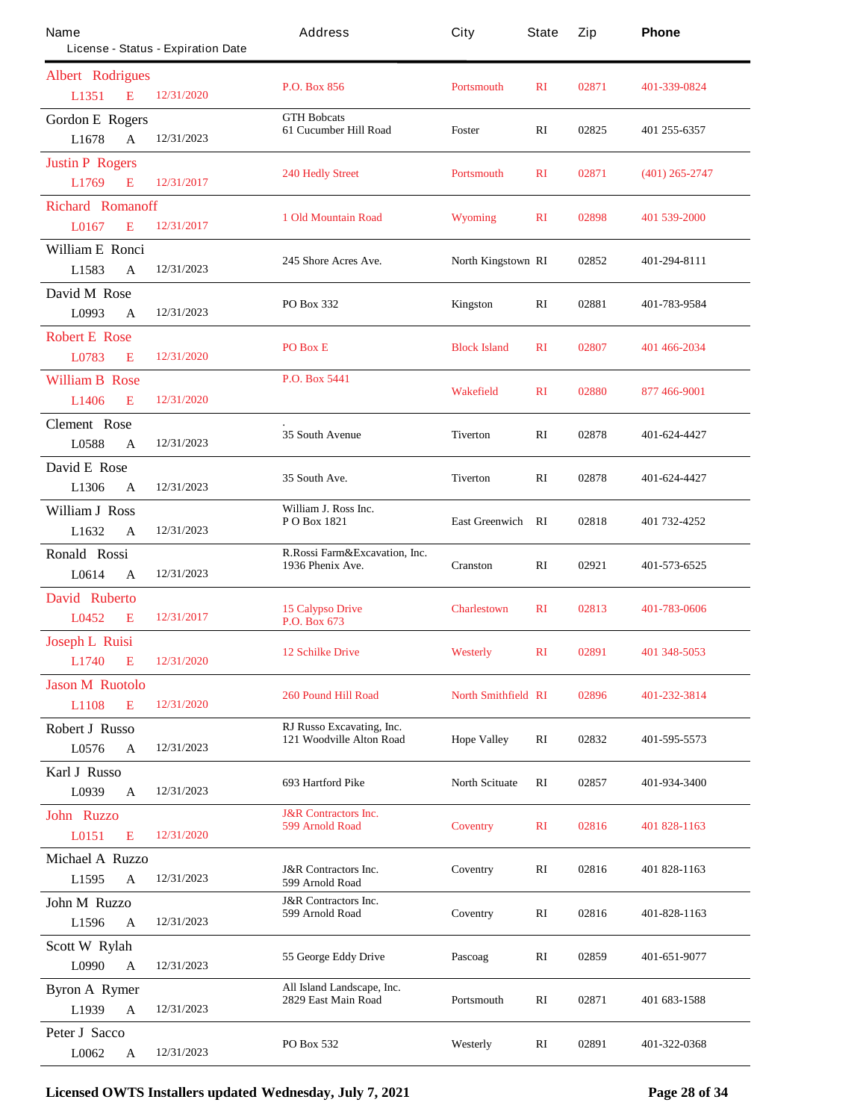| Name<br>License - Status - Expiration Date         | Address                                            | City                       | State        | Zip   | Phone            |
|----------------------------------------------------|----------------------------------------------------|----------------------------|--------------|-------|------------------|
| <b>Albert Rodrigues</b>                            |                                                    |                            |              |       |                  |
| 12/31/2020<br>L1351<br>E                           | <b>P.O. Box 856</b>                                | <b>Portsmouth</b>          | $\mathbf{R}$ | 02871 | 401-339-0824     |
| <b>Gordon E Rogers</b>                             | <b>GTH Bobcats</b>                                 |                            |              |       |                  |
| 12/31/2023<br>L1678<br>$\mathbf{A}$                | 61 Cucumber Hill Road                              | <b>Foster</b>              | RI           | 02825 | 401 255-6357     |
| <b>Justin P Rogers</b>                             | <b>240 Hedly Street</b>                            | <b>Portsmouth</b>          | $\mathbf{R}$ | 02871 | $(401)$ 265-2747 |
| 12/31/2017<br>L1769<br>E                           |                                                    |                            |              |       |                  |
| <b>Richard Romanoff</b>                            | 1 Old Mountain Road                                | <b>Wyoming</b>             | $\mathbf{R}$ | 02898 | 401 539-2000     |
| 12/31/2017<br>L0167<br>E                           |                                                    |                            |              |       |                  |
| <b>William E Ronci</b>                             | 245 Shore Acres Ave.                               | North Kingstown RI         |              | 02852 | 401-294-8111     |
| L1583<br>12/31/2023<br>A                           |                                                    |                            |              |       |                  |
| David M Rose                                       | PO Box 332                                         | <b>Kingston</b>            | RI           | 02881 | 401-783-9584     |
| 12/31/2023<br>L0993<br>A                           |                                                    |                            |              |       |                  |
| <b>Robert E Rose</b><br>12/31/2020<br>L0783<br>E   | PO Box E                                           | <b>Block Island</b>        | $\mathbf{R}$ | 02807 | 401 466-2034     |
|                                                    | P.O. Box 5441                                      |                            |              |       |                  |
| <b>William B Rose</b><br>12/31/2020<br>L1406<br>E  |                                                    | <b>Wakefield</b>           | $\mathbf{R}$ | 02880 | 877 466-9001     |
| <b>Clement Rose</b>                                |                                                    |                            |              |       |                  |
| L0588<br>12/31/2023<br>A                           | 35 South Avenue                                    | <b>Tiverton</b>            | $\mathbf{R}$ | 02878 | 401-624-4427     |
| David E Rose                                       |                                                    |                            |              |       |                  |
| L1306<br>12/31/2023<br>A                           | 35 South Ave.                                      | <b>Tiverton</b>            | RI           | 02878 | 401-624-4427     |
| <b>William J Ross</b>                              | William J. Ross Inc.<br>PO Box 1821                | <b>East Greenwich RI</b>   |              | 02818 | 401 732-4252     |
| 12/31/2023<br>L1632<br>A                           |                                                    |                            |              |       |                  |
| Ronald Rossi                                       | R.Rossi Farm&Excavation, Inc.<br>1936 Phenix Ave.  | <b>Cranston</b>            | RI           | 02921 | 401-573-6525     |
| 12/31/2023<br>L0614<br>A                           |                                                    |                            |              |       |                  |
| David Ruberto                                      | <b>15 Calypso Drive</b>                            | <b>Charlestown</b>         | $\mathbf{R}$ | 02813 | 401-783-0606     |
| L0452<br>12/31/2017<br>E                           | P.O. Box 673                                       |                            |              |       |                  |
| <b>Joseph L Ruisi</b>                              | <b>12 Schilke Drive</b>                            | <b>Westerly</b>            | $\mathbf{R}$ | 02891 | 401 348-5053     |
| L1740<br>E<br>12/31/2020                           |                                                    |                            |              |       |                  |
| <b>Jason M Ruotolo</b><br>L1108<br>E<br>12/31/2020 | <b>260 Pound Hill Road</b>                         | <b>North Smithfield RI</b> |              | 02896 | 401-232-3814     |
| <b>Robert J Russo</b>                              | RJ Russo Excavating, Inc.                          |                            |              |       |                  |
| 12/31/2023<br>L0576<br>A                           | 121 Woodville Alton Road                           | <b>Hope Valley</b>         | RI           | 02832 | 401-595-5573     |
| <b>Karl J Russo</b>                                |                                                    |                            |              |       |                  |
| 12/31/2023<br>L0939<br>A                           | 693 Hartford Pike                                  | <b>North Scituate</b>      | RI           | 02857 | 401-934-3400     |
| John Ruzzo                                         | <b>J&amp;R</b> Contractors Inc.                    |                            |              |       |                  |
| 12/31/2020<br>L0151<br>E                           | 599 Arnold Road                                    | <b>Coventry</b>            | $\mathbf{R}$ | 02816 | 401 828-1163     |
| Michael A Ruzzo                                    |                                                    |                            |              |       |                  |
| L1595<br>12/31/2023<br>$\mathbf A$                 | <b>J&amp;R</b> Contractors Inc.<br>599 Arnold Road | Coventry                   | RI           | 02816 | 401 828-1163     |
| <b>John M Ruzzo</b>                                | <b>J&amp;R</b> Contractors Inc.<br>599 Arnold Road | Coventry                   | RI           | 02816 | 401-828-1163     |
| L1596<br>12/31/2023<br>A                           |                                                    |                            |              |       |                  |
| <b>Scott W Rylah</b>                               | 55 George Eddy Drive                               | Pascoag                    | RI           | 02859 | 401-651-9077     |
| 12/31/2023<br>L0990<br>$\mathbf{A}$                |                                                    |                            |              |       |                  |
| <b>Byron A Rymer</b>                               | All Island Landscape, Inc.<br>2829 East Main Road  | Portsmouth                 | RI           | 02871 | 401 683-1588     |
| L1939<br>12/31/2023<br>$\mathbf{A}$                |                                                    |                            |              |       |                  |
| <b>Peter J Sacco</b><br>12/31/2023<br>L0062<br>A   | PO Box 532                                         | Westerly                   | RI           | 02891 | 401-322-0368     |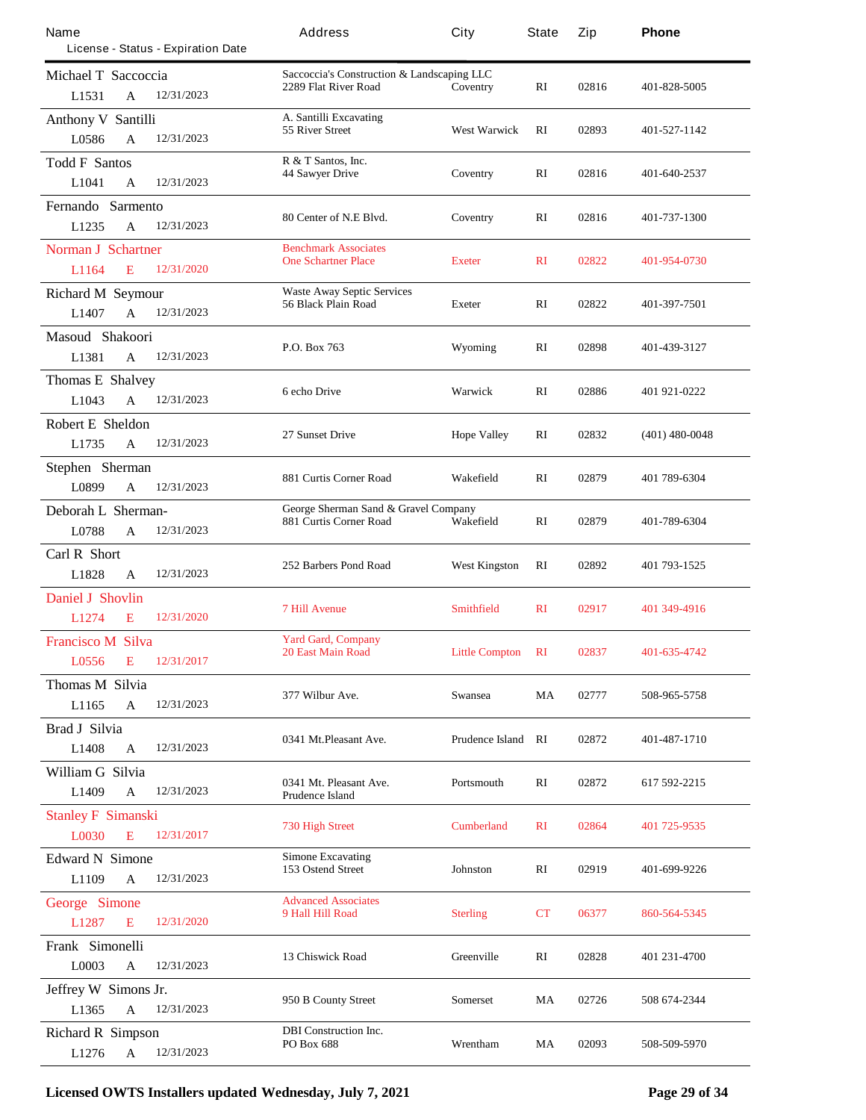| Name<br>License - Status - Expiration Date                       | Address                                                            | City                      | State                 | Zip   | Phone            |
|------------------------------------------------------------------|--------------------------------------------------------------------|---------------------------|-----------------------|-------|------------------|
| Michael T Saccoccia                                              | Saccoccia's Construction & Landscaping LLC<br>2289 Flat River Road | Coventry                  | RI                    | 02816 | 401-828-5005     |
| 12/31/2023<br>L1531<br>A                                         |                                                                    |                           |                       |       |                  |
| <b>Anthony V Santilli</b><br>12/31/2023<br>L0586<br>$\mathbf{A}$ | A. Santilli Excavating<br>55 River Street                          | <b>West Warwick</b>       | $\mathbf{R}$          | 02893 | 401-527-1142     |
| <b>Todd F Santos</b>                                             | R & T Santos, Inc.                                                 |                           |                       |       |                  |
| 12/31/2023<br>L1041<br>A                                         | <b>44 Sawyer Drive</b>                                             | Coventry                  | RI                    | 02816 | 401-640-2537     |
| Fernando Sarmento                                                |                                                                    |                           |                       |       |                  |
| 12/31/2023<br>L1235<br>$\mathbf{A}$                              | 80 Center of N.E Blvd.                                             | Coventry                  | RI                    | 02816 | 401-737-1300     |
| <b>Norman J Schartner</b>                                        | <b>Benchmark Associates</b>                                        |                           |                       |       |                  |
| 12/31/2020<br>L1164<br>Е                                         | <b>One Schartner Place</b>                                         | <b>Exeter</b>             | $\mathbf{R}$          | 02822 | 401-954-0730     |
| <b>Richard M Seymour</b>                                         | <b>Waste Away Septic Services</b>                                  |                           |                       |       |                  |
| 12/31/2023<br>L1407<br>A                                         | 56 Black Plain Road                                                | <b>Exeter</b>             | $\mathbf{R}$          | 02822 | 401-397-7501     |
| Masoud Shakoori                                                  |                                                                    |                           |                       |       |                  |
| L1381<br>12/31/2023<br>$\mathbf{A}$                              | P.O. Box 763                                                       | Wyoming                   | RI                    | 02898 | 401-439-3127     |
| <b>Thomas E Shalvey</b>                                          |                                                                    |                           |                       |       |                  |
| 12/31/2023<br>L1043<br>A                                         | 6 echo Drive                                                       | <b>Warwick</b>            | RI                    | 02886 | 401 921-0222     |
| <b>Robert E</b> Sheldon                                          |                                                                    |                           |                       |       |                  |
| L1735<br>12/31/2023<br>$\mathbf{A}$                              | 27 Sunset Drive                                                    | <b>Hope Valley</b>        | RI                    | 02832 | $(401)$ 480-0048 |
| Stephen Sherman                                                  |                                                                    |                           |                       |       |                  |
| L0899<br>12/31/2023<br>A                                         | 881 Curtis Corner Road                                             | Wakefield                 | RI                    | 02879 | 401 789-6304     |
| Deborah L Sherman-                                               | George Sherman Sand & Gravel Company                               |                           |                       |       |                  |
| 12/31/2023<br>L0788<br>$\mathbf{A}$                              | 881 Curtis Corner Road                                             | Wakefield                 | RI                    | 02879 | 401-789-6304     |
| Carl R Short                                                     |                                                                    |                           |                       |       |                  |
| 12/31/2023<br>L1828<br>A                                         | 252 Barbers Pond Road                                              | <b>West Kingston</b>      | RI                    | 02892 | 401 793-1525     |
| <b>Daniel J Shovlin</b>                                          |                                                                    |                           |                       |       |                  |
| L1274<br>12/31/2020<br>Е                                         | <b>7 Hill Avenue</b>                                               | <b>Smithfield</b>         | $\mathbf{R}$ <b>I</b> | 02917 | 401 349-4916     |
| <b>Francisco M Silva</b>                                         | <b>Yard Gard, Company</b>                                          |                           |                       |       |                  |
| 12/31/2017<br>L0556<br>E                                         | <b>20 East Main Road</b>                                           | <b>Little Compton</b>     | RI                    | 02837 | 401-635-4742     |
| <b>Thomas M Silvia</b>                                           |                                                                    |                           |                       |       |                  |
| L1165<br>$\mathbf{A}$<br>12/31/2023                              | 377 Wilbur Ave.                                                    | <b>Swansea</b>            | MA                    | 02777 | 508-965-5758     |
| <b>Brad J Silvia</b>                                             |                                                                    |                           |                       |       |                  |
| 12/31/2023<br>L1408<br>A                                         | 0341 Mt.Pleasant Ave.                                              | <b>Prudence Island RI</b> |                       | 02872 | 401-487-1710     |
| William G Silvia                                                 |                                                                    |                           |                       |       |                  |
| 12/31/2023<br>L1409<br>$\mathbf{A}$                              | 0341 Mt. Pleasant Ave.<br><b>Prudence Island</b>                   | Portsmouth                | RI                    | 02872 | 617 592-2215     |
| <b>Stanley F Simanski</b>                                        |                                                                    |                           |                       |       |                  |
| 12/31/2017<br>L0030<br>E                                         | <b>730 High Street</b>                                             | <b>Cumberland</b>         | $\mathbf{R}$          | 02864 | 401 725-9535     |
| <b>Edward N</b> Simone                                           | <b>Simone Excavating</b>                                           |                           |                       |       |                  |
| L1109<br>12/31/2023<br>$\mathbf{A}$                              | 153 Ostend Street                                                  | <b>Johnston</b>           | RI                    | 02919 | 401-699-9226     |
| <b>George Simone</b>                                             | <b>Advanced Associates</b>                                         |                           |                       |       |                  |
| L1287<br>E<br>12/31/2020                                         | 9 Hall Hill Road                                                   | <b>Sterling</b>           | CT                    | 06377 | 860-564-5345     |
| Frank Simonelli                                                  |                                                                    |                           |                       |       |                  |
| L0003<br>12/31/2023<br>A                                         | <b>13 Chiswick Road</b>                                            | <b>Greenville</b>         | RI                    | 02828 | 401 231 4700     |
| Jeffrey W Simons Jr.                                             |                                                                    |                           |                       |       |                  |
| $\mathbf{A}$<br>12/31/2023<br>L1365                              | 950 B County Street                                                | <b>Somerset</b>           | MA                    | 02726 | 508 674-2344     |
| <b>Richard R Simpson</b>                                         | <b>DBI</b> Construction Inc.                                       |                           |                       |       |                  |
| 12/31/2023<br>L1276<br>A                                         | PO Box 688                                                         | Wrentham                  | MA                    | 02093 | 508-509-5970     |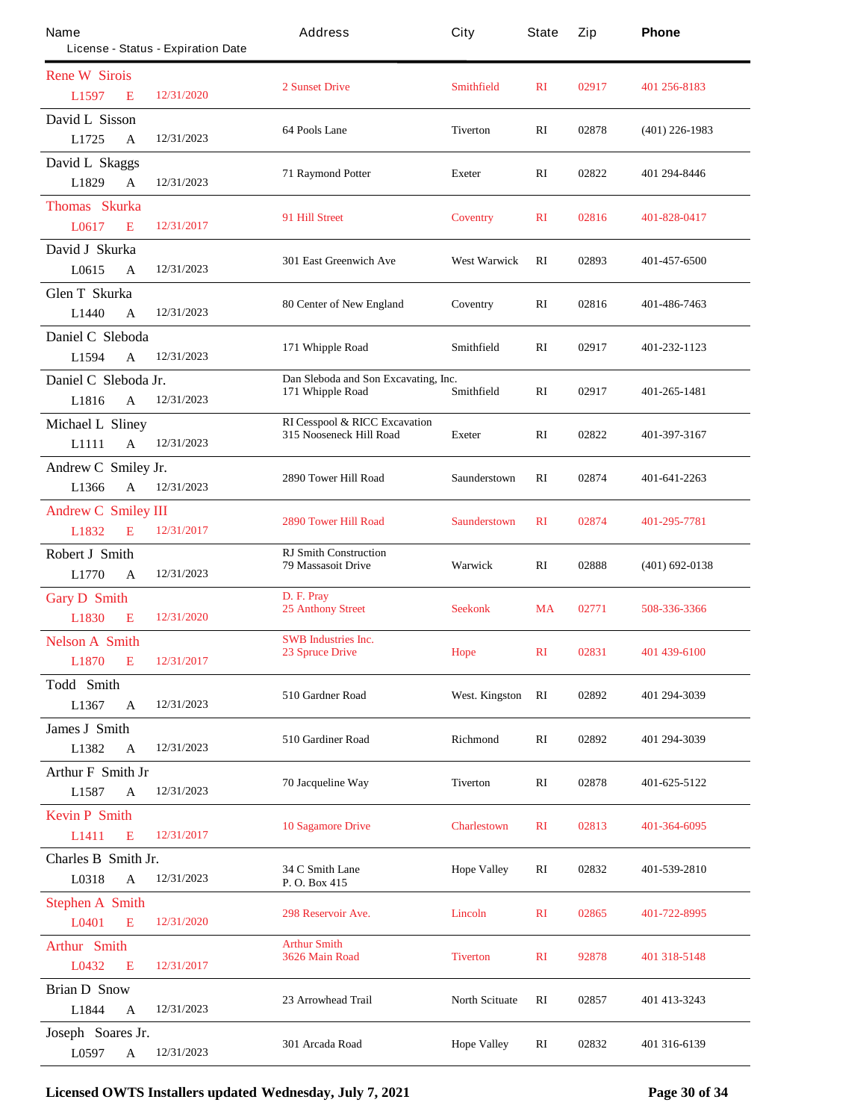| Name                         | License - Status - Expiration Date | Address                                                             | City                  | State        | Zip   | Phone              |
|------------------------------|------------------------------------|---------------------------------------------------------------------|-----------------------|--------------|-------|--------------------|
| <b>Rene W Simis</b>          |                                    |                                                                     |                       |              |       |                    |
| L1597<br>E                   | 12/31/2020                         | <b>2 Sunset Drive</b>                                               | <b>Smithfield</b>     | $\mathbf{R}$ | 02917 | 401 256-8183       |
| David L Sisson               |                                    |                                                                     |                       |              |       |                    |
| L1725<br>A                   | 12/31/2023                         | 64 Pools Lane                                                       | <b>Tiverton</b>       | RI           | 02878 | $(401)$ 226-1983   |
| David L Skaggs               |                                    |                                                                     |                       |              | 02822 | 401 294-8446       |
| L1829<br>A                   | 12/31/2023                         | <b>71 Raymond Potter</b>                                            | <b>Exeter</b>         | RI           |       |                    |
| Thomas Skurka                |                                    | 91 Hill Street                                                      |                       | $\mathbf{R}$ | 02816 | 401-828-0417       |
| L0617<br>E                   | 12/31/2017                         |                                                                     | <b>Coventry</b>       |              |       |                    |
| David J Skurka               |                                    | <b>301 East Greenwich Ave</b>                                       | <b>West Warwick</b>   | RI           | 02893 | 401-457-6500       |
| L0615<br>A                   | 12/31/2023                         |                                                                     |                       |              |       |                    |
| <b>Glen T Skurka</b>         |                                    |                                                                     | Coventry              | RI           | 02816 | 401-486-7463       |
| L1440<br>A                   | 12/31/2023                         | 80 Center of New England                                            |                       |              |       |                    |
| Daniel C Sleboda             |                                    |                                                                     | Smithfield            | RI           | 02917 | 401-232-1123       |
| L1594<br>A                   | 12/31/2023                         | 171 Whipple Road                                                    |                       |              |       |                    |
| Daniel C Sleboda Jr.         |                                    | Dan Sleboda and Son Excavating, Inc.                                | Smithfield            | RI           | 02917 |                    |
| L1816<br>A                   | 12/31/2023                         | 171 Whipple Road                                                    |                       |              |       | 401-265-1481       |
| <b>Michael L Sliney</b>      |                                    | <b>RI Cesspool &amp; RICC Excavation</b><br>315 Nooseneck Hill Road |                       | RI           | 02822 | 401-397-3167       |
| L1111<br>A                   | 12/31/2023                         |                                                                     | <b>Exeter</b>         |              |       |                    |
| Andrew C Smiley Jr.          |                                    | <b>2890 Tower Hill Road</b>                                         | Saunderstown          | RI           | 02874 | 401-641-2263       |
| L1366<br>A                   | 12/31/2023                         |                                                                     |                       |              |       |                    |
| <b>Andrew C Smiley III</b>   |                                    | <b>2890 Tower Hill Road</b>                                         |                       |              | 02874 | 401-295-7781       |
| E<br>L1832                   | 12/31/2017                         |                                                                     | <b>Saunderstown</b>   | $\mathbf{R}$ |       |                    |
| <b>Robert J Smith</b>        |                                    | <b>RJ Smith Construction</b>                                        |                       |              |       |                    |
| L1770<br>A                   | 12/31/2023                         | <b>79 Massasoit Drive</b>                                           | Warwick               | RI           | 02888 | $(401) 692 - 0138$ |
| <b>Gary D</b> Smith          |                                    | D. F. Pray<br><b>25 Anthony Street</b>                              |                       |              | 02771 |                    |
| L1830<br>E                   | 12/31/2020                         |                                                                     | <b>Seekonk</b>        | <b>MA</b>    |       | 508-336-3366       |
| <b>Nelson A Smith</b>        |                                    | <b>SWB</b> Industries Inc.                                          |                       |              |       |                    |
| <b>L1870</b><br>$\mathbf{E}$ | 12/31/2017                         | <b>23 Spruce Drive</b>                                              | <b>Hope</b>           | $\mathbf{R}$ | 02831 | 401 439-6100       |
| <b>Todd Smith</b>            |                                    | 510 Gardner Road                                                    | <b>West. Kingston</b> |              |       | 401 294-3039       |
| L1367<br>A                   | 12/31/2023                         |                                                                     |                       | RI           | 02892 |                    |
| <b>James J Smith</b>         |                                    | 510 Gardiner Road                                                   |                       | RI           |       |                    |
| L1382<br>A                   | 12/31/2023                         |                                                                     | <b>Richmond</b>       |              | 02892 | 401 294-3039       |
| <b>Arthur F Smith Jr</b>     |                                    | 70 Jacqueline Way                                                   | <b>Tiverton</b>       | RI           | 02878 | 401-625-5122       |
| L1587<br>$\mathbf A$         | 12/31/2023                         |                                                                     |                       |              |       |                    |
| <b>Kevin P Smith</b>         |                                    | <b>10 Sagamore Drive</b>                                            | <b>Charlestown</b>    | $\mathbf{R}$ | 02813 | 401-364-6095       |
| L1411<br>E                   | 12/31/2017                         |                                                                     |                       |              |       |                    |
| Charles B Smith Jr.          |                                    | 34 C Smith Lane                                                     | <b>Hope Valley</b>    | RI           | 02832 | 401-539-2810       |
| L0318<br>$\mathbf A$         | 12/31/2023                         | P. O. Box 415                                                       |                       |              |       |                    |
| <b>Stephen A Smith</b>       |                                    | <b>298 Reservoir Ave.</b>                                           | <b>Lincoln</b>        | $\mathbf{R}$ | 02865 | 401-722-8995       |
| L0401<br>E                   | 12/31/2020                         |                                                                     |                       |              |       |                    |
| <b>Arthur Smith</b>          |                                    | <b>Arthur Smith</b><br>3626 Main Road                               | <b>Tiverton</b>       | $\mathbf{R}$ | 92878 | 401 318-5148       |
| L0432<br>E                   | 12/31/2017                         |                                                                     |                       |              |       |                    |
| <b>Brian D Snow</b>          |                                    | 23 Arrowhead Trail                                                  | <b>North Scituate</b> | RI           | 02857 | 401 413-3243       |
| L1844<br>A                   | 12/31/2023                         |                                                                     |                       |              |       |                    |
| Joseph Soares Jr.            |                                    | 301 Arcada Road                                                     | <b>Hope Valley</b>    | RI           | 02832 | 401 316-6139       |
| L0597<br>A                   | 12/31/2023                         |                                                                     |                       |              |       |                    |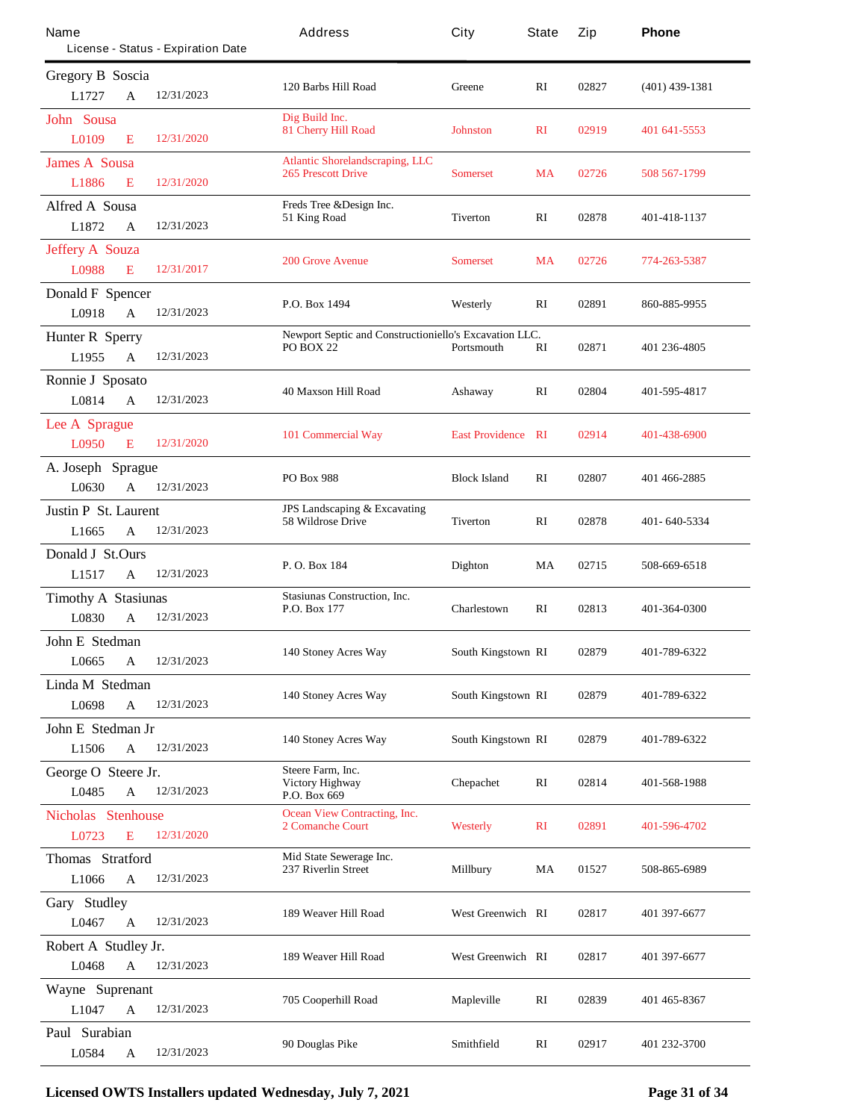| Name                           |              | License - Status - Expiration Date | Address                                                             | City                      | State        | Zip   | Phone            |  |
|--------------------------------|--------------|------------------------------------|---------------------------------------------------------------------|---------------------------|--------------|-------|------------------|--|
| <b>Gregory B Soscia</b>        |              |                                    |                                                                     |                           |              |       |                  |  |
| L1727                          | $\mathbf{A}$ | 12/31/2023                         | 120 Barbs Hill Road                                                 | Greene                    | RI           | 02827 | $(401)$ 439-1381 |  |
| <b>John Sousa</b><br>L0109     | E            | 12/31/2020                         | Dig Build Inc.<br><b>81 Cherry Hill Road</b>                        | <b>Johnston</b>           | $\mathbf{R}$ | 02919 | 401 641-5553     |  |
| <b>James A</b> Sousa           |              |                                    | <b>Atlantic Shorelandscraping, LLC</b><br><b>265 Prescott Drive</b> | <b>Somerset</b>           | MA           | 02726 | 508 567-1799     |  |
| L1886                          | E            | 12/31/2020                         |                                                                     |                           |              |       |                  |  |
| <b>Alfred A Sousa</b><br>L1872 | A            | 12/31/2023                         | Freds Tree & Design Inc.<br>51 King Road                            | <b>Tiverton</b>           | RI           | 02878 | 401-418-1137     |  |
| <b>Jeffery A Souza</b>         |              |                                    |                                                                     |                           |              |       |                  |  |
| L0988                          | E            | 12/31/2017                         | <b>200 Grove Avenue</b>                                             | <b>Somerset</b>           | <b>MA</b>    | 02726 | 774-263-5387     |  |
| <b>Donald F Spencer</b>        |              |                                    |                                                                     |                           |              |       |                  |  |
| L0918                          | $\mathbf{A}$ | 12/31/2023                         | P.O. Box 1494                                                       | Westerly                  | RI           | 02891 | 860-885-9955     |  |
| <b>Hunter R Sperry</b>         |              |                                    | Newport Septic and Constructioniello's Excavation LLC.              |                           |              |       |                  |  |
| L1955                          | $\mathbf{A}$ | 12/31/2023                         | <b>PO BOX 22</b>                                                    | Portsmouth                | RI           | 02871 | 401 236-4805     |  |
| Ronnie J Sposato               |              |                                    |                                                                     |                           |              |       |                  |  |
| L0814                          | A            | 12/31/2023                         | <b>40 Maxson Hill Road</b>                                          | Ashaway                   | RI           | 02804 | 401-595-4817     |  |
| Lee A Sprague                  |              |                                    |                                                                     |                           |              |       |                  |  |
| L0950                          | E            | 12/31/2020                         | 101 Commercial Way                                                  | <b>East Providence RI</b> |              | 02914 | 401-438-6900     |  |
| A. Joseph Sprague              |              |                                    |                                                                     |                           |              |       |                  |  |
| L0630                          | A            | 12/31/2023                         | <b>PO Box 988</b>                                                   | <b>Block Island</b>       | $\mathbf{R}$ | 02807 | 401 466-2885     |  |
| <b>Justin P St. Laurent</b>    |              |                                    | <b>JPS</b> Landscaping & Excavating                                 |                           |              | 02878 | 401-640-5334     |  |
| L1665                          | $\mathbf{A}$ | 12/31/2023                         | <b>58 Wildrose Drive</b>                                            | <b>Tiverton</b>           | RI           |       |                  |  |
| Donald J St.Ours               |              |                                    |                                                                     |                           |              |       | 508-669-6518     |  |
| L <sub>1517</sub>              | A            | 12/31/2023                         | P.O. Box 184                                                        | <b>Dighton</b>            | MA           | 02715 |                  |  |
| <b>Timothy A Stasiunas</b>     |              |                                    | <b>Stasiunas Construction, Inc.</b>                                 |                           |              |       |                  |  |
| L0830                          | $\mathbf{A}$ | 12/31/2023                         | P.O. Box 177                                                        | <b>Charlestown</b>        | RI           | 02813 | 401-364-0300     |  |
| John E Stedman                 |              |                                    |                                                                     |                           |              |       |                  |  |
| L0665                          | A            | 12/31/2023                         | 140 Stoney Acres Way                                                | <b>South Kingstown RI</b> |              | 02879 | 401-789-6322     |  |
| Linda M Stedman                |              |                                    |                                                                     |                           |              |       |                  |  |
| L0698                          | A            | 12/31/2023                         | 140 Stoney Acres Way                                                | <b>South Kingstown RI</b> |              | 02879 | 401-789-6322     |  |
| John E Stedman Jr              |              |                                    |                                                                     |                           |              |       |                  |  |
| L1506                          | A            | 12/31/2023                         | 140 Stoney Acres Way                                                | <b>South Kingstown RI</b> |              | 02879 | 401-789-6322     |  |
| George O Steere Jr.            |              |                                    | Steere Farm, Inc.                                                   |                           |              |       |                  |  |
| L0485                          | $\mathbf A$  | 12/31/2023                         | <b>Victory Highway</b><br>P.O. Box 669                              | <b>Chepachet</b>          | RI           | 02814 | 401-568-1988     |  |
| <b>Nicholas Stenhouse</b>      |              |                                    | <b>Ocean View Contracting, Inc.</b>                                 |                           |              |       |                  |  |
| L0723                          | E            | 12/31/2020                         | 2 Comanche Court                                                    | <b>Westerly</b>           | $\mathbf{R}$ | 02891 | 401-596-4702     |  |
| Thomas Stratford               |              |                                    | Mid State Sewerage Inc.                                             |                           |              |       |                  |  |
| L1066                          | A            | 12/31/2023                         | 237 Riverlin Street                                                 | <b>Millbury</b>           | MA           | 01527 | 508-865-6989     |  |
| Gary Studley                   |              |                                    |                                                                     |                           |              |       |                  |  |
| L0467                          | A            | 12/31/2023                         | 189 Weaver Hill Road                                                | <b>West Greenwich RI</b>  |              | 02817 | 401 397-6677     |  |
| Robert A Studley Jr.           |              |                                    |                                                                     |                           |              |       |                  |  |
| L0468                          | A            | 12/31/2023                         | 189 Weaver Hill Road                                                | <b>West Greenwich RI</b>  |              | 02817 | 401 397-6677     |  |
| Wayne Suprenant                |              |                                    |                                                                     |                           |              |       |                  |  |
| L1047                          | A            | 12/31/2023                         | 705 Cooperhill Road                                                 | <b>Mapleville</b>         | RI           | 02839 | 401 465-8367     |  |
| Paul Surabian                  |              |                                    | 90 Douglas Pike                                                     | Smithfield                | RI           | 02917 | 401 232-3700     |  |
| L0584                          | A            | 12/31/2023                         |                                                                     |                           |              |       |                  |  |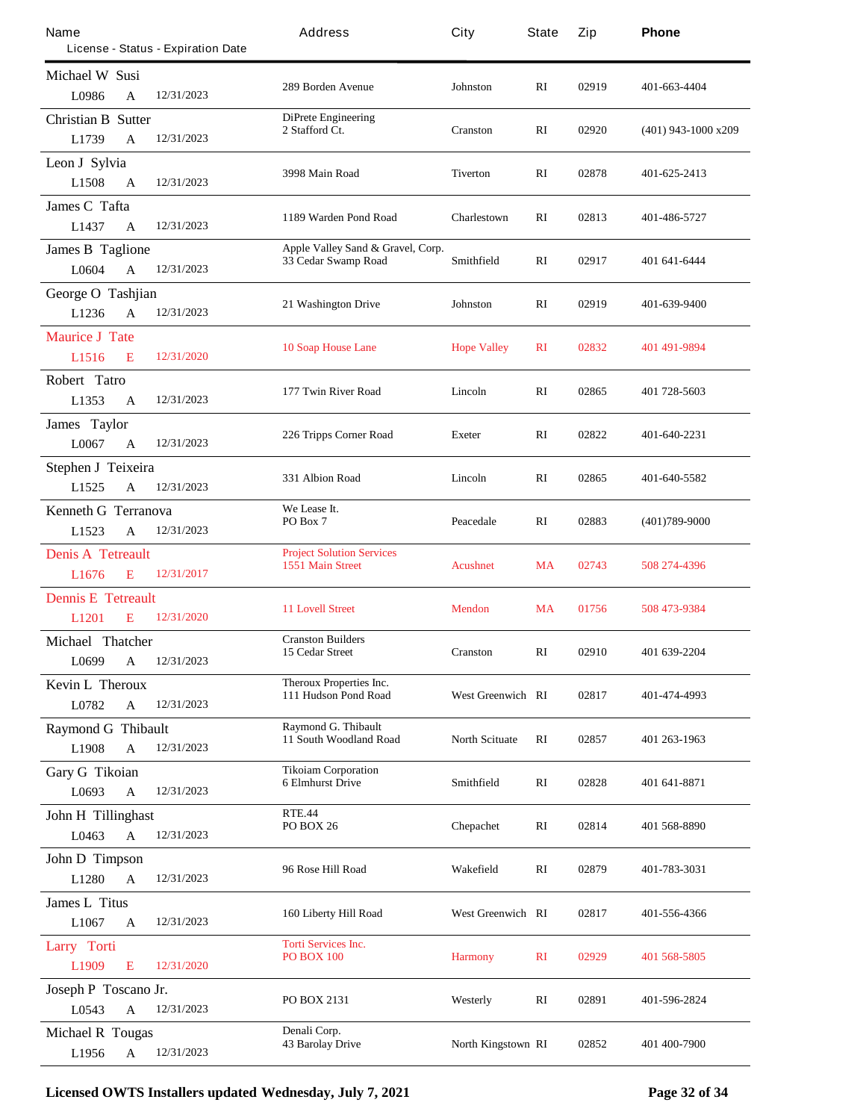| Name                       |                                    | Address                                                     | City                     | State        | Zip   | Phone                 |
|----------------------------|------------------------------------|-------------------------------------------------------------|--------------------------|--------------|-------|-----------------------|
|                            | License - Status - Expiration Date |                                                             |                          |              |       |                       |
| <b>Michael W Susi</b>      |                                    | 289 Borden Avenue                                           | Johnston                 | RI           | 02919 | 401-663-4404          |
| L0986<br>A                 | 12/31/2023                         |                                                             |                          |              |       |                       |
| <b>Christian B Sutter</b>  |                                    | <b>DiPrete Engineering</b><br>2 Stafford Ct.                | Cranston                 | RI           | 02920 | $(401)$ 943-1000 x209 |
| L1739<br>$\mathbf A$       | 12/31/2023                         |                                                             |                          |              |       |                       |
| Leon J Sylvia              |                                    | 3998 Main Road                                              | Tiverton                 | RI           | 02878 | 401-625-2413          |
| L <sub>1508</sub><br>A     | 12/31/2023                         |                                                             |                          |              |       |                       |
| <b>James C Tafta</b>       |                                    | 1189 Warden Pond Road                                       | Charlestown              | RI           | 02813 | 401-486-5727          |
| L1437<br>A                 | 12/31/2023                         |                                                             |                          |              |       |                       |
| <b>James B Taglione</b>    |                                    | Apple Valley Sand & Gravel, Corp.<br>33 Cedar Swamp Road    | Smithfield               | RI           | 02917 | 401 641 6444          |
| L0604<br>A                 | 12/31/2023                         |                                                             |                          |              |       |                       |
| <b>George O Tashjian</b>   |                                    | <b>21 Washington Drive</b>                                  | Johnston                 | RI           | 02919 | 401-639-9400          |
| L1236<br>A                 | 12/31/2023                         |                                                             |                          |              |       |                       |
| <b>Maurice J Tate</b>      |                                    | <b>10 Soap House Lane</b>                                   | <b>Hope Valley</b>       | $\mathbf{R}$ | 02832 | 401 491 - 9894        |
| L1516<br>E                 | 12/31/2020                         |                                                             |                          |              |       |                       |
| Robert Tatro               |                                    | 177 Twin River Road                                         | Lincoln                  | RI           | 02865 | 401 728-5603          |
| L1353<br>A                 | 12/31/2023                         |                                                             |                          |              |       |                       |
| James Taylor               |                                    | 226 Tripps Corner Road                                      | <b>Exeter</b>            | RI           | 02822 | 401-640-2231          |
| L0067<br>A                 | 12/31/2023                         |                                                             |                          |              |       |                       |
| Stephen J Teixeira         |                                    | 331 Albion Road                                             | Lincoln                  | RI           | 02865 | 401-640-5582          |
| L1525<br>A                 | 12/31/2023                         |                                                             |                          |              |       |                       |
| <b>Kenneth G Terranova</b> |                                    | We Lease It.<br>PO Box 7                                    | Peacedale                | RI           | 02883 | $(401)789-9000$       |
| L1523<br>A                 | 12/31/2023                         |                                                             |                          |              |       |                       |
| <b>Denis A Tetreault</b>   |                                    | <b>Project Solution Services</b><br><b>1551 Main Street</b> | <b>Acushnet</b>          | <b>MA</b>    | 02743 | 508 274-4396          |
| L1676<br>E                 | 12/31/2017                         |                                                             |                          |              |       |                       |
| <b>Dennis E Tetreault</b>  |                                    | <b>11 Lovell Street</b>                                     | <b>Mendon</b>            | MA           | 01756 | 508 473-9384          |
| L1201<br>Е                 | 12/31/2020                         |                                                             |                          |              |       |                       |
| Michael Thatcher           |                                    | <b>Cranston Builders</b><br>15 Cedar Street                 | Cranston                 | RI           | 02910 | 401 639-2204          |
| L0699<br>$\mathbf{A}$      | 12/31/2023                         |                                                             |                          |              |       |                       |
| <b>Kevin L Theroux</b>     |                                    | <b>Theroux Properties Inc.</b><br>111 Hudson Pond Road      | <b>West Greenwich RI</b> |              | 02817 | 401-474-4993          |
| L0782<br>$\mathbf A$       | 12/31/2023                         |                                                             |                          |              |       |                       |
| <b>Raymond G Thibault</b>  |                                    | <b>Raymond G. Thibault</b><br><b>11 South Woodland Road</b> | <b>North Scituate</b>    | RI           | 02857 | 401 263-1963          |
| L1908<br>A                 | 12/31/2023                         |                                                             |                          |              |       |                       |
| <b>Gary G Tikoian</b>      |                                    | <b>Tikoiam Corporation</b><br><b>6 Elmhurst Drive</b>       | Smithfield               | RI           | 02828 | 401 641 8871          |
| L0693<br>$\mathbf{A}$      | 12/31/2023                         |                                                             |                          |              |       |                       |
| <b>John H Tillinghast</b>  |                                    | <b>RTE.44</b><br><b>PO BOX 26</b>                           |                          | RI           | 02814 | 401 568-8890          |
| L0463<br>$\mathbf A$       | 12/31/2023                         |                                                             | <b>Chepachet</b>         |              |       |                       |
| <b>John D Timpson</b>      |                                    | 96 Rose Hill Road                                           |                          |              |       |                       |
| L1280<br>$\mathbf A$       | 12/31/2023                         |                                                             | Wakefield                | RI           | 02879 | 401-783-3031          |
| James L Titus              |                                    |                                                             |                          |              |       |                       |
| L1067<br>A                 | 12/31/2023                         | 160 Liberty Hill Road                                       | <b>West Greenwich RI</b> |              | 02817 | 401-556-4366          |
| Larry Torti                |                                    | <b>Torti Services Inc.</b>                                  |                          |              |       |                       |
| L1909<br>E                 | 12/31/2020                         | <b>PO BOX 100</b>                                           | <b>Harmony</b>           | $\mathbf{R}$ | 02929 | 401 568-5805          |
| Joseph P Toscano Jr.       |                                    |                                                             |                          |              |       |                       |
| L0543<br>A                 | 12/31/2023                         | <b>PO BOX 2131</b>                                          | Westerly                 | RI           | 02891 | 401-596-2824          |
| <b>Michael R Tougas</b>    |                                    | Denali Corp.                                                |                          |              |       |                       |
| L1956<br>A                 | 12/31/2023                         | <b>43 Barolay Drive</b>                                     | North Kingstown RI       |              | 02852 | 401 400-7900          |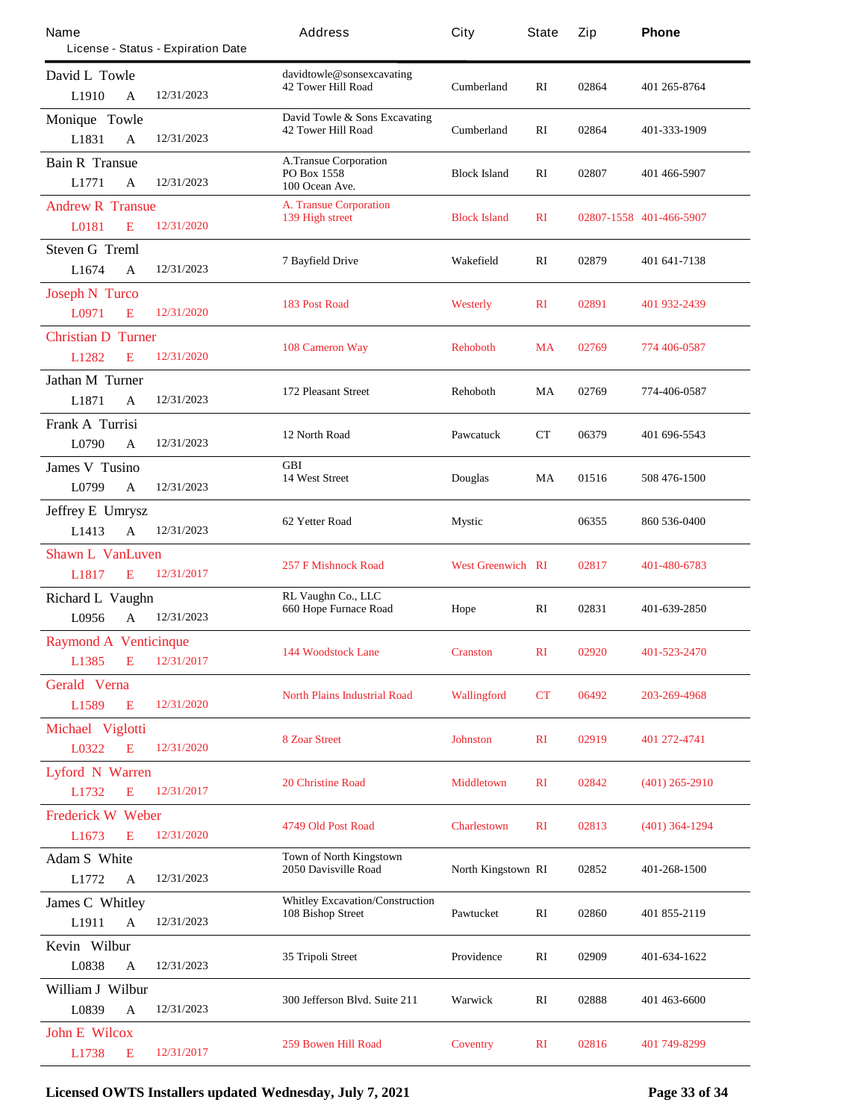| Name                         |              | License - Status - Expiration Date | Address                                | City                      | State        | Zip   | Phone                   |
|------------------------------|--------------|------------------------------------|----------------------------------------|---------------------------|--------------|-------|-------------------------|
| David L Towle                |              |                                    | davidtowle@sonsexcavating              |                           |              |       |                         |
| L1910                        | A            | 12/31/2023                         | <b>42 Tower Hill Road</b>              | <b>Cumberland</b>         | RI           | 02864 | 401 265-8764            |
| Monique Towle                |              |                                    | David Towle & Sons Excavating          |                           |              |       |                         |
| L1831                        | A            | 12/31/2023                         | <b>42 Tower Hill Road</b>              | <b>Cumberland</b>         | $\mathbf{R}$ | 02864 | 401-333-1909            |
| <b>Bain R Transue</b>        |              |                                    | <b>A.Transue Corporation</b>           |                           |              |       |                         |
| L1771                        | A            | 12/31/2023                         | PO Box 1558<br>100 Ocean Ave.          | <b>Block Island</b>       | RI           | 02807 | 401 466-5907            |
| <b>Andrew R Transue</b>      |              |                                    | <b>A. Transue Corporation</b>          |                           |              |       |                         |
| L0181                        | E            | 12/31/2020                         | 139 High street                        | <b>Block Island</b>       | $\mathbf{R}$ |       | 02807-1558 401-466-5907 |
| <b>Steven G Treml</b>        |              |                                    |                                        |                           |              |       |                         |
| L1674                        | A            | 12/31/2023                         | <b>7 Bayfield Drive</b>                | Wakefield                 | RI           | 02879 | 401 641-7138            |
| <b>Joseph N Turco</b>        |              |                                    |                                        |                           |              |       |                         |
| L0971                        | E            | 12/31/2020                         | <b>183 Post Road</b>                   | <b>Westerly</b>           | $\mathbf{R}$ | 02891 | 401 932-2439            |
| <b>Christian D Turner</b>    |              |                                    |                                        |                           |              |       |                         |
| L1282                        | E            | 12/31/2020                         | <b>108 Cameron Way</b>                 | <b>Rehoboth</b>           | <b>MA</b>    | 02769 | 774 406-0587            |
| <b>Jathan M Turner</b>       |              |                                    |                                        |                           |              |       |                         |
| L1871                        | A            | 12/31/2023                         | <b>172 Pleasant Street</b>             | <b>Rehoboth</b>           | MA           | 02769 | 774-406-0587            |
| Frank A Turrisi              |              |                                    |                                        |                           |              |       |                         |
| L0790                        | A            | 12/31/2023                         | 12 North Road                          | <b>Pawcatuck</b>          | CТ           | 06379 | 401 696-5543            |
| <b>James V</b> Tusino        |              |                                    | <b>GBI</b>                             |                           |              |       |                         |
| L0799                        | A            | 12/31/2023                         | <b>14 West Street</b>                  | <b>Douglas</b>            | MA           | 01516 | 508 476-1500            |
| <b>Jeffrey E Umrysz</b>      |              |                                    |                                        |                           |              |       |                         |
| L1413                        | $\mathbf{A}$ | 12/31/2023                         | 62 Yetter Road                         | Mystic                    |              | 06355 | 860 536-0400            |
| <b>Shawn L VanLuven</b>      |              |                                    |                                        |                           |              |       |                         |
| L1817                        | E            | 12/31/2017                         | <b>257 F Mishnock Road</b>             | <b>West Greenwich RI</b>  |              | 02817 | 401-480-6783            |
| <b>Richard L Vaughn</b>      |              |                                    | RL Vaughn Co., LLC                     |                           |              |       |                         |
| L0956                        | A            | 12/31/2023                         | <b>660 Hope Furnace Road</b>           | Hope                      | RI           | 02831 | 401-639-2850            |
| <b>Raymond A Venticinque</b> |              |                                    |                                        |                           |              |       |                         |
| L <sub>1385</sub>            | E            | 12/31/2017                         | <b>144 Woodstock Lane</b>              | <b>Cranston</b>           | RI           | 02920 | 401-523-2470            |
| <b>Gerald Verna</b>          |              |                                    |                                        |                           |              |       |                         |
| L1589                        | E            | 12/31/2020                         | <b>North Plains Industrial Road</b>    | <b>Wallingford</b>        | CT           | 06492 | 203-269-4968            |
| Michael Viglotti             |              |                                    |                                        |                           |              |       |                         |
| L0322                        | E            | 12/31/2020                         | <b>8 Zoar Street</b>                   | <b>Johnston</b>           | $\mathbf{R}$ | 02919 | 401 272-4741            |
| <b>Lyford N Warren</b>       |              |                                    |                                        |                           |              |       |                         |
| L1732                        | E            | 12/31/2017                         | <b>20 Christine Road</b>               | <b>Middletown</b>         | $\mathbf{R}$ | 02842 | $(401)$ 265-2910        |
| <b>Frederick W Weber</b>     |              |                                    |                                        |                           |              |       |                         |
| L1673                        | E            | 12/31/2020                         | 4749 Old Post Road                     | <b>Charlestown</b>        | $\mathbf{R}$ | 02813 | $(401)$ 364-1294        |
| <b>Adam S</b> White          |              |                                    | <b>Town of North Kingstown</b>         |                           |              |       |                         |
| L1772                        | A            | 12/31/2023                         | 2050 Davisville Road                   | <b>North Kingstown RI</b> |              | 02852 | 401-268-1500            |
| <b>James C Whitley</b>       |              |                                    | <b>Whitley Excavation/Construction</b> |                           |              |       |                         |
| L1911                        | $\mathbf A$  | 12/31/2023                         | <b>108 Bishop Street</b>               | Pawtucket                 | RI           | 02860 | 401 855-2119            |
| Kevin Wilbur                 |              |                                    |                                        |                           |              |       |                         |
| L0838                        | A            | 12/31/2023                         | 35 Tripoli Street                      | Providence                | RI           | 02909 | 401-634-1622            |
| William J Wilbur             |              |                                    |                                        |                           |              |       |                         |
| L0839                        | A            | 12/31/2023                         | 300 Jefferson Blvd. Suite 211          | Warwick                   | RI           | 02888 | 401 463 6600            |
| <b>John E Wilcox</b>         |              |                                    |                                        |                           |              |       |                         |
| L1738                        | E            | 12/31/2017                         | <b>259 Bowen Hill Road</b>             | <b>Coventry</b>           | $\mathbf{R}$ | 02816 | 401 749-8299            |

**Licensed OWTS Installers updated Wednesday, July 7, 2021 Page 33 of 34**